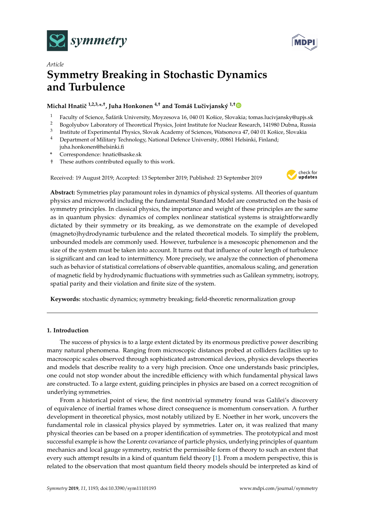



# *Article* **Symmetry Breaking in Stochastic Dynamics and Turbulence**

## **Michal Hnatiˇc 1,2,3,\* ,†, Juha Honkonen 4,† and Tomáš Luˇcivjanský 1,[†](https://orcid.org/0000-0001-8529-4893)**

- <sup>1</sup> Faculty of Science, Šafárik University, Moyzesova 16, 040 01 Košice, Slovakia; tomas.lucivjansky@upjs.sk
- <sup>2</sup> Bogolyubov Laboratory of Theoretical Physics, Joint Institute for Nuclear Research, 141980 Dubna, Russia
- 3 Institute of Experimental Physics, Slovak Academy of Sciences, Watsonova 47, 040 01 Košice, Slovakia
- <sup>4</sup> Department of Military Technology, National Defence University, 00861 Helsinki, Finland; juha.honkonen@helsinki.fi
- **\*** Correspondence: hnatic@saske.sk
- † These authors contributed equally to this work.

Received: 19 August 2019; Accepted: 13 September 2019; Published: 23 September 2019



**Abstract:** Symmetries play paramount roles in dynamics of physical systems. All theories of quantum physics and microworld including the fundamental Standard Model are constructed on the basis of symmetry principles. In classical physics, the importance and weight of these principles are the same as in quantum physics: dynamics of complex nonlinear statistical systems is straightforwardly dictated by their symmetry or its breaking, as we demonstrate on the example of developed (magneto)hydrodynamic turbulence and the related theoretical models. To simplify the problem, unbounded models are commonly used. However, turbulence is a mesoscopic phenomenon and the size of the system must be taken into account. It turns out that influence of outer length of turbulence is significant and can lead to intermittency. More precisely, we analyze the connection of phenomena such as behavior of statistical correlations of observable quantities, anomalous scaling, and generation of magnetic field by hydrodynamic fluctuations with symmetries such as Galilean symmetry, isotropy, spatial parity and their violation and finite size of the system.

**Keywords:** stochastic dynamics; symmetry breaking; field-theoretic renormalization group

## <span id="page-0-0"></span>**1. Introduction**

The success of physics is to a large extent dictated by its enormous predictive power describing many natural phenomena. Ranging from microscopic distances probed at colliders facilities up to macroscopic scales observed through sophisticated astronomical devices, physics develops theories and models that describe reality to a very high precision. Once one understands basic principles, one could not stop wonder about the incredible efficiency with which fundamental physical laws are constructed. To a large extent, guiding principles in physics are based on a correct recognition of underlying symmetries.

From a historical point of view, the first nontrivial symmetry found was Galilei's discovery of equivalence of inertial frames whose direct consequence is momentum conservation. A further development in theoretical physics, most notably utilized by E. Noether in her work, uncovers the fundamental role in classical physics played by symmetries. Later on, it was realized that many physical theories can be based on a proper identification of symmetries. The prototypical and most successful example is how the Lorentz covariance of particle physics, underlying principles of quantum mechanics and local gauge symmetry, restrict the permissible form of theory to such an extent that every such attempt results in a kind of quantum field theory [\[1\]](#page-47-0). From a modern perspective, this is related to the observation that most quantum field theory models should be interpreted as kind of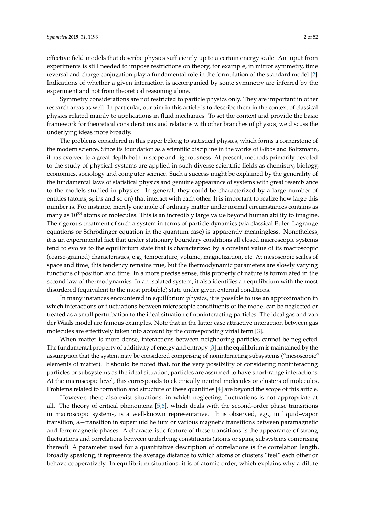effective field models that describe physics sufficiently up to a certain energy scale. An input from experiments is still needed to impose restrictions on theory, for example, in mirror symmetry, time reversal and charge conjugation play a fundamental role in the formulation of the standard model [\[2\]](#page-47-1). Indications of whether a given interaction is accompanied by some symmetry are inferred by the experiment and not from theoretical reasoning alone.

Symmetry considerations are not restricted to particle physics only. They are important in other research areas as well. In particular, our aim in this article is to describe them in the context of classical physics related mainly to applications in fluid mechanics. To set the context and provide the basic framework for theoretical considerations and relations with other branches of physics, we discuss the underlying ideas more broadly.

The problems considered in this paper belong to statistical physics, which forms a cornerstone of the modern science. Since its foundation as a scientific discipline in the works of Gibbs and Boltzmann, it has evolved to a great depth both in scope and rigorousness. At present, methods primarily devoted to the study of physical systems are applied in such diverse scientific fields as chemistry, biology, economics, sociology and computer science. Such a success might be explained by the generality of the fundamental laws of statistical physics and genuine appearance of systems with great resemblance to the models studied in physics. In general, they could be characterized by a large number of entities (atoms, spins and so on) that interact with each other. It is important to realize how large this number is. For instance, merely one mole of ordinary matter under normal circumstances contains as many as  $10^{23}$  atoms or molecules. This is an incredibly large value beyond human ability to imagine. The rigorous treatment of such a system in terms of particle dynamics (via classical Euler–Lagrange equations or Schrödinger equation in the quantum case) is apparently meaningless. Nonetheless, it is an experimental fact that under stationary boundary conditions all closed macroscopic systems tend to evolve to the equilibrium state that is characterized by a constant value of its macroscopic (coarse-grained) characteristics, e.g., temperature, volume, magnetization, etc. At mesoscopic scales of space and time, this tendency remains true, but the thermodynamic parameters are slowly varying functions of position and time. In a more precise sense, this property of nature is formulated in the second law of thermodynamics. In an isolated system, it also identifies an equilibrium with the most disordered (equivalent to the most probable) state under given external conditions.

In many instances encountered in equilibrium physics, it is possible to use an approximation in which interactions or fluctuations between microscopic constituents of the model can be neglected or treated as a small perturbation to the ideal situation of noninteracting particles. The ideal gas and van der Waals model are famous examples. Note that in the latter case attractive interaction between gas molecules are effectively taken into account by the corresponding virial term [\[3\]](#page-47-2).

When matter is more dense, interactions between neighboring particles cannot be neglected. The fundamental property of additivity of energy and entropy [\[3\]](#page-47-2) in the equilibrium is maintained by the assumption that the system may be considered comprising of noninteracting subsystems ("mesoscopic" elements of matter). It should be noted that, for the very possibility of considering noninteracting particles or subsystems as the ideal situation, particles are assumed to have short-range interactions. At the microscopic level, this corresponds to electrically neutral molecules or clusters of molecules. Problems related to formation and structure of these quantities [\[4\]](#page-47-3) are beyond the scope of this article.

However, there also exist situations, in which neglecting fluctuations is not appropriate at all. The theory of critical phenomena [\[5,](#page-47-4)[6\]](#page-47-5), which deals with the second-order phase transitions in macroscopic systems, is a well-known representative. It is observed, e.g., in liquid–vapor transition, *λ*−transition in superfluid helium or various magnetic transitions between paramagnetic and ferromagnetic phases. A characteristic feature of these transitions is the appearance of strong fluctuations and correlations between underlying constituents (atoms or spins, subsystems comprising thereof). A parameter used for a quantitative description of correlations is the correlation length. Broadly speaking, it represents the average distance to which atoms or clusters "feel" each other or behave cooperatively. In equilibrium situations, it is of atomic order, which explains why a dilute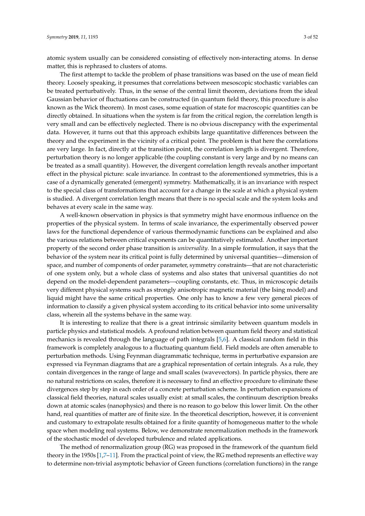atomic system usually can be considered consisting of effectively non-interacting atoms. In dense matter, this is rephrased to clusters of atoms.

The first attempt to tackle the problem of phase transitions was based on the use of mean field theory. Loosely speaking, it presumes that correlations between mesoscopic stochastic variables can be treated perturbatively. Thus, in the sense of the central limit theorem, deviations from the ideal Gaussian behavior of fluctuations can be constructed (in quantum field theory, this procedure is also known as the Wick theorem). In most cases, some equation of state for macroscopic quantities can be directly obtained. In situations when the system is far from the critical region, the correlation length is very small and can be effectively neglected. There is no obvious discrepancy with the experimental data. However, it turns out that this approach exhibits large quantitative differences between the theory and the experiment in the vicinity of a critical point. The problem is that here the correlations are very large. In fact, directly at the transition point, the correlation length is divergent. Therefore, perturbation theory is no longer applicable (the coupling constant is very large and by no means can be treated as a small quantity). However, the divergent correlation length reveals another important effect in the physical picture: scale invariance. In contrast to the aforementioned symmetries, this is a case of a dynamically generated (emergent) symmetry. Mathematically, it is an invariance with respect to the special class of transformations that account for a change in the scale at which a physical system is studied. A divergent correlation length means that there is no special scale and the system looks and behaves at every scale in the same way.

A well-known observation in physics is that symmetry might have enormous influence on the properties of the physical system. In terms of scale invariance, the experimentally observed power laws for the functional dependence of various thermodynamic functions can be explained and also the various relations between critical exponents can be quantitatively estimated. Another important property of the second order phase transition is *universality*. In a simple formulation, it says that the behavior of the system near its critical point is fully determined by universal quantities—dimension of space, and number of components of order parameter, symmetry constraints—that are not characteristic of one system only, but a whole class of systems and also states that universal quantities do not depend on the model-dependent parameters—coupling constants, etc. Thus, in microscopic details very different physical systems such as strongly anisotropic magnetic material (the Ising model) and liquid might have the same critical properties. One only has to know a few very general pieces of information to classify a given physical system according to its critical behavior into some universality class, wherein all the systems behave in the same way.

It is interesting to realize that there is a great intrinsic similarity between quantum models in particle physics and statistical models. A profound relation between quantum field theory and statistical mechanics is revealed through the language of path integrals [\[5,](#page-47-4)[6\]](#page-47-5). A classical random field in this framework is completely analogous to a fluctuating quantum field. Field models are often amenable to perturbation methods. Using Feynman diagrammatic technique, terms in perturbative expansion are expressed via Feynman diagrams that are a graphical representation of certain integrals. As a rule, they contain divergences in the range of large and small scales (wavevectors). In particle physics, there are no natural restrictions on scales, therefore it is necessary to find an effective procedure to eliminate these divergences step by step in each order of a concrete perturbation scheme. In perturbation expansions of classical field theories, natural scales usually exist: at small scales, the continuum description breaks down at atomic scales (nanophysics) and there is no reason to go below this lower limit. On the other hand, real quantities of matter are of finite size. In the theoretical description, however, it is convenient and customary to extrapolate results obtained for a finite quantity of homogeneous matter to the whole space when modeling real systems. Below, we demonstrate renormalization methods in the framework of the stochastic model of developed turbulence and related applications.

The method of renormalization group (RG) was proposed in the framework of the quantum field theory in the 1950s [\[1](#page-47-0)[,7–](#page-47-6)[11\]](#page-47-7). From the practical point of view, the RG method represents an effective way to determine non-trivial asymptotic behavior of Green functions (correlation functions) in the range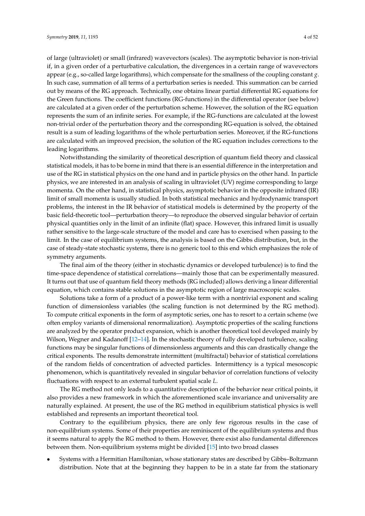of large (ultraviolet) or small (infrared) wavevectors (scales). The asymptotic behavior is non-trivial if, in a given order of a perturbative calculation, the divergences in a certain range of wavevectors appear (e.g., so-called large logarithms), which compensate for the smallness of the coupling constant *g*. In such case, summation of all terms of a perturbation series is needed. This summation can be carried out by means of the RG approach. Technically, one obtains linear partial differential RG equations for the Green functions. The coefficient functions (RG-functions) in the differential operator (see below) are calculated at a given order of the perturbation scheme. However, the solution of the RG equation represents the sum of an infinite series. For example, if the RG-functions are calculated at the lowest non-trivial order of the perturbation theory and the corresponding RG-equation is solved, the obtained result is a sum of leading logarithms of the whole perturbation series. Moreover, if the RG-functions are calculated with an improved precision, the solution of the RG equation includes corrections to the leading logarithms.

Notwithstanding the similarity of theoretical description of quantum field theory and classical statistical models, it has to be borne in mind that there is an essential difference in the interpretation and use of the RG in statistical physics on the one hand and in particle physics on the other hand. In particle physics, we are interested in an analysis of scaling in ultraviolet (UV) regime corresponding to large momenta. On the other hand, in statistical physics, asymptotic behavior in the opposite infrared (IR) limit of small momenta is usually studied. In both statistical mechanics and hydrodynamic transport problems, the interest in the IR behavior of statistical models is determined by the property of the basic field-theoretic tool—perturbation theory—to reproduce the observed singular behavior of certain physical quantities only in the limit of an infinite (flat) space. However, this infrared limit is usually rather sensitive to the large-scale structure of the model and care has to exercised when passing to the limit. In the case of equilibrium systems, the analysis is based on the Gibbs distribution, but, in the case of steady-state stochastic systems, there is no generic tool to this end which emphasizes the role of symmetry arguments.

The final aim of the theory (either in stochastic dynamics or developed turbulence) is to find the time-space dependence of statistical correlations—mainly those that can be experimentally measured. It turns out that use of quantum field theory methods (RG included) allows deriving a linear differential equation, which contains stable solutions in the asymptotic region of large macroscopic scales.

Solutions take a form of a product of a power-like term with a nontrivial exponent and scaling function of dimensionless variables (the scaling function is not determined by the RG method). To compute critical exponents in the form of asymptotic series, one has to resort to a certain scheme (we often employ variants of dimensional renormalization). Asymptotic properties of the scaling functions are analyzed by the operator product expansion, which is another theoretical tool developed mainly by Wilson, Wegner and Kadanoff [\[12](#page-47-8)[–14\]](#page-47-9). In the stochastic theory of fully developed turbulence, scaling functions may be singular functions of dimensionless arguments and this can drastically change the critical exponents. The results demonstrate intermittent (multifractal) behavior of statistical correlations of the random fields of concentration of advected particles. Intermittency is a typical mesoscopic phenomenon, which is quantitatively revealed in singular behavior of correlation functions of velocity fluctuations with respect to an external turbulent spatial scale *L*.

The RG method not only leads to a quantitative description of the behavior near critical points, it also provides a new framework in which the aforementioned scale invariance and universality are naturally explained. At present, the use of the RG method in equilibrium statistical physics is well established and represents an important theoretical tool.

Contrary to the equilibrium physics, there are only few rigorous results in the case of non-equilibrium systems. Some of their properties are reminiscent of the equilibrium systems and thus it seems natural to apply the RG method to them. However, there exist also fundamental differences between them. Non-equilibrium systems might be divided [\[15\]](#page-47-10) into two broad classes

• Systems with a Hermitian Hamiltonian, whose stationary states are described by Gibbs–Boltzmann distribution. Note that at the beginning they happen to be in a state far from the stationary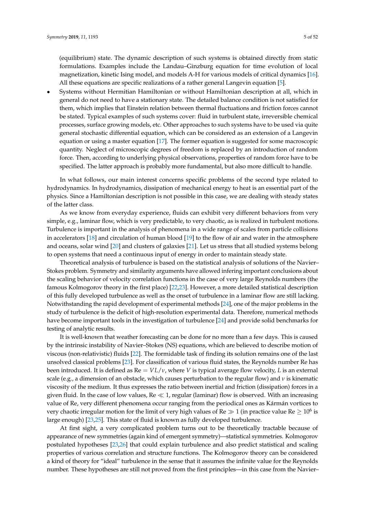(equilibrium) state. The dynamic description of such systems is obtained directly from static formulations. Examples include the Landau–Ginzburg equation for time evolution of local magnetization, kinetic Ising model, and models A-H for various models of critical dynamics [\[16\]](#page-47-11). All these equations are specific realizations of a rather general Langevin equation [\[5\]](#page-47-4).

• Systems without Hermitian Hamiltonian or without Hamiltonian description at all, which in general do not need to have a stationary state. The detailed balance condition is not satisfied for them, which implies that Einstein relation between thermal fluctuations and friction forces cannot be stated. Typical examples of such systems cover: fluid in turbulent state, irreversible chemical processes, surface growing models, etc. Other approaches to such systems have to be used via quite general stochastic differential equation, which can be considered as an extension of a Langevin equation or using a master equation [\[17\]](#page-47-12). The former equation is suggested for some macroscopic quantity. Neglect of microscopic degrees of freedom is replaced by an introduction of random force. Then, according to underlying physical observations, properties of random force have to be specified. The latter approach is probably more fundamental, but also more difficult to handle.

In what follows, our main interest concerns specific problems of the second type related to hydrodynamics. In hydrodynamics, dissipation of mechanical energy to heat is an essential part of the physics. Since a Hamiltonian description is not possible in this case, we are dealing with steady states of the latter class.

As we know from everyday experience, fluids can exhibit very different behaviors from very simple, e.g., laminar flow, which is very predictable, to very chaotic, as is realized in turbulent motions. Turbulence is important in the analysis of phenomena in a wide range of scales from particle collisions in accelerators [\[18\]](#page-47-13) and circulation of human blood [\[19\]](#page-47-14) to the flow of air and water in the atmosphere and oceans, solar wind [\[20\]](#page-48-0) and clusters of galaxies [\[21\]](#page-48-1). Let us stress that all studied systems belong to open systems that need a continuous input of energy in order to maintain steady state.

Theoretical analysis of turbulence is based on the statistical analysis of solutions of the Navier– Stokes problem. Symmetry and similarity arguments have allowed infering important conclusions about the scaling behavior of velocity correlation functions in the case of very large Reynolds numbers (the famous Kolmogorov theory in the first place) [\[22,](#page-48-2)[23\]](#page-48-3). However, a more detailed statistical description of this fully developed turbulence as well as the onset of turbulence in a laminar flow are still lacking. Notwithstanding the rapid development of experimental methods [\[24\]](#page-48-4), one of the major problems in the study of turbulence is the deficit of high-resolution experimental data. Therefore, numerical methods have become important tools in the investigation of turbulence [\[24\]](#page-48-4) and provide solid benchmarks for testing of analytic results.

It is well-known that weather forecasting can be done for no more than a few days. This is caused by the intrinsic instability of Navier–Stokes (NS) equations, which are believed to describe motion of viscous (non-relativistic) fluids [\[22\]](#page-48-2). The formidable task of finding its solution remains one of the last unsolved classical problems [\[23\]](#page-48-3). For classification of various fluid states, the Reynolds number Re has been introduced. It is defined as Re = *VL*/*ν*, where *V* is typical average flow velocity, *L* is an external scale (e.g., a dimension of an obstacle, which causes perturbation to the regular flow) and *ν* is kinematic viscosity of the medium. It thus expresses the ratio between inertial and friction (dissipation) forces in a given fluid. In the case of low values,  $Re \ll 1$ , regular (laminar) flow is observed. With an increasing value of Re, very different phenomena occur ranging from the periodical ones as Kármán vortices to very chaotic irregular motion for the limit of very high values of Re  $\gg 1$  (in practice value Re  $\geq 10^6$  is large enough) [\[23,](#page-48-3)[25\]](#page-48-5). This state of fluid is known as fully developed turbulence.

At first sight, a very complicated problem turns out to be theoretically tractable because of appearance of new symmetries (again kind of emergent symmetry)—statistical symmetries. Kolmogorov postulated hypotheses [\[23](#page-48-3)[,26\]](#page-48-6) that could explain turbulence and also predict statistical and scaling properties of various correlation and structure functions. The Kolmogorov theory can be considered a kind of theory for "ideal" turbulence in the sense that it assumes the infinite value for the Reynolds number. These hypotheses are still not proved from the first principles—in this case from the Navier–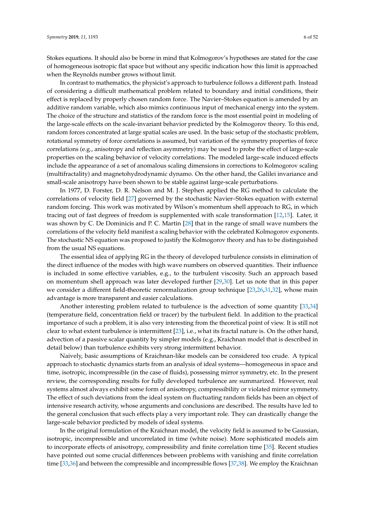Stokes equations. It should also be borne in mind that Kolmogorov's hypotheses are stated for the case of homogeneous isotropic flat space but without any specific indication how this limit is approached when the Reynolds number grows without limit.

In contrast to mathematics, the physicist's approach to turbulence follows a different path. Instead of considering a difficult mathematical problem related to boundary and initial conditions, their effect is replaced by properly chosen random force. The Navier–Stokes equation is amended by an additive random variable, which also mimics continuous input of mechanical energy into the system. The choice of the structure and statistics of the random force is the most essential point in modeling of the large-scale effects on the scale-invariant behavior predicted by the Kolmogorov theory. To this end, random forces concentrated at large spatial scales are used. In the basic setup of the stochastic problem, rotational symmetry of force correlations is assumed, but variation of the symmetry properties of force correlations (e.g., anisotropy and reflection asymmetry) may be used to probe the effect of large-scale properties on the scaling behavior of velocity correlations. The modeled large-scale induced effects include the appearance of a set of anomalous scaling dimensions in corrections to Kolmogorov scaling (multifractality) and magnetohydrodynamic dynamo. On the other hand, the Galilei invariance and small-scale anisotropy have been shown to be stable against large-scale perturbations.

In 1977, D. Forster, D. R. Nelson and M. J. Stephen applied the RG method to calculate the correlations of velocity field [\[27\]](#page-48-7) governed by the stochastic Navier–Stokes equation with external random forcing. This work was motivated by Wilson's momentum shell approach to RG, in which tracing out of fast degrees of freedom is supplemented with scale transformation [\[12](#page-47-8)[,15\]](#page-47-10). Later, it was shown by C. De Dominicis and P. C. Martin [\[28\]](#page-48-8) that in the range of small wave numbers the correlations of the velocity field manifest a scaling behavior with the celebrated Kolmogorov exponents. The stochastic NS equation was proposed to justify the Kolmogorov theory and has to be distinguished from the usual NS equations.

The essential idea of applying RG in the theory of developed turbulence consists in elimination of the direct influence of the modes with high wave numbers on observed quantities. Their influence is included in some effective variables, e.g., to the turbulent viscosity. Such an approach based on momentum shell approach was later developed further [\[29](#page-48-9)[,30\]](#page-48-10). Let us note that in this paper we consider a different field-theoretic renormalization group technique [\[23,](#page-48-3)[26,](#page-48-6)[31,](#page-48-11)[32\]](#page-48-12), whose main advantage is more transparent and easier calculations.

Another interesting problem related to turbulence is the advection of some quantity [\[33](#page-48-13)[,34\]](#page-48-14) (temperature field, concentration field or tracer) by the turbulent field. In addition to the practical importance of such a problem, it is also very interesting from the theoretical point of view. It is still not clear to what extent turbulence is intermittent [\[23\]](#page-48-3), i.e., what its fractal nature is. On the other hand, advection of a passive scalar quantity by simpler models (e.g., Kraichnan model that is described in detail below) than turbulence exhibits very strong intermittent behavior.

Naively, basic assumptions of Kraichnan-like models can be considered too crude. A typical approach to stochastic dynamics starts from an analysis of ideal systems—homogeneous in space and time, isotropic, incompressible (in the case of fluids), possessing mirror symmetry, etc. In the present review, the corresponding results for fully developed turbulence are summarized. However, real systems almost always exhibit some form of anisotropy, compressibility or violated mirror symmetry. The effect of such deviations from the ideal system on fluctuating random fields has been an object of intensive research activity, whose arguments and conclusions are described. The results have led to the general conclusion that such effects play a very important role. They can drastically change the large-scale behavior predicted by models of ideal systems.

In the original formulation of the Kraichnan model, the velocity field is assumed to be Gaussian, isotropic, incompressible and uncorrelated in time (white noise). More sophisticated models aim to incorporate effects of anisotropy, compressibility and finite correlation time [\[35\]](#page-48-15). Recent studies have pointed out some crucial differences between problems with vanishing and finite correlation time [\[33](#page-48-13)[,36\]](#page-48-16) and between the compressible and incompressible flows [\[37,](#page-48-17)[38\]](#page-48-18). We employ the Kraichnan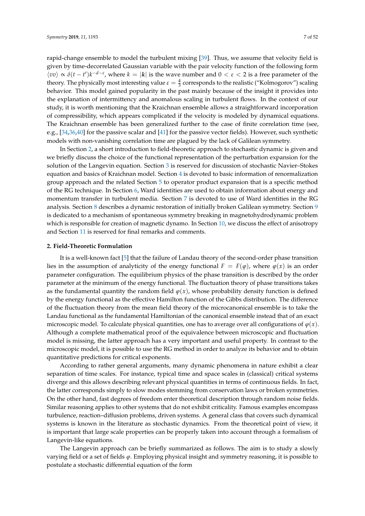rapid-change ensemble to model the turbulent mixing [\[39\]](#page-48-19). Thus, we assume that velocity field is given by time-decorrelated Gaussian variable with the pair velocity function of the following form  $\langle v v \rangle \propto \delta(t-t')k^{-d-\epsilon}$ , where  $k = |k|$  is the wave number and  $0 < \epsilon < 2$  is a free parameter of the theory. The physically most interesting value  $\varepsilon = \frac{4}{3}$  corresponds to the realistic ("Kolmogorov") scaling behavior. This model gained popularity in the past mainly because of the insight it provides into the explanation of intermittency and anomalous scaling in turbulent flows. In the context of our study, it is worth mentioning that the Kraichnan ensemble allows a straightforward incorporation of compressibility, which appears complicated if the velocity is modeled by dynamical equations. The Kraichnan ensemble has been generalized further to the case of finite correlation time (see, e.g., [\[34](#page-48-14)[,36,](#page-48-16)[40\]](#page-48-20) for the passive scalar and [\[41\]](#page-48-21) for the passive vector fields). However, such synthetic models with non-vanishing correlation time are plagued by the lack of Galilean symmetry.

In Section [2,](#page-6-0) a short introduction to field-theoretic approach to stochastic dynamic is given and we briefly discuss the choice of the functional representation of the perturbation expansion for the solution of the Langevin equation. Section [3](#page-9-0) is reserved for discussion of stochastic Navier–Stokes equation and basics of Kraichnan model. Section [4](#page-16-0) is devoted to basic information of renormalization group approach and the related Section [5](#page-18-0) to operator product expansion that is a specific method of the RG technique. In Section [6,](#page-21-0) Ward identities are used to obtain information about energy and momentum transfer in turbulent media. Section [7](#page-24-0) is devoted to use of Ward identities in the RG analysis. Section [8](#page-28-0) describes a dynamic restoration of initially broken Galilean symmetry. Section [9](#page-30-0) is dedicated to a mechanism of spontaneous symmetry breaking in magnetohydrodynamic problem which is responsible for creation of magnetic dynamo. In Section [10,](#page-37-0) we discuss the effect of anisotropy and Section [11](#page-46-0) is reserved for final remarks and comments.

### <span id="page-6-0"></span>**2. Field-Theoretic Formulation**

It is a well-known fact [\[5\]](#page-47-4) that the failure of Landau theory of the second-order phase transition lies in the assumption of analyticity of the energy functional  $F = F(\varphi)$ , where  $\varphi(x)$  is an order parameter configuration. The equilibrium physics of the phase transition is described by the order parameter at the minimum of the energy functional. The fluctuation theory of phase transitions takes as the fundamental quantity the random field  $\varphi(x)$ , whose probability density function is defined by the energy functional as the effective Hamilton function of the Gibbs distribution. The difference of the fluctuation theory from the mean field theory of the microcanonical ensemble is to take the Landau functional as the fundamental Hamiltonian of the canonical ensemble instead that of an exact microscopic model. To calculate physical quantities, one has to average over all configurations of  $\varphi(x)$ . Although a complete mathematical proof of the equivalence between microscopic and fluctuation model is missing, the latter approach has a very important and useful property. In contrast to the microscopic model, it is possible to use the RG method in order to analyze its behavior and to obtain quantitative predictions for critical exponents.

According to rather general arguments, many dynamic phenomena in nature exhibit a clear separation of time scales. For instance, typical time and space scales in (classical) critical systems diverge and this allows describing relevant physical quantities in terms of continuous fields. In fact, the latter corresponds simply to slow modes stemming from conservation laws or broken symmetries. On the other hand, fast degrees of freedom enter theoretical description through random noise fields. Similar reasoning applies to other systems that do not exhibit criticality. Famous examples encompass turbulence, reaction–diffusion problems, driven systems. A general class that covers such dynamical systems is known in the literature as stochastic dynamics. From the theoretical point of view, it is important that large scale properties can be properly taken into account through a formalism of Langevin-like equations.

The Langevin approach can be briefly summarized as follows. The aim is to study a slowly varying field or a set of fields *ϕ*. Employing physical insight and symmetry reasoning, it is possible to postulate a stochastic differential equation of the form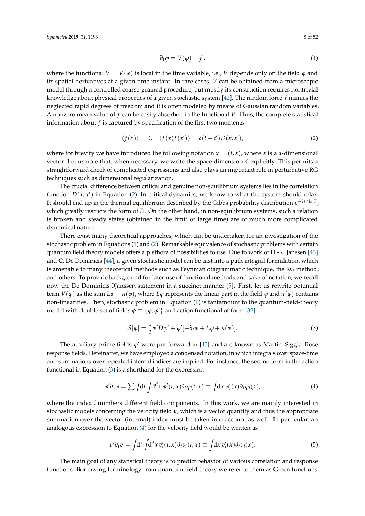where the functional  $V = V(\varphi)$  is local in the time variable, i.e., *V* depends only on the field  $\varphi$  and its spatial derivatives at a given time instant. In rare cases, *V* can be obtained from a microscopic model through a controlled coarse-grained procedure, but mostly its construction requires nontrivial knowledge about physical properties of a given stochastic system [\[42\]](#page-48-22). The random force *f* mimics the neglected rapid degrees of freedom and it is often modeled by means of Gaussian random variables. A nonzero mean value of *f* can be easily absorbed in the functional *V*. Thus, the complete statistical information about *f* is captured by specification of the first two moments

<span id="page-7-1"></span><span id="page-7-0"></span>
$$
\langle f(x) \rangle = 0, \quad \langle f(x)f(x') \rangle = \delta(t - t')D(x, x'), \tag{2}
$$

where for brevity we have introduced the following notation  $x = (t, x)$ , where *x* is a *d*-dimensional vector. Let us note that, when necessary, we write the space dimension *d* explicitly. This permits a straightforward check of complicated expressions and also plays an important role in perturbative RG techniques such as dimensional regularization.

The crucial difference between critical and genuine non-equilibrium systems lies in the correlation function  $D(x, x')$  in Equation [\(2\)](#page-7-0). In critical dynamics, we know to what the system should relax. It should end up in the thermal equilibrium described by the Gibbs probability distribution e $^{-\mathcal{H}/\rm k_BT}$ , which greatly restricts the form of *D*. On the other hand, in non-equilibrium systems, such a relation is broken and steady states (obtained in the limit of large time) are of much more complicated dynamical nature.

There exist many theoretical approaches, which can be undertaken for an investigation of the stochastic problem in Equations [\(1\)](#page-7-1) and [\(2\)](#page-7-0). Remarkable equivalence of stochastic problems with certain quantum field theory models offers a plethora of possibilities to use. Due to work of H.-K. Janssen [\[43\]](#page-48-23) and C. De Dominicis [\[44\]](#page-48-24), a given stochastic model can be cast into a path integral formulation, which is amenable to many theoretical methods such as Feynman diagrammatic technique, the RG method, and others. To provide background for later use of functional methods and sake of notation, we recall now the De Dominicis-0Janssen statement in a succinct manner [\[5\]](#page-47-4). First, let us rewrite potential term  $V(\varphi)$  as the sum  $L\varphi + n(\varphi)$ , where  $L\varphi$  represents the linear part in the field  $\varphi$  and  $n(\varphi)$  contains non-linearities. Then, stochastic problem in Equation [\(1\)](#page-7-1) is tantamount to the quantum-field-theory model with double set of fields  $\phi \equiv \{\varphi, \varphi'\}$  and action functional of form [\[32\]](#page-48-12)

<span id="page-7-2"></span>
$$
S[\phi] = \frac{1}{2}\phi' D\phi' + \phi'[-\partial_t \phi + L\phi + n(\phi)].
$$
\n(3)

The auxiliary prime fields *ϕ* 0 were put forward in [\[45\]](#page-48-25) and are known as Martin–Siggia–Rose response fields. Hereinafter, we have employed a condensed notation, in which integrals over space-time and summations over repeated internal indices are implied. For instance, the second term in the action functional in Equation [\(3\)](#page-7-2) is a shorthand for the expression

<span id="page-7-3"></span>
$$
\varphi' \partial_t \varphi = \sum \int dt \int d^d x \, \varphi'(t, x) \partial_t \varphi(t, x) \equiv \int dx \, \varphi'_i(x) \partial_t \varphi_i(x), \tag{4}
$$

where the index *i* numbers different field components. In this work, we are mainly interested in stochastic models concerning the velocity field *v*, which is a vector quantity and thus the appropriate summation over the vector (internal) index must be taken into account as well. In particular, an analogous expression to Equation [\(4\)](#page-7-3) for the velocity field would be written as

$$
v'\partial_t v = \int dt \int d^d x \, v'_i(t, x) \partial_t v_i(t, x) \equiv \int dx \, v'_i(x) \partial_t v_i(x). \tag{5}
$$

The main goal of any statistical theory is to predict behavior of various correlation and response functions. Borrowing terminology from quantum field theory we refer to them as Green functions.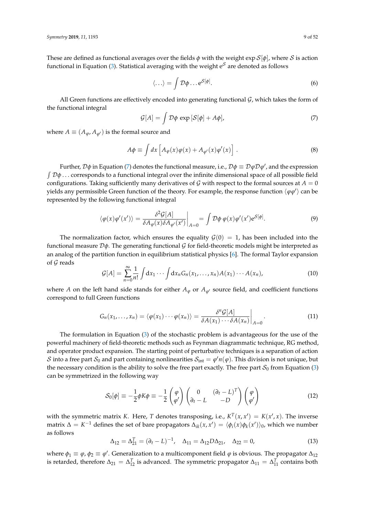These are defined as functional averages over the fields  $\phi$  with the weight exp  $S[\phi]$ , where S is action functional in Equation [\(3\)](#page-7-2). Statistical averaging with the weight  $e^{\mathcal{S}}$  are denoted as follows

<span id="page-8-2"></span>
$$
\langle \ldots \rangle = \int \mathcal{D}\phi \ldots e^{\mathcal{S}[\phi]}.
$$
 (6)

All Green functions are effectively encoded into generating functional  $G$ , which takes the form of the functional integral

<span id="page-8-0"></span>
$$
G[A] = \int \mathcal{D}\phi \, \exp\left[\mathcal{S}[\phi] + A\phi\right],\tag{7}
$$

where  $A \equiv (A_{\varphi}, A_{\varphi'})$  is the formal source and

$$
A\phi \equiv \int dx \left[ A_{\varphi}(x)\varphi(x) + A_{\varphi'}(x)\varphi'(x) \right]. \tag{8}
$$

Further,  $\mathcal{D}\phi$  in Equation [\(7\)](#page-8-0) denotes the functional measure, i.e.,  $\mathcal{D}\phi\equiv\mathcal{D}\phi\mathcal{D}\phi'$ , and the expression  $\int \mathcal{D}\phi$  . . . corresponds to a functional integral over the infinite dimensional space of all possible field configurations. Taking sufficiently many derivatives of  $\mathcal G$  with respect to the formal sources at  $A = 0$ yields any permissible Green function of the theory. For example, the response function  $\langle \varphi\varphi'\rangle$  can be represented by the following functional integral

$$
\langle \varphi(x)\varphi'(x')\rangle = \frac{\delta^2 \mathcal{G}[A]}{\delta A_{\varphi}(x)\delta A_{\varphi'}(x')} \bigg|_{A=0} = \int \mathcal{D}\varphi \,\varphi(x)\varphi'(x') \mathrm{e}^{\mathcal{S}[\varphi]}.\tag{9}
$$

The normalization factor, which ensures the equality  $G(0) = 1$ , has been included into the functional measure D*φ*. The generating functional G for field-theoretic models might be interpreted as an analog of the partition function in equilibrium statistical physics [\[6\]](#page-47-5). The formal Taylor expansion of  $G$  reads

$$
\mathcal{G}[A] = \sum_{n=0}^{\infty} \frac{1}{n!} \int dx_1 \cdots \int dx_n G_n(x_1, \ldots, x_n) A(x_1) \cdots A(x_n), \qquad (10)
$$

where *A* on the left hand side stands for either  $A_{\varphi}$  or  $A_{\varphi'}$  source field, and coefficient functions correspond to full Green functions

$$
G_n(x_1,\ldots,x_n)=\langle \varphi(x_1)\cdots\varphi(x_n)\rangle=\frac{\delta^n\mathcal{G}[A]}{\delta A(x_1)\cdots\delta A(x_n)}\bigg|_{A=0}.
$$
\n(11)

The formulation in Equation [\(3\)](#page-7-2) of the stochastic problem is advantageous for the use of the powerful machinery of field-theoretic methods such as Feynman diagrammatic technique, RG method, and operator product expansion. The starting point of perturbative techniques is a separation of action  $\cal S$  into a free part  $\cal S_0$  and part containing nonlinearities  $\cal S_{\rm int}=\phi' n(\phi).$  This division is not unique, but the necessary condition is the ability to solve the free part exactly. The free part  $S_0$  from Equation [\(3\)](#page-7-2) can be symmetrized in the following way

$$
S_0[\phi] \equiv -\frac{1}{2}\phi K \phi \equiv -\frac{1}{2}\begin{pmatrix} \varphi \\ \varphi' \end{pmatrix} \begin{pmatrix} 0 & (\partial_t - L)^T \\ \partial_t - L & -D \end{pmatrix} \begin{pmatrix} \varphi \\ \varphi' \end{pmatrix}
$$
(12)

with the symmetric matrix *K*. Here, *T* denotes transposing, i.e.,  $K^{T}(x, x') = K(x', x)$ . The inverse matrix  $\Delta = K^{-1}$  defines the set of bare propagators  $\Delta_{ik}(x, x') = \langle \phi_i(x) \phi_k(x') \rangle_0$ , which we number as follows

<span id="page-8-1"></span>
$$
\Delta_{12} = \Delta_{21}^T = (\partial_t - L)^{-1}, \quad \Delta_{11} = \Delta_{12} D \Delta_{21}, \quad \Delta_{22} = 0,
$$
\n(13)

where  $\phi_1 \equiv \phi$ ,  $\phi_2 \equiv \phi'$ . Generalization to a multicomponent field  $\phi$  is obvious. The propagator  $\Delta_{12}$ is retarded, therefore  $\Delta_{21} = \Delta_{12}^T$  is advanced. The symmetric propagator  $\Delta_{11} = \Delta_{11}^T$  contains both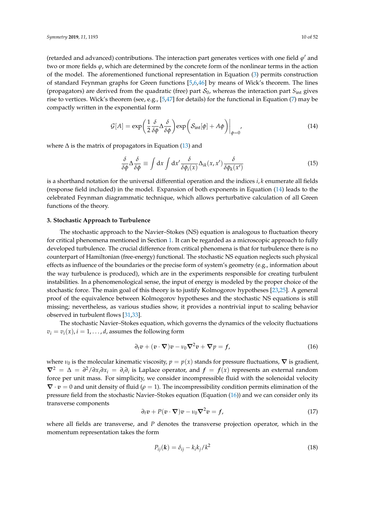(retarded and advanced) contributions. The interaction part generates vertices with one field  $\varphi'$  and two or more fields *ϕ*, which are determined by the concrete form of the nonlinear terms in the action of the model. The aforementioned functional representation in Equation [\(3\)](#page-7-2) permits construction of standard Feynman graphs for Green functions [\[5,](#page-47-4)[6,](#page-47-5)[46\]](#page-48-26) by means of Wick's theorem. The lines (propagators) are derived from the quadratic (free) part  $S_0$ , whereas the interaction part  $S_{int}$  gives rise to vertices. Wick's theorem (see, e.g., [\[5,](#page-47-4)[47\]](#page-48-27) for details) for the functional in Equation [\(7\)](#page-8-0) may be compactly written in the exponential form

<span id="page-9-1"></span>
$$
\mathcal{G}[A] = \exp\left(\frac{1}{2}\frac{\delta}{\delta\phi}\Delta\frac{\delta}{\delta\phi}\right) \exp\left(\mathcal{S}_{\rm int}[\phi] + A\phi\right)\Big|_{\phi=0},\tag{14}
$$

where  $\Delta$  is the matrix of propagators in Equation [\(13\)](#page-8-1) and

$$
\frac{\delta}{\delta \phi} \Delta \frac{\delta}{\delta \phi} \equiv \int dx \int dx' \frac{\delta}{\delta \phi_i(x)} \Delta_{ik}(x, x') \frac{\delta}{\delta \phi_k(x')}
$$
 (15)

is a shorthand notation for the universal differential operation and the indices *i*, *k* enumerate all fields (response field included) in the model. Expansion of both exponents in Equation [\(14\)](#page-9-1) leads to the celebrated Feynman diagrammatic technique, which allows perturbative calculation of all Green functions of the theory.

## <span id="page-9-0"></span>**3. Stochastic Approach to Turbulence**

The stochastic approach to the Navier–Stokes (NS) equation is analogous to fluctuation theory for critical phenomena mentioned in Section [1.](#page-0-0) It can be regarded as a microscopic approach to fully developed turbulence. The crucial difference from critical phenomena is that for turbulence there is no counterpart of Hamiltonian (free-energy) functional. The stochastic NS equation neglects such physical effects as influence of the boundaries or the precise form of system's geometry (e.g., information about the way turbulence is produced), which are in the experiments responsible for creating turbulent instabilities. In a phenomenological sense, the input of energy is modeled by the proper choice of the stochastic force. The main goal of this theory is to justify Kolmogorov hypotheses [\[23](#page-48-3)[,25\]](#page-48-5). A general proof of the equivalence between Kolmogorov hypotheses and the stochastic NS equations is still missing; nevertheless, as various studies show, it provides a nontrivial input to scaling behavior observed in turbulent flows [\[31,](#page-48-11)[33\]](#page-48-13).

The stochastic Navier–Stokes equation, which governs the dynamics of the velocity fluctuations  $v_i = v_i(x)$ ,  $i = 1, \ldots, d$ , assumes the following form

<span id="page-9-2"></span>
$$
\partial_t v + (v \cdot \nabla) v - v_0 \nabla^2 v + \nabla p = f,\tag{16}
$$

where  $\nu_0$  is the molecular kinematic viscosity,  $p = p(x)$  stands for pressure fluctuations,  $\nabla$  is gradient,  $\nabla^2 = \Delta = \frac{\partial^2}{\partial x_i \partial x_i} = \frac{\partial_i \partial_i}{\partial x_i}$  is Laplace operator, and  $f = f(x)$  represents an external random force per unit mass. For simplicity, we consider incompressible fluid with the solenoidal velocity  $\nabla \cdot v = 0$  and unit density of fluid ( $\rho = 1$ ). The incompressibility condition permits elimination of the pressure field from the stochastic Navier–Stokes equation (Equation [\(16\)](#page-9-2)) and we can consider only its transverse components

<span id="page-9-3"></span>
$$
\partial_t v + P(v \cdot \nabla)v - v_0 \nabla^2 v = f,\tag{17}
$$

where all fields are transverse, and *P* denotes the transverse projection operator, which in the momentum representation takes the form

<span id="page-9-4"></span>
$$
P_{ij}(\mathbf{k}) = \delta_{ij} - k_i k_j / k^2
$$
\n(18)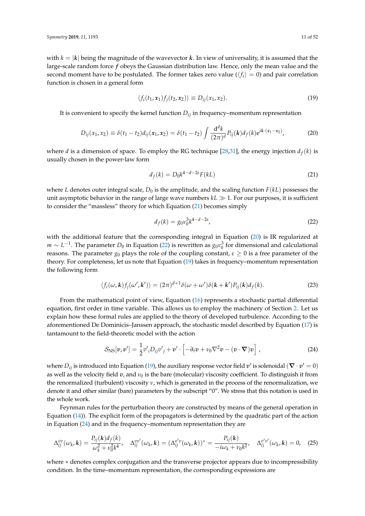with  $k = |k|$  being the magnitude of the wavevector  $k$ . In view of universality, it is assumed that the large-scale random force *f* obeys the Gaussian distribution law. Hence, only the mean value and the second moment have to be postulated. The former takes zero value ( $\langle f_i \rangle = 0$ ) and pair correlation function is chosen in a general form

<span id="page-10-3"></span>
$$
\langle f_i(t_1,\mathbf{x}_1)f_j(t_2,\mathbf{x}_2)\rangle \equiv D_{ij}(x_1,x_2). \tag{19}
$$

It is convenient to specify the kernel function *Dij* in frequency–momentum representation

<span id="page-10-1"></span>
$$
D_{ij}(x_1, x_2) \equiv \delta(t_1 - t_2) d_{ij}(x_1, x_2) = \delta(t_1 - t_2) \int \frac{\mathrm{d}^d k}{(2\pi)^d} P_{ij}(k) d_f(k) e^{ik \cdot (x_1 - x_2)}, \tag{20}
$$

where *d* is a dimension of space. To employ the RG technique [\[28,](#page-48-8)[31\]](#page-48-11), the energy injection *d<sup>f</sup>* (*k*) is usually chosen in the power-law form

<span id="page-10-0"></span>
$$
d_f(k) = D_0 k^{4-d-2\varepsilon} F(kL)
$$
\n(21)

where *L* denotes outer integral scale,  $D_0$  is the amplitude, and the scaling function  $F(kL)$  possesses the unit asymptotic behavior in the range of large wave numbers  $kL \gg 1$ . For our purposes, it is sufficient to consider the "massless" theory for which Equation [\(21\)](#page-10-0) becomes simply

<span id="page-10-4"></span><span id="page-10-2"></span>
$$
d_f(k) = g_0 \nu_0^3 k^{4-d-2\varepsilon},\tag{22}
$$

with the additional feature that the corresponding integral in Equation [\(20\)](#page-10-1) is IR regularized at *m* ∼ *L*<sup>-1</sup>. The parameter  $D_0$  in Equation [\(22\)](#page-10-2) is rewritten as  $g_0v_0^3$  for dimensional and calculational reasons. The parameter  $g_0$  plays the role of the coupling constant,  $\varepsilon \geq 0$  is a free parameter of the theory. For completeness, let us note that Equation [\(19\)](#page-10-3) takes in frequency–momentum representation the following form

<span id="page-10-5"></span>
$$
\langle f_i(\omega, \mathbf{k}) f_j(\omega', \mathbf{k}') \rangle = (2\pi)^{d+1} \delta(\omega + \omega') \delta(\mathbf{k} + \mathbf{k}') P_{ij}(\mathbf{k}) d_f(\mathbf{k}). \tag{23}
$$

From the mathematical point of view, Equation [\(16\)](#page-9-2) represents a stochastic partial differential equation, first order in time variable. This allows us to employ the machinery of Section [2.](#page-6-0) Let us explain how these formal rules are applied to the theory of developed turbulence. According to the aforementioned De Dominicis–Janssen approach, the stochastic model described by Equation [\(17\)](#page-9-3) is tantamount to the field-theoretic model with the action

$$
S_{\rm NS}[\boldsymbol{v}, \boldsymbol{v}'] = \frac{1}{2} v'_{i} D_{ij} v'_{j} + \boldsymbol{v}' \cdot \left[ -\partial_t \boldsymbol{v} + v_0 \nabla^2 \boldsymbol{v} - (\boldsymbol{v} \cdot \boldsymbol{\nabla}) \boldsymbol{v} \right],
$$
\n(24)

where  $D_{ij}$  is introduced into Equation [\(19\)](#page-10-3), the auxiliary response vector field  $v'$  is solenoidal  $(\nabla \cdot v' = 0)$ as well as the velocity field  $v$ , and  $v_0$  is the bare (molecular) viscosity coefficient. To distinguish it from the renormalized (turbulent) viscosity *ν*, which is generated in the process of the renormalization, we denote it and other similar (bare) parameters by the subscript "0". We stress that this notation is used in the whole work.

Feynman rules for the perturbation theory are constructed by means of the general operation in Equation [\(14\)](#page-9-1)). The explicit form of the propagators is determined by the quadratic part of the action in Equation [\(24\)](#page-10-4) and in the frequency–momentum representation they are

$$
\Delta_{ij}^{vv}(\omega_k, k) = \frac{P_{ij}(k)d_f(k)}{\omega_k^2 + v_0^2 k^4}, \quad \Delta_{ij}^{vv'}(\omega_k, k) = (\Delta_{ij}^{v'v}(\omega_k, k))^* = \frac{P_{ij}(k)}{-i\omega_k + v_0 k^2}, \quad \Delta_{ij}^{v'v'}(\omega_k, k) = 0,
$$
 (25)

where \* denotes complex conjugation and the transverse projector appears due to incompressibility condition. In the time–momentum representation, the corresponding expressions are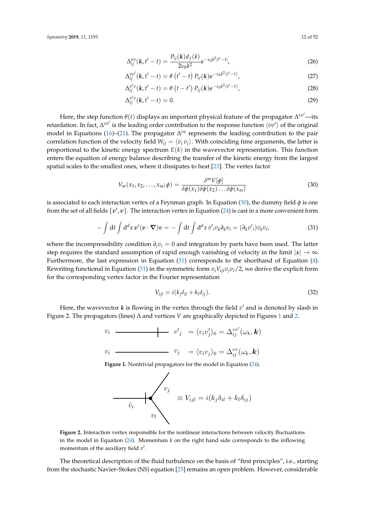$$
\Delta_{ij}^{vv}(\mathbf{k}, t'-t) = \frac{P_{ij}(\mathbf{k})d_f(k)}{2\nu_0 k^2} e^{-\nu_0 k^2 |t'-t|},
$$
\n(26)

$$
\Delta_{ij}^{vv'}(k, t'-t) = \theta(t'-t) P_{ij}(k) e^{-\nu_0 k^2 (t'-t)},
$$
\n(27)

$$
\Delta_{ij}^{v'v}(k, t'-t) = \theta(t-t') P_{ij}(k) e^{-v_0 k^2 (t'-t)},
$$
\n(28)

$$
\Delta_{ij}^{\overline{v}'\overline{v}}(k, t'-t) = 0. \tag{29}
$$

Here, the step function  $\theta(t)$  displays an important physical feature of the propagator  $\Delta^{vv'}$ —its retardation. In fact,  $\Delta^{vv'}$  is the leading order contribution to the response function  $\langle vv' \rangle$  of the original model in Equations [\(16\)](#page-9-2)–[\(21\)](#page-10-0). The propagator  $\Delta^{vv}$  represents the leading contribution to the pair correlation function of the velocity field  $W_{ij} = \langle v_i v_j \rangle$ . With coinciding time arguments, the latter is proportional to the kinetic energy spectrum *E*(*k*) in the wavevector representation. This function enters the equation of energy balance describing the transfer of the kinetic energy from the largest spatial scales to the smallest ones, where it dissipates to heat [\[23\]](#page-48-3). The vertex factor

<span id="page-11-0"></span>
$$
V_m(x_1, x_2, \dots, x_m; \phi) = \frac{\delta^m V[\phi]}{\delta \phi(x_1) \delta \phi(x_2) \dots \delta \phi(x_m)}
$$
(30)

is associated to each interaction vertex of a Feynman graph. In Equation [\(30\)](#page-11-0), the dummy field *φ* is one from the set of all fields  $\{v', v\}$ . The interaction vertex in Equation [\(24\)](#page-10-4) is cast in a more convenient form

<span id="page-11-1"></span>
$$
-\int dt \int d^d x \, v'(v \cdot \nabla) v = -\int dt \int d^d x \, v'_i v_k \partial_k v_i = (\partial_k v'_i) v_k v_i,
$$
\n(31)

where the incompressibility condition  $\partial_i v_i = 0$  and integration by parts have been used. The latter step requires the standard assumption of rapid enough vanishing of velocity in the limit  $|x| \to \infty$ . Furthermore, the last expression in Equation [\(31\)](#page-11-1) corresponds to the shorthand of Equation [\(4\)](#page-7-3). Rewriting functional in Equation [\(31\)](#page-11-1) in the symmetric form  $v_iV_{ii}v_jv_l/2$ , we derive the explicit form for the corresponding vertex factor in the Fourier representation

$$
V_{ijl} = i(k_j \delta_{il} + k_l \delta_{ij}).
$$
\n(32)

<span id="page-11-2"></span>Here, the wavevector  $k$  is flowing in the vertex through the field  $v^\prime$  and is denoted by slash in Figure 2. The propagators (lines) ∆ and vertices *V* are graphically depicted in Figures [1](#page-11-2) and [2.](#page-11-3)

$$
v_i \longrightarrow v'_j = \langle v_i v'_j \rangle_0 = \Delta_{ij}^{vv'}(\omega_k, \mathbf{k})
$$
  

$$
v_i \longrightarrow v_j = \langle v_i v_j \rangle_0 = \Delta_{ij}^{vv}(\omega_k, \mathbf{k})
$$

<span id="page-11-3"></span>**Figure 1.** Nontrivial propagators for the model in Equation [\(24\)](#page-10-4).



**Figure 2.** Interaction vertex responsible for the nonlinear interactions between velocity fluctuations in the model in Equation [\(24\)](#page-10-4). Momentum *k* on the right hand side corresponds to the inflowing momentum of the auxiliary field  $v'$ .

The theoretical description of the fluid turbulence on the basis of "first principles", i.e., starting from the stochastic Navier–Stokes (NS) equation [\[25\]](#page-48-5) remains an open problem. However, considerable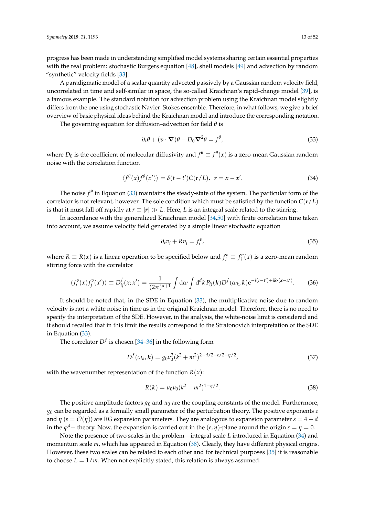progress has been made in understanding simplified model systems sharing certain essential properties with the real problem: stochastic Burgers equation [\[48\]](#page-49-0), shell models [\[49\]](#page-49-1) and advection by random "synthetic" velocity fields [\[33\]](#page-48-13).

A paradigmatic model of a scalar quantity advected passively by a Gaussian random velocity field, uncorrelated in time and self-similar in space, the so-called Kraichnan's rapid-change model [\[39\]](#page-48-19), is a famous example. The standard notation for advection problem using the Kraichnan model slightly differs from the one using stochastic Navier–Stokes ensemble. Therefore, in what follows, we give a brief overview of basic physical ideas behind the Kraichnan model and introduce the corresponding notation.

The governing equation for diffusion–advection for field *θ* is

<span id="page-12-0"></span>
$$
\partial_t \theta + (\mathbf{v} \cdot \nabla)\theta - D_0 \nabla^2 \theta = f^{\theta}, \tag{33}
$$

where  $D_0$  is the coefficient of molecular diffusivity and  $f^{\theta} \equiv f^{\theta}(x)$  is a zero-mean Gaussian random noise with the correlation function

<span id="page-12-1"></span>
$$
\langle f^{\theta}(x)f^{\theta}(x')\rangle = \delta(t-t')C(r/L), \ \ r = x - x'. \tag{34}
$$

The noise  $f^\theta$  in Equation [\(33\)](#page-12-0) maintains the steady-state of the system. The particular form of the correlator is not relevant, however. The sole condition which must be satisfied by the function  $C(r/L)$ is that it must fall off rapidly at  $r \equiv |r| \gg L$ . Here, *L* is an integral scale related to the stirring.

In accordance with the generalized Kraichnan model [\[34,](#page-48-14)[50\]](#page-49-2) with finite correlation time taken into account, we assume velocity field generated by a simple linear stochastic equation

<span id="page-12-4"></span>
$$
\partial_t v_i + R v_i = f_i^v, \tag{35}
$$

where  $R \equiv R(x)$  is a linear operation to be specified below and  $f_i^v \equiv f_i^v(x)$  is a zero-mean random stirring force with the correlator

<span id="page-12-5"></span>
$$
\langle f_i^v(x)f_j^v(x')\rangle \equiv D_{ij}^f(x;x') = \frac{1}{(2\pi)^{d+1}}\int \mathrm{d}\omega \int \mathrm{d}^d k P_{ij}(k)D^f(\omega_k,k)e^{-i(t-t')+ik\cdot(x-x')}.\tag{36}
$$

It should be noted that, in the SDE in Equation [\(33\)](#page-12-0), the multiplicative noise due to random velocity is not a white noise in time as in the original Kraichnan model. Therefore, there is no need to specify the interpretation of the SDE. However, in the analysis, the white-noise limit is considered and it should recalled that in this limit the results correspond to the Stratonovich interpretation of the SDE in Equation [\(33\)](#page-12-0).

The correlator  $D^f$  is chosen [\[34–](#page-48-14)[36\]](#page-48-16) in the following form

<span id="page-12-3"></span>
$$
D^{f}(\omega_{k}, k) = g_{0} \nu_{0}^{3} (k^{2} + m^{2})^{2 - d/2 - \varepsilon/2 - \eta/2},
$$
\n(37)

with the wavenumber representation of the function  $R(x)$ :

<span id="page-12-2"></span>
$$
R(k) = u_0 v_0 (k^2 + m^2)^{1 - \eta/2}.
$$
\n(38)

The positive amplitude factors  $g_0$  and  $u_0$  are the coupling constants of the model. Furthermore, *g*<sup>0</sup> can be regarded as a formally small parameter of the perturbation theory. The positive exponents *ε* and  $\eta$  ( $\varepsilon = \mathcal{O}(\eta)$ ) are RG expansion parameters. They are analogous to expansion parameter  $\varepsilon = 4 - d$ in the  $\varphi^4$  – theory. Now, the expansion is carried out in the  $(\varepsilon, \eta)$ -plane around the origin  $\varepsilon = \eta = 0$ .

Note the presence of two scales in the problem—integral scale *L* introduced in Equation [\(34\)](#page-12-1) and momentum scale *m*, which has appeared in Equation [\(38\)](#page-12-2). Clearly, they have different physical origins. However, these two scales can be related to each other and for technical purposes [\[35\]](#page-48-15) it is reasonable to choose  $L = 1/m$ . When not explicitly stated, this relation is always assumed.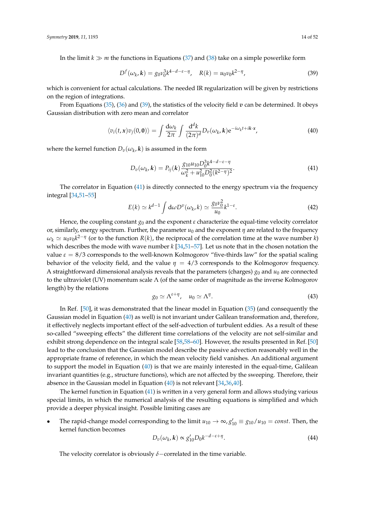In the limit  $k \gg m$  the functions in Equations [\(37\)](#page-12-3) and [\(38\)](#page-12-2) take on a simple powerlike form

<span id="page-13-0"></span>
$$
D^{f}(\omega_{k}, k) = g_{0} \nu_{0}^{3} k^{4-d-\epsilon-\eta}, \quad R(k) = u_{0} \nu_{0} k^{2-\eta}, \tag{39}
$$

which is convenient for actual calculations. The needed IR regularization will be given by restrictions on the region of integrations.

From Equations [\(35\)](#page-12-4), [\(36\)](#page-12-5) and [\(39\)](#page-13-0), the statistics of the velocity field *v* can be determined. It obeys Gaussian distribution with zero mean and correlator

<span id="page-13-2"></span>
$$
\langle v_i(t, \mathbf{x}) v_j(0, \mathbf{0}) \rangle = \int \frac{\mathrm{d}\omega_k}{2\pi} \int \frac{\mathrm{d}^d k}{(2\pi)^d} D_v(\omega_k, \mathbf{k}) e^{-i\omega_k t + i\mathbf{k} \cdot \mathbf{x}}, \tag{40}
$$

where the kernel function  $D_v(\omega_k, \bm{k})$  is assumed in the form

<span id="page-13-1"></span>
$$
D_v(\omega_k, \mathbf{k}) = P_{ij}(\mathbf{k}) \frac{g_{10} u_{10} D_0^3 k^{4-d-\epsilon-\eta}}{\omega_k^2 + u_{10}^2 D_0^2 (k^{2-\eta})^2}.
$$
\n(41)

The correlator in Equation [\(41\)](#page-13-1) is directly connected to the energy spectrum via the frequency integral [\[34](#page-48-14)[,51–](#page-49-3)[55\]](#page-49-4)

$$
E(k) \simeq k^{d-1} \int d\omega D^{\nu}(\omega_k, k) \simeq \frac{g_0 \nu_0^2}{u_0} k^{1-\epsilon}.
$$
 (42)

Hence, the coupling constant  $g_0$  and the exponent  $\varepsilon$  characterize the equal-time velocity correlator or, similarly, energy spectrum. Further, the parameter *u*<sup>0</sup> and the exponent *η* are related to the frequency  $\omega_k \simeq u_0 v_0 k^{2-\eta}$  (or to the function *R*(*k*), the reciprocal of the correlation time at the wave number *k*) which describes the mode with wave number *k* [\[34,](#page-48-14)[51](#page-49-3)[–57\]](#page-49-5). Let us note that in the chosen notation the value  $\varepsilon = 8/3$  corresponds to the well-known Kolmogorov "five-thirds law" for the spatial scaling behavior of the velocity field, and the value  $\eta = 4/3$  corresponds to the Kolmogorov frequency. A straightforward dimensional analysis reveals that the parameters (charges)  $g_0$  and  $u_0$  are connected to the ultraviolet (UV) momentum scale  $\Lambda$  (of the same order of magnitude as the inverse Kolmogorov length) by the relations

$$
g_0 \simeq \Lambda^{\varepsilon + \eta}, \quad u_0 \simeq \Lambda^{\eta}.\tag{43}
$$

In Ref. [\[50\]](#page-49-2), it was demonstrated that the linear model in Equation [\(35\)](#page-12-4) (and consequently the Gaussian model in Equation [\(40\)](#page-13-2) as well) is not invariant under Galilean transformation and, therefore, it effectively neglects important effect of the self-advection of turbulent eddies. As a result of these so-called "sweeping effects" the different time correlations of the velocity are not self-similar and exhibit strong dependence on the integral scale [\[58,58](#page-49-6)[–60\]](#page-49-7). However, the results presented in Ref. [\[50\]](#page-49-2) lead to the conclusion that the Gaussian model describe the passive advection reasonably well in the appropriate frame of reference, in which the mean velocity field vanishes. An additional argument to support the model in Equation [\(40\)](#page-13-2) is that we are mainly interested in the equal-time, Galilean invariant quantities (e.g., structure functions), which are not affected by the sweeping. Therefore, their absence in the Gaussian model in Equation [\(40\)](#page-13-2) is not relevant [\[34,](#page-48-14)[36,](#page-48-16)[40\]](#page-48-20).

The kernel function in Equation [\(41\)](#page-13-1) is written in a very general form and allows studying various special limits, in which the numerical analysis of the resulting equations is simplified and which provide a deeper physical insight. Possible limiting cases are

• The rapid-change model corresponding to the limit  $u_{10} \to \infty$ ,  $g'_{10} \equiv g_{10}/u_{10} = const$ . Then, the kernel function becomes

$$
D_v(\omega_k, k) \propto g'_{10} D_0 k^{-d - \varepsilon + \eta}.
$$
\n(44)

The velocity correlator is obviously *δ*−correlated in the time variable.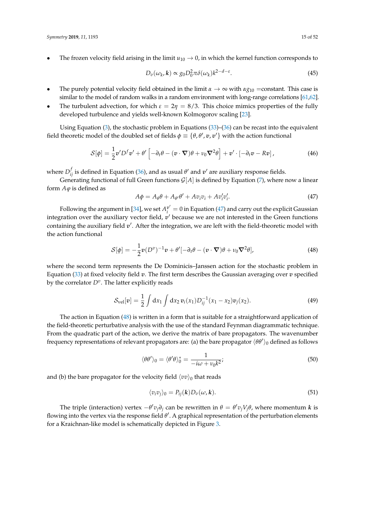The frozen velocity field arising in the limit  $u_{10} \rightarrow 0$ , in which the kernel function corresponds to

$$
D_v(\omega_k, k) \propto g_0 D_0^2 \pi \delta(\omega_k) k^{2-d-\epsilon}.
$$
\n(45)

- The purely potential velocity field obtained in the limit  $\alpha \to \infty$  with  $\alpha g_{10}$  =constant. This case is similar to the model of random walks in a random environment with long-range correlations [\[61](#page-49-8)[,62\]](#page-49-9).
- The turbulent advection, for which  $\varepsilon = 2\eta = 8/3$ . This choice mimics properties of the fully developed turbulence and yields well-known Kolmogorov scaling [\[23\]](#page-48-3).

Using Equation [\(3\)](#page-7-2), the stochastic problem in Equations [\(33\)](#page-12-0)–[\(36\)](#page-12-5) can be recast into the equivalent field theoretic model of the doubled set of fields  $\phi \equiv \{\theta, \theta', v, v'\}$  with the action functional

$$
S[\phi] = \frac{1}{2}v'D^{f}v' + \theta'\left[-\partial_{t}\theta - (v\cdot\nabla)\theta + \nu_{0}\nabla^{2}\theta\right] + v'\cdot\left[-\partial_{t}v - Rv\right],
$$
\n(46)

where  $D_{ij}^f$  is defined in Equation [\(36\)](#page-12-5), and as usual  $\theta'$  and  $v'$  are auxiliary response fields.

Generating functional of full Green functions  $G[A]$  is defined by Equation [\(7\)](#page-8-0), where now a linear form  $A\varphi$  is defined as

<span id="page-14-0"></span>
$$
A\phi = A_{\theta}\theta + A_{\theta'}\theta' + Av_i v_i + Av_i' v_i'.\tag{47}
$$

Following the argument in [\[34\]](#page-48-14), we set  $A_i^{v'} = 0$  in Equation [\(47\)](#page-14-0) and carry out the explicit Gaussian integration over the auxiliary vector field,  $v'$  because we are not interested in the Green functions containing the auxiliary field  $v'$ . After the integration, we are left with the field-theoretic model with the action functional

<span id="page-14-1"></span>
$$
S[\phi] = -\frac{1}{2}v(D^v)^{-1}v + \theta'[-\partial_t\theta - (v \cdot \nabla)\theta + \nu_0\nabla^2\theta],
$$
\n(48)

where the second term represents the De Dominicis–Janssen action for the stochastic problem in Equation [\(33\)](#page-12-0) at fixed velocity field *v*. The first term describes the Gaussian averaging over *v* specified by the correlator *D<sup>v</sup>* . The latter explicitly reads

$$
S_{\text{vel}}[v] = \frac{1}{2} \int \mathrm{d}x_1 \int \mathrm{d}x_2 \, v_i(x_1) D_{ij}^{-1} (x_1 - x_2) v_j(x_2). \tag{49}
$$

The action in Equation [\(48\)](#page-14-1) is written in a form that is suitable for a straightforward application of the field-theoretic perturbative analysis with the use of the standard Feynman diagrammatic technique. From the quadratic part of the action, we derive the matrix of bare propagators. The wavenumber frequency representations of relevant propagators are: (a) the bare propagator  $\langle\theta\theta'\rangle_0$  defined as follows

<span id="page-14-3"></span>
$$
\langle \theta \theta' \rangle_0 = \langle \theta' \theta \rangle_0^* = \frac{1}{-i\omega + \nu_0 k^2};\tag{50}
$$

and (b) the bare propagator for the velocity field  $\langle v v \rangle_0$  that reads

<span id="page-14-2"></span>
$$
\langle v_i v_j \rangle_0 = P_{ij}(\mathbf{k}) D_v(\omega, \mathbf{k}). \tag{51}
$$

The triple (interaction) vertex  $-θ'v_j∂_j$  can be rewritten in  $θ = θ'v_jV_jθ$ , where momentum *k* is flowing into the vertex via the response field θ'. A graphical representation of the perturbation elements for a Kraichnan-like model is schematically depicted in Figure [3.](#page-15-0)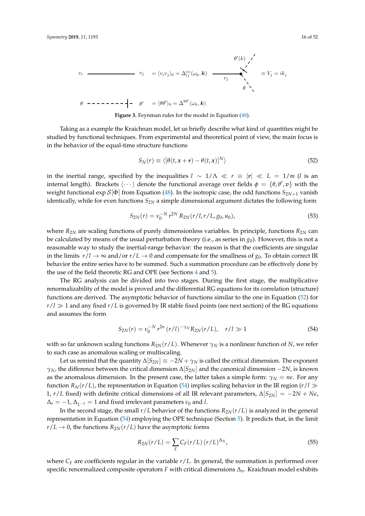<span id="page-15-0"></span>
$$
v_i \longrightarrow v_j = \langle v_i v_j \rangle_0 = \Delta_{ij}^{vv}(\omega_k, \mathbf{k}) \longrightarrow \begin{pmatrix} \theta'(k) \\ v_j \end{pmatrix} = V_j = ik_j
$$

$$
\theta \quad \text{---} \quad \text{---} \quad \text{---} \quad \text{---} \quad \theta' \quad = \langle \theta \theta' \rangle_0 = \Delta^{\theta \theta'}(\omega_k, \mathbf{k})
$$

**Figure 3.** Feynman rules for the model in Equation [\(48\)](#page-14-1).

Taking as a example the Kraichnan model, let us briefly describe what kind of quantities might be studied by functional techniques. From experimental and theoretical point of view, the main focus is in the behavior of the equal-time structure functions

<span id="page-15-1"></span>
$$
S_N(r) \equiv \langle [\theta(t, x + r) - \theta(t, x)]^N \rangle \tag{52}
$$

in the inertial range, specified by the inequalities  $l \sim 1/\Lambda \ll r \equiv |r| \ll L = 1/m$  (*l* is an internal length). Brackets  $\langle \cdots \rangle$  denote the functional average over fields  $\phi = \{\theta, \theta', v\}$  with the weight functional exp  $S[\Phi]$  from Equation [\(48\)](#page-14-1). In the isotropic case, the odd functions  $S_{2N+1}$  vanish identically, while for even functions *S*2*<sup>N</sup>* a simple dimensional argument dictates the following form

$$
S_{2N}(r) = v_0^{-N} r^{2N} R_{2N}(r/l, r/L, g_0, u_0),
$$
\n(53)

where *R*2*<sup>N</sup>* are scaling functions of purely dimensionless variables. In principle, functions *R*2*<sup>N</sup>* can be calculated by means of the usual perturbation theory (i.e., as series in *g*0). However, this is not a reasonable way to study the inertial-range behavior: the reason is that the coefficients are singular in the limits  $r/l \to \infty$  and/or  $r/L \to 0$  and compensate for the smallness of  $g_0$ . To obtain correct IR behavior the entire series have to be summed. Such a summation procedure can be effectively done by the use of the field theoretic RG and OPE (see Sections [4](#page-16-0) and [5\)](#page-18-0).

The RG analysis can be divided into two stages. During the first stage, the multiplicative renormalizability of the model is proved and the differential RG equations for its correlation (structure) functions are derived. The asymptotic behavior of functions similar to the one in Equation [\(52\)](#page-15-1) for  $r/l \gg 1$  and any fixed  $r/L$  is governed by IR stable fixed points (see next section) of the RG equations and assumes the form

<span id="page-15-2"></span>
$$
S_{2N}(r) = v_0^{-N} r^{2n} (r/l)^{-\gamma_N} R_{2N}(r/L), \quad r/l \gg 1
$$
\n(54)

with so far unknown scaling functions  $R_{2N}(r/L)$ . Whenever  $\gamma_N$  is a nonlinear function of *N*, we refer to such case as anomalous scaling or multiscaling.

Let us remind that the quantity  $\Delta[S_{2N}] \equiv -2N + \gamma_N$  is called the critical dimension. The exponent  $\gamma_N$ , the difference between the critical dimension  $\Delta[S_{2N}]$  and the canonical dimension  $-2N$ , is known as the anomalous dimension. In the present case, the latter takes a simple form:  $\gamma_N = n\epsilon$ . For any function  $R_N(r/L)$ , the representation in Equation [\(54\)](#page-15-2) implies scaling behavior in the IR region ( $r/l \gg$ 1, *r*/*L* fixed) with definite critical dimensions of all IR relevant parameters,  $Δ[S_{2N}] = -2N + Nε$ ,  $\Delta_r = -1$ ,  $\Delta_{l-1} = 1$  and fixed irrelevant parameters  $\nu_0$  and *l*.

In the second stage, the small  $r/L$  behavior of the functions  $R_{2N}(r/L)$  is analyzed in the general representation in Equation [\(54\)](#page-15-2) employing the OPE technique (Section [5\)](#page-18-0). It predicts that, in the limit  $r/L \rightarrow 0$ , the functions  $R_{2N}(r/L)$  have the asymptotic forms

$$
R_{2N}(r/L) = \sum_{F} C_F(r/L) (r/L)^{\Delta_N},\tag{55}
$$

where  $C_F$  are coefficients regular in the variable  $r/L$ . In general, the summation is performed over specific renormalized composite operators *F* with critical dimensions ∆*n*. Kraichnan model exhibits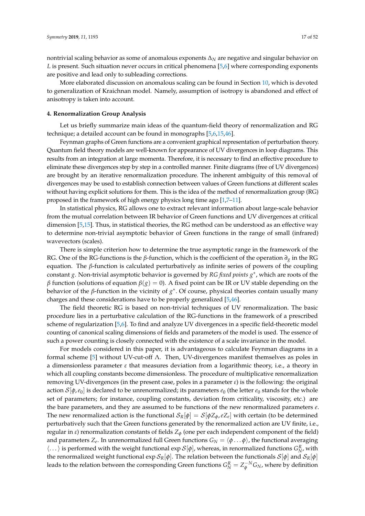nontrivial scaling behavior as some of anomalous exponents ∆*<sup>N</sup>* are negative and singular behavior on *L* is present. Such situation never occurs in critical phenomena [\[5](#page-47-4)[,6\]](#page-47-5) where corresponding exponents are positive and lead only to subleading corrections.

More elaborated discussion on anomalous scaling can be found in Section [10,](#page-37-0) which is devoted to generalization of Kraichnan model. Namely, assumption of isotropy is abandoned and effect of anisotropy is taken into account.

## <span id="page-16-0"></span>**4. Renormalization Group Analysis**

Let us briefly summarize main ideas of the quantum-field theory of renormalization and RG technique; a detailed account can be found in monographs [\[5](#page-47-4)[,6](#page-47-5)[,15](#page-47-10)[,46\]](#page-48-26).

Feynman graphs of Green functions are a convenient graphical representation of perturbation theory. Quantum field theory models are well-known for appearance of UV divergences in loop diagrams. This results from an integration at large momenta. Therefore, it is necessary to find an effective procedure to eliminate these divergences step by step in a controlled manner. Finite diagrams (free of UV divergences) are brought by an iterative renormalization procedure. The inherent ambiguity of this removal of divergences may be used to establish connection between values of Green functions at different scales without having explicit solutions for them. This is the idea of the method of renormalization group (RG) proposed in the framework of high energy physics long time ago [\[1](#page-47-0)[,7](#page-47-6)[–11\]](#page-47-7).

In statistical physics, RG allows one to extract relevant information about large-scale behavior from the mutual correlation between IR behavior of Green functions and UV divergences at critical dimension [\[5,](#page-47-4)[15\]](#page-47-10). Thus, in statistical theories, the RG method can be understood as an effective way to determine non-trivial asymptotic behavior of Green functions in the range of small (infrared) wavevectors (scales).

There is simple criterion how to determine the true asymptotic range in the framework of the RG. One of the RG-functions is the *β*-function, which is the coefficient of the operation *∂<sup>g</sup>* in the RG equation. The *β*-function is calculated perturbatively as infinite series of powers of the coupling constant *g*. Non-trivial asymptotic behavior is governed by *RG fixed points g* ∗ , which are roots of the *β* function (solutions of equation  $β(g) = 0$ ). A fixed point can be IR or UV stable depending on the behavior of the *β*-function in the vicinity of *g* ∗ . Of course, physical theories contain usually many charges and these considerations have to be properly generalized [\[5](#page-47-4)[,46\]](#page-48-26).

The field theoretic RG is based on non-trivial techniques of UV renormalization. The basic procedure lies in a perturbative calculation of the RG-functions in the framework of a prescribed scheme of regularization [\[5,](#page-47-4)[6\]](#page-47-5). To find and analyze UV divergences in a specific field-theoretic model counting of canonical scaling dimensions of fields and parameters of the model is used. The essence of such a power counting is closely connected with the existence of a scale invariance in the model.

For models considered in this paper, it is advantageous to calculate Feynman diagrams in a formal scheme [\[5\]](#page-47-4) without UV-cut-off  $\Lambda$ . Then, UV-divergences manifest themselves as poles in a dimensionless parameter *ε* that measures deviation from a logarithmic theory, i.e., a theory in which all coupling constants become dimensionless. The procedure of multiplicative renormalization removing UV-divergences (in the present case, poles in a parameter *ε*) is the following: the original action  $S[\phi, e_0]$  is declared to be unrenormalized; its parameters  $e_0$  (the letter  $e_0$  stands for the whole set of parameters; for instance, coupling constants, deviation from criticality, viscosity, etc.) are the bare parameters, and they are assumed to be functions of the new renormalized parameters *e*. The new renormalized action is the functional  $\mathcal{S}_R[\phi]=\mathcal{S}[\phi Z_\phi,e Z_e]$  with certain (to be determined perturbatively such that the Green functions generated by the renormalized action are UV finite, i.e., regular in *ε*) renormalization constants of fields *Z<sup>φ</sup>* (one per each independent component of the field) and parameters  $Z_e$ . In unrenormalized full Green functions  $G_N = \langle \phi \dots \phi \rangle$ , the functional averaging  $\langle \dots \rangle$  is performed with the weight functional exp  $S[\phi]$ , whereas, in renormalized functions  $G_N^R$ , with the renormalized weight functional exp  $S_R[\phi]$ . The relation between the functionals  $S[\phi]$  and  $S_R[\phi]$ leads to the relation between the corresponding Green functions  $G_N^R = Z_\phi^{-N} G_N$ , where by definition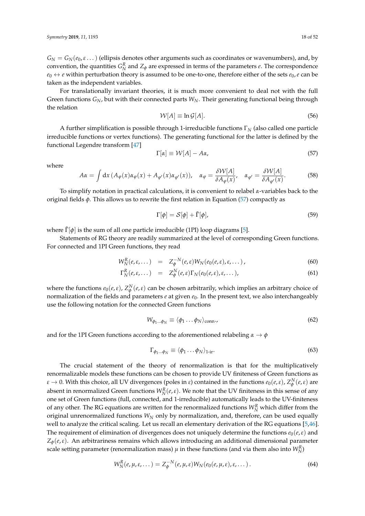$G_N = G_N(e_0, \varepsilon \dots)$  (ellipsis denotes other arguments such as coordinates or wavenumbers), and, by convention, the quantities  $G_N^R$  and  $Z_\phi$  are expressed in terms of the parameters *e*. The correspondence  $e_0 \leftrightarrow e$  within perturbation theory is assumed to be one-to-one, therefore either of the sets  $e_0$ , *e* can be taken as the independent variables.

For translationally invariant theories, it is much more convenient to deal not with the full Green functions *GN*, but with their connected parts *WN*. Their generating functional being through the relation

$$
W[A] \equiv \ln \mathcal{G}[A]. \tag{56}
$$

A further simplification is possible through 1-irreducible functions Γ*<sup>N</sup>* (also called one particle irreducible functions or vertex functions). The generating functional for the latter is defined by the functional Legendre transform [\[47\]](#page-48-27)

<span id="page-17-0"></span>
$$
\Gamma[\alpha] \equiv \mathcal{W}[A] - A\alpha,\tag{57}
$$

where

$$
A\alpha = \int dx (A_{\varphi}(x)\alpha_{\varphi}(x) + A_{\varphi'}(x)\alpha_{\varphi'}(x)), \quad \alpha_{\varphi} = \frac{\delta \mathcal{W}[A]}{\delta A_{\varphi}(x)}, \quad \alpha_{\varphi'} = \frac{\delta \mathcal{W}[A]}{\delta A_{\varphi'}(x)}.
$$
 (58)

To simplify notation in practical calculations, it is convenient to relabel *α*-variables back to the original fields  $\phi$ . This allows us to rewrite the first relation in Equation [\(57\)](#page-17-0) compactly as

$$
\Gamma[\phi] = \mathcal{S}[\phi] + \tilde{\Gamma}[\phi],\tag{59}
$$

where  $\tilde{\Gamma}[\phi]$  is the sum of all one particle irreducible (1PI) loop diagrams [\[5\]](#page-47-4).

Statements of RG theory are readily summarized at the level of corresponding Green functions. For connected and 1PI Green functions, they read

$$
W_N^R(e,\varepsilon,\dots) = Z_{\phi}^{-N}(e,\varepsilon)W_N(e_0(e,\varepsilon),\varepsilon,\dots), \qquad (60)
$$

$$
\Gamma_N^R(e,\varepsilon,\dots) = Z_\phi^N(e,\varepsilon)\Gamma_N(e_0(e,\varepsilon),\varepsilon,\dots), \tag{61}
$$

where the functions  $e_0(e,\varepsilon)$ ,  $Z_{\phi}^N(e,\varepsilon)$  can be chosen arbitrarily, which implies an arbitrary choice of normalization of the fields and parameters *e* at given  $e_0$ . In the present text, we also interchangeably use the following notation for the connected Green functions

$$
W_{\phi_1...\phi_N} \equiv \langle \phi_1 \dots \phi_N \rangle_{\text{conn}}.\tag{62}
$$

and for the 1PI Green functions according to the aforementioned relabeling *α* → *φ*

$$
\Gamma_{\phi_1...\phi_N} \equiv \langle \phi_1 \dots \phi_N \rangle_{1\text{-ir}}.\tag{63}
$$

The crucial statement of the theory of renormalization is that for the multiplicatively renormalizable models these functions can be chosen to provide UV finiteness of Green functions as  $ε \to 0$ . With this choice, all UV divergences (poles in *ε*) contained in the functions  $e_0(e, ε)$ ,  $Z_{\phi}^N(e, ε)$  are absent in renormalized Green functions  $W_N^R(e, \varepsilon)$ . We note that the UV finiteness in this sense of any one set of Green functions (full, connected, and 1-irreducible) automatically leads to the UV-finiteness of any other. The RG equations are written for the renormalized functions  $W_N^R$  which differ from the original unrenormalized functions  $W_N$  only by normalization, and, therefore, can be used equally well to analyze the critical scaling. Let us recall an elementary derivation of the RG equations [\[5,](#page-47-4)[46\]](#page-48-26). The requirement of elimination of divergences does not uniquely determine the functions  $e_0(e, \varepsilon)$  and  $Z_{\phi}(e, \varepsilon)$ . An arbitrariness remains which allows introducing an additional dimensional parameter scale setting parameter (renormalization mass)  $\mu$  in these functions (and via them also into  $W^R_N$ )

$$
W_N^R(e, \mu, \varepsilon, \dots) = Z_{\phi}^{-N}(e, \mu, \varepsilon) W_N(e_0(e, \mu, \varepsilon), \varepsilon, \dots).
$$
 (64)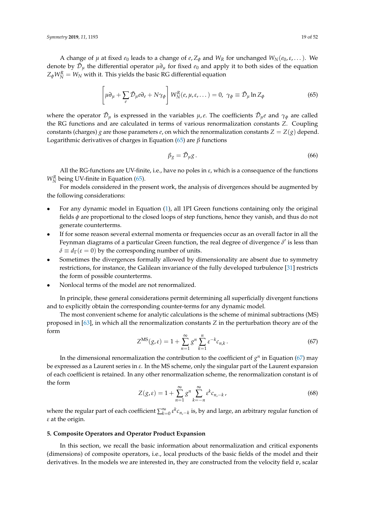A change of  $\mu$  at fixed  $e_0$  leads to a change of  $e$ ,  $Z_{\phi}$  and  $W_R$  for unchanged  $W_N(e_0, \varepsilon, \dots)$ . We denote by  $\tilde{\mathcal{D}}_{\mu}$  the differential operator  $\mu \partial_{\mu}$  for fixed  $e_0$  and apply it to both sides of the equation  $Z_{\phi}W_{N}^{R}=W_{N}$  with it. This yields the basic RG differential equation

<span id="page-18-1"></span>
$$
\left[\mu\partial_{\mu} + \sum_{e} \tilde{\mathcal{D}}_{\mu} e \partial_{e} + N\gamma_{\phi}\right] W_{N}^{R}(e, \mu, \varepsilon, \dots) = 0, \ \gamma_{\phi} \equiv \tilde{\mathcal{D}}_{\mu} \ln Z_{\phi}
$$
 (65)

where the operator  $\tilde{\mathcal{D}}_{\mu}$  is expressed in the variables  $\mu$ , *e*. The coefficients  $\tilde{\mathcal{D}}_{\mu}e$  and  $\gamma_{\phi}$  are called the RG functions and are calculated in terms of various renormalization constants *Z*. Coupling constants (charges) *g* are those parameters *e*, on which the renormalization constants  $Z = Z(g)$  depend. Logarithmic derivatives of charges in Equation [\(65\)](#page-18-1) are *β* functions

$$
\beta_g = \tilde{\mathcal{D}}_\mu g \,. \tag{66}
$$

All the RG-functions are UV-finite, i.e., have no poles in *ε*, which is a consequence of the functions  $W_N^R$  being UV-finite in Equation [\(65\)](#page-18-1).

For models considered in the present work, the analysis of divergences should be augmented by the following considerations:

- For any dynamic model in Equation [\(1\)](#page-7-1), all 1PI Green functions containing only the original fields *φ* are proportional to the closed loops of step functions, hence they vanish, and thus do not generate counterterms.
- If for some reason several external momenta or frequencies occur as an overall factor in all the Feynman diagrams of a particular Green function, the real degree of divergence  $δ'$  is less than  $\delta \equiv d_{\Gamma}(\epsilon = 0)$  by the corresponding number of units.
- Sometimes the divergences formally allowed by dimensionality are absent due to symmetry restrictions, for instance, the Galilean invariance of the fully developed turbulence [\[31\]](#page-48-11) restricts the form of possible counterterms.
- Nonlocal terms of the model are not renormalized.

In principle, these general considerations permit determining all superficially divergent functions and to explicitly obtain the corresponding counter-terms for any dynamic model.

The most convenient scheme for analytic calculations is the scheme of minimal subtractions (MS) proposed in [\[63\]](#page-49-10), in which all the renormalization constants *Z* in the perturbation theory are of the form

<span id="page-18-2"></span>
$$
Z^{\rm MS}(g,\varepsilon) = 1 + \sum_{n=1}^{\infty} g^n \sum_{k=1}^n \varepsilon^{-k} c_{n,k}.
$$
 (67)

In the dimensional renormalization the contribution to the coefficient of  $g<sup>n</sup>$  in Equation [\(67\)](#page-18-2) may be expressed as a Laurent series in *ε*. In the MS scheme, only the singular part of the Laurent expansion of each coefficient is retained. In any other renormalization scheme, the renormalization constant is of the form

$$
Z(g,\varepsilon) = 1 + \sum_{n=1}^{\infty} g^n \sum_{k=-n}^{\infty} \varepsilon^k c_{n,-k},
$$
\n(68)

where the regular part of each coefficient  $\sum_{k=0}^{\infty} \varepsilon^k c_{n,-k}$  is, by and large, an arbitrary regular function of *ε* at the origin.

## <span id="page-18-0"></span>**5. Composite Operators and Operator Product Expansion**

In this section, we recall the basic information about renormalization and critical exponents (dimensions) of composite operators, i.e., local products of the basic fields of the model and their derivatives. In the models we are interested in, they are constructed from the velocity field *v*, scalar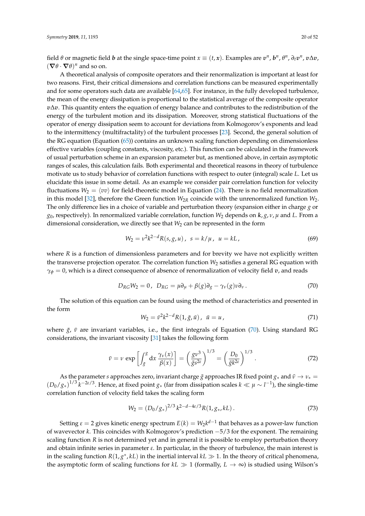field  $\theta$  or magnetic field  $b$  at the single space-time point  $x \equiv (t, x)$ . Examples are  $v^n$ ,  $b^n$ ,  $\theta^n$ ,  $\partial_t v^n$ ,  $v \Delta v$ ,  $(\nabla \theta \cdot \nabla \theta)^n$  and so on.

A theoretical analysis of composite operators and their renormalization is important at least for two reasons. First, their critical dimensions and correlation functions can be measured experimentally and for some operators such data are available [\[64,](#page-49-11)[65\]](#page-49-12). For instance, in the fully developed turbulence, the mean of the energy dissipation is proportional to the statistical average of the composite operator *v*∆*v*. This quantity enters the equation of energy balance and contributes to the redistribution of the energy of the turbulent motion and its dissipation. Moreover, strong statistical fluctuations of the operator of energy dissipation seem to account for deviations from Kolmogorov's exponents and lead to the intermittency (multifractality) of the turbulent processes [\[23\]](#page-48-3). Second, the general solution of the RG equation (Equation [\(65\)](#page-18-1)) contains an unknown scaling function depending on dimensionless effective variables (coupling constants, viscosity, etc.). This function can be calculated in the framework of usual perturbation scheme in an expansion parameter but, as mentioned above, in certain asymptotic ranges of scales, this calculation fails. Both experimental and theoretical reasons in theory of turbulence motivate us to study behavior of correlation functions with respect to outer (integral) scale *L*. Let us elucidate this issue in some detail. As an example we consider pair correlation function for velocity fluctuations  $W_2 = \langle vv \rangle$  for field-theoretic model in Equation [\(24\)](#page-10-4). There is no field renormalization in this model [\[32\]](#page-48-12), therefore the Green function  $W_{2R}$  coincide with the unrenormalized function  $W_{2}$ . The only difference lies in a choice of variable and perturbation theory (expansion either in charge *g* or *g*0, respectively). In renormalized variable correlation, function *W*<sup>2</sup> depends on *k*, *g*, *ν*, *µ* and *L*. From a dimensional consideration, we directly see that *W*<sub>2</sub> can be represented in the form

$$
W_2 = v^2 k^{2-d} R(s, g, u), \ s = k/\mu, \ u = kL, \tag{69}
$$

where *R* is a function of dimensionless parameters and for brevity we have not explicitly written the transverse projection operator. The correlation function *W*<sup>2</sup> satisfies a general RG equation with  $\gamma_{\phi} = 0$ , which is a direct consequence of absence of renormalization of velocity field *v*, and reads

<span id="page-19-0"></span>
$$
D_{RG}W_2 = 0, \ D_{RG} = \mu \partial_\mu + \beta(g)\partial_g - \gamma_\nu(g)\nu \partial_\nu. \tag{70}
$$

The solution of this equation can be found using the method of characteristics and presented in the form

$$
W_2 = \bar{v}^2 k^{2-d} R(1, \bar{g}, \bar{u}), \ \ \bar{u} = u \,, \tag{71}
$$

where *g*, *v* are invariant variables, i.e., the first integrals of Equation [\(70\)](#page-19-0). Using standard RG considerations, the invariant viscosity [\[31\]](#page-48-11) takes the following form

$$
\bar{v} = v \exp\left[\int_{\bar{g}}^{g} dx \frac{\gamma_{\nu}(x)}{\beta(x)}\right] = \left(\frac{g\nu^{3}}{\bar{g}s^{2\varepsilon}}\right)^{1/3} = \left(\frac{D_{0}}{\bar{g}k^{2\varepsilon}}\right)^{1/3}.
$$
 (72)

As the parameter *s* approaches zero, invariant charge  $\bar{g}$  approaches IR fixed point  $g_*$  and  $\bar{v} \rightarrow v_* =$  $(D_0/g_*)^{1/3} k^{-2\varepsilon/3}$ . Hence, at fixed point  $g_*$  (far from dissipation scales  $k \ll \mu \sim l^{-1}$ ), the single-time correlation function of velocity field takes the scaling form

$$
W_2 = (D_0/g_*)^{2/3} k^{2-d-4\varepsilon/3} R(1, g_*, kL).
$$
 (73)

Setting  $\varepsilon = 2$  gives kinetic energy spectrum  $E(k) = W_2 k^{d-1}$  that behaves as a power-law function of wavevector *k*. This coincides with Kolmogorov's prediction −5/3 for the exponent. The remaining scaling function *R* is not determined yet and in general it is possible to employ perturbation theory and obtain infinite series in parameter *ε*. In particular, in the theory of turbulence, the main interest is in the scaling function  $R(1, g^*, kL)$  in the inertial interval  $kL \gg 1$ . In the theory of critical phenomena, the asymptotic form of scaling functions for  $kL \gg 1$  (formally,  $L \to \infty$ ) is studied using Wilson's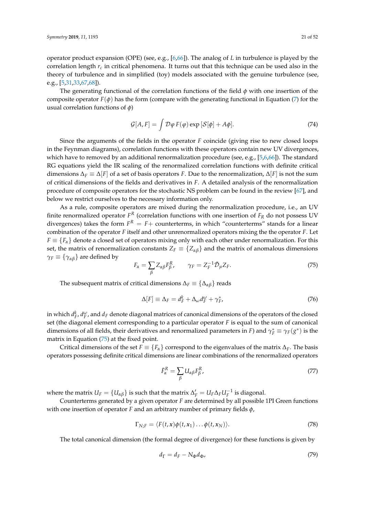operator product expansion (OPE) (see, e.g., [\[6,](#page-47-5)[66\]](#page-49-13)). The analog of *L* in turbulence is played by the correlation length  $r_c$  in critical phenomena. It turns out that this technique can be used also in the theory of turbulence and in simplified (toy) models associated with the genuine turbulence (see, e.g., [\[5,](#page-47-4)[31,](#page-48-11)[33,](#page-48-13)[67](#page-49-14)[,68\]](#page-49-15)).

The generating functional of the correlation functions of the field *φ* with one insertion of the composite operator  $F(\phi)$  has the form (compare with the generating functional in Equation [\(7\)](#page-8-0) for the usual correlation functions of *φ*)

<span id="page-20-2"></span>
$$
\mathcal{G}[A, F] = \int \mathcal{D}\varphi F(\varphi) \exp\left[\mathcal{S}[\varphi] + A\varphi\right].
$$
 (74)

Since the arguments of the fields in the operator *F* coincide (giving rise to new closed loops in the Feynman diagrams), correlation functions with these operators contain new UV divergences, which have to removed by an additional renormalization procedure (see, e.g., [\[5](#page-47-4)[,6,](#page-47-5)[66\]](#page-49-13)). The standard RG equations yield the IR scaling of the renormalized correlation functions with definite critical dimensions ∆*<sup>F</sup>* ≡ ∆[*F*] of a set of basis operators *F*. Due to the renormalization, ∆[*F*] is not the sum of critical dimensions of the fields and derivatives in *F*. A detailed analysis of the renormalization procedure of composite operators for the stochastic NS problem can be found in the review [\[67\]](#page-49-14), and below we restrict ourselves to the necessary information only.

As a rule, composite operators are mixed during the renormalization procedure, i.e., an UV finite renormalized operator  $F^R$  (correlation functions with one insertion of  $F_R$  do not possess UV divergences) takes the form  $F^R = F +$  counterterms, in which "counterterms" stands for a linear combination of the operator *F* itself and other unrenormalized operators mixing the the operator *F*. Let  $F \equiv \{F_\alpha\}$  denote a closed set of operators mixing only with each other under renormalization. For this set, the matrix of renormalization constants  $Z_F \equiv \{Z_{\alpha\beta}\}\$  and the matrix of anomalous dimensions  $\gamma_F \equiv \{\gamma_{\alpha\beta}\}\$ are defined by

<span id="page-20-0"></span>
$$
F_{\alpha} = \sum_{\beta} Z_{\alpha\beta} F_{\beta}^{R}, \qquad \gamma_F = Z_F^{-1} \tilde{\mathcal{D}}_{\mu} Z_F.
$$
 (75)

The subsequent matrix of critical dimensions  $\Delta_F \equiv {\Delta_{\alpha\beta}}$  reads

$$
\Delta[F] \equiv \Delta_F = d_F^k + \Delta_\omega d_F^\omega + \gamma_{F'}^* \tag{76}
$$

in which  $d_F^k$ ,  $d_F^\omega$ , and  $d_F$  denote diagonal matrices of canonical dimensions of the operators of the closed set (the diagonal element corresponding to a particular operator *F* is equal to the sum of canonical dimensions of all fields, their derivatives and renormalized parameters in *F*) and  $\gamma_F^* \equiv \gamma_F(g^*)$  is the matrix in Equation [\(75\)](#page-20-0) at the fixed point.

Critical dimensions of the set  $F \equiv \{F_\alpha\}$  correspond to the eigenvalues of the matrix  $\Delta_F$ . The basis operators possessing definite critical dimensions are linear combinations of the renormalized operators

<span id="page-20-1"></span>
$$
\bar{F}_{\alpha}^{R} = \sum_{\beta} U_{\alpha\beta} F_{\beta}^{R},\tag{77}
$$

where the matrix  $U_F = \{U_{\alpha\beta}\}$  is such that the matrix  $\Delta'_F = U_F \Delta_F U_F^{-1}$  is diagonal.

Counterterms generated by a given operator *F* are determined by all possible 1PI Green functions with one insertion of operator *F* and an arbitrary number of primary fields *φ*,

$$
\Gamma_{N;F} = \langle F(t,x)\phi(t,x_1)\dots\phi(t,x_N)\rangle.
$$
 (78)

The total canonical dimension (the formal degree of divergence) for these functions is given by

$$
d_{\Gamma} = d_{F} - N_{\Phi} d_{\Phi},\tag{79}
$$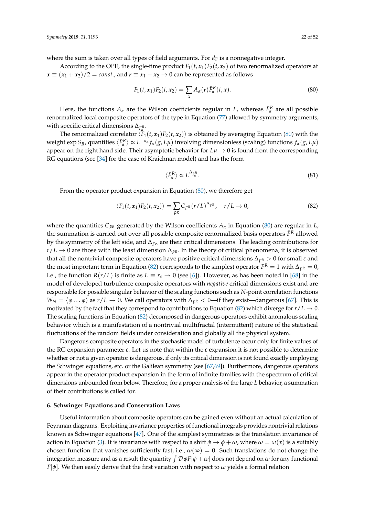where the sum is taken over all types of field arguments. For *d*<sub>Γ</sub> is a nonnegative integer.

According to the OPE, the single-time product  $F_1(t, x_1)F_2(t, x_2)$  of two renormalized operators at  $x \equiv (x_1 + x_2)/2 = \text{const.}$ , and  $r \equiv x_1 - x_2 \rightarrow 0$  can be represented as follows

<span id="page-21-1"></span>
$$
F_1(t, x_1) F_2(t, x_2) = \sum_{\alpha} A_{\alpha}(r) \bar{F}_{\alpha}^{R}(t, x).
$$
 (80)

Here, the functions  $A_\alpha$  are the Wilson coefficients regular in *L*, whereas  $\bar{F}_\alpha^R$  are all possible renormalized local composite operators of the type in Equation [\(77\)](#page-20-1) allowed by symmetry arguments, with specific critical dimensions  $\Delta_{\bar{F}_{\alpha}^R}$ .

The renormalized correlator  $\langle F_1(t, x_1) F_2(t, x_2) \rangle$  is obtained by averaging Equation [\(80\)](#page-21-1) with the weight exp  $S_R$ , quantities  $\langle \bar{F}_\alpha^R \rangle \propto L^{-d_\alpha} f_\alpha(g, L\mu)$  involving dimensionless (scaling) functions  $f_\alpha(g, L\mu)$ appear on the right hand side. Their asymptotic behavior for  $L\mu \rightarrow 0$  is found from the corresponding RG equations (see [\[34\]](#page-48-14) for the case of Kraichnan model) and has the form

$$
\langle F_{\alpha}^{R} \rangle \propto L^{\Delta_{\bar{F}_{\alpha}^{R}}}.
$$
\n(81)

From the operator product expansion in Equation [\(80\)](#page-21-1), we therefore get

<span id="page-21-2"></span>
$$
\langle F_1(t, x_1) F_2(t, x_2) \rangle = \sum_{\bar{F}^R} C_{\bar{F}^R}(r/L)^{\Delta_{\bar{F}^R}}, \quad r/L \to 0,
$$
\n(82)

where the quantities  $C_{\bar{F}R}$  generated by the Wilson coefficients  $A_\alpha$  in Equation [\(80\)](#page-21-1) are regular in *L*, the summation is carried out over all possible composite renormalized basis operators  $\bar{F}^R$  allowed by the symmetry of the left side, and ∆<sub>*FR*</sub> are their critical dimensions. The leading contributions for *r*/*L* → 0 are those with the least dimension  $\Delta_{\bar{F}R}$ . In the theory of critical phenomena, it is observed that all the nontrivial composite operators have positive critical dimensions  $\Delta_{\bar{F}R} > 0$  for small *ε* and the most important term in Equation [\(82\)](#page-21-2) corresponds to the simplest operator  $\bar{F}^R = 1$  with  $\Delta_{\bar{F}^R} = 0$ , i.e., the function *R*( $r/L$ ) is finite as  $L \equiv r_c \rightarrow 0$  (see [\[6\]](#page-47-5)). However, as has been noted in [\[68\]](#page-49-15) in the model of developed turbulence composite operators with *negative* critical dimensions exist and are responsible for possible singular behavior of the scaling functions such as *N*-point correlation functions  $W_N = \langle \varphi \dots \varphi \rangle$  as  $r/L \to 0$ . We call operators with  $\Delta_{FR} < 0$ —if they exist—dangerous [\[67\]](#page-49-14). This is motivated by the fact that they correspond to contributions to Equation [\(82\)](#page-21-2) which diverge for  $r/L \to 0$ . The scaling functions in Equation [\(82\)](#page-21-2) decomposed in dangerous operators exhibit anomalous scaling behavior which is a manifestation of a nontrivial multifractal (intermittent) nature of the statistical fluctuations of the random fields under consideration and globally all the physical system.

Dangerous composite operators in the stochastic model of turbulence occur only for finite values of the RG expansion parameter *ε*. Let us note that within the *ε* expansion it is not possible to determine whether or not a given operator is dangerous, if only its critical dimension is not found exactly employing the Schwinger equations, etc. or the Galilean symmetry (see [\[67](#page-49-14)[,69\]](#page-49-16)). Furthermore, dangerous operators appear in the operator product expansion in the form of infinite families with the spectrum of critical dimensions unbounded from below. Therefore, for a proper analysis of the large *L* behavior, a summation of their contributions is called for.

## <span id="page-21-0"></span>**6. Schwinger Equations and Conservation Laws**

Useful information about composite operators can be gained even without an actual calculation of Feynman diagrams. Exploiting invariance properties of functional integrals provides nontrivial relations known as Schwinger equations [\[47\]](#page-48-27). One of the simplest symmetries is the translation invariance of action in Equation [\(3\)](#page-7-2). It is invariance with respect to a shift  $\phi \to \phi + \omega$ , where  $\omega = \omega(x)$  is a suitably chosen function that vanishes sufficiently fast, i.e.,  $\omega(\infty) = 0$ . Such translations do not change the integration measure and as a result the quantity  $\int \mathcal{D}\varphi F[\phi+\omega]$  does not depend on  $\omega$  for any functional *F*[*φ*]. We then easily derive that the first variation with respect to *ω* yields a formal relation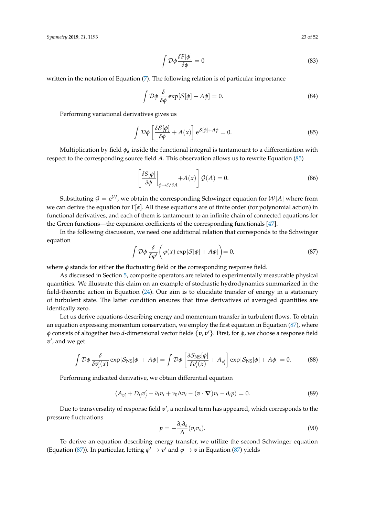$$
\int \mathcal{D}\phi \frac{\delta F[\phi]}{\delta \phi} = 0
$$
\n(83)

written in the notation of Equation [\(7\)](#page-8-0). The following relation is of particular importance

$$
\int \mathcal{D}\phi \frac{\delta}{\delta \phi} \exp[\mathcal{S}[\phi] + A\phi] = 0. \tag{84}
$$

Performing variational derivatives gives us

<span id="page-22-0"></span>
$$
\int \mathcal{D}\phi \left[\frac{\delta \mathcal{S}[\phi]}{\delta \phi} + A(x)\right] e^{\mathcal{S}[\phi] + A\phi} = 0.
$$
\n(85)

Multiplication by field *φ<sup>α</sup>* inside the functional integral is tantamount to a differentiation with respect to the corresponding source field *A*. This observation allows us to rewrite Equation [\(85\)](#page-22-0)

$$
\left[\frac{\delta S[\phi]}{\delta \phi}\Big|_{\phi \to \delta/\delta A} + A(x)\right] \mathcal{G}(A) = 0. \tag{86}
$$

Substituting  $G = e^{\mathcal{W}}$ , we obtain the corresponding Schwinger equation for  $\mathcal{W}[A]$  where from we can derive the equation for Γ[*α*]. All these equations are of finite order (for polynomial action) in functional derivatives, and each of them is tantamount to an infinite chain of connected equations for the Green functions—the expansion coefficients of the corresponding functionals [\[47\]](#page-48-27).

In the following discussion, we need one additional relation that corresponds to the Schwinger equation

<span id="page-22-1"></span>
$$
\int \mathcal{D}\phi \frac{\delta}{\delta \phi'} \bigg( \varphi(x) \exp[\mathcal{S}[\phi] + A\phi] \bigg) = 0, \tag{87}
$$

where  $\phi$  stands for either the fluctuating field or the corresponding response field.

As discussed in Section [5,](#page-18-0) composite operators are related to experimentally measurable physical quantities. We illustrate this claim on an example of stochastic hydrodynamics summarized in the field-theoretic action in Equation [\(24\)](#page-10-4). Our aim is to elucidate transfer of energy in a stationary of turbulent state. The latter condition ensures that time derivatives of averaged quantities are identically zero.

Let us derive equations describing energy and momentum transfer in turbulent flows. To obtain an equation expressing momentum conservation, we employ the first equation in Equation [\(87\)](#page-22-1), where *φ* consists of altogether two *d*-dimensional vector fields {*v*, *v* <sup>0</sup>}. First, for *φ*, we choose a response field  $v^\prime$ , and we get

$$
\int \mathcal{D}\phi \frac{\delta}{\delta v_i'(x)} \exp[\mathcal{S}_{\rm NS}[\phi] + A\phi] = \int \mathcal{D}\phi \left[ \frac{\delta \mathcal{S}_{\rm NS}[\phi]}{\delta v_i'(x)} + A_{v_i'} \right] \exp[\mathcal{S}_{\rm NS}[\phi] + A\phi] = 0. \tag{88}
$$

Performing indicated derivative, we obtain differential equation

<span id="page-22-2"></span>
$$
\langle A_{v'_i} + D_{ij} v'_j - \partial_t v_i + \nu_0 \Delta v_i - (\boldsymbol{v} \cdot \boldsymbol{\nabla}) v_i - \partial_i p \rangle = 0.
$$
 (89)

Due to transversality of response field  $v^\prime$ , a nonlocal term has appeared, which corresponds to the pressure fluctuations

$$
p = -\frac{\partial_l \partial_s}{\Delta} (v_l v_s). \tag{90}
$$

To derive an equation describing energy transfer, we utilize the second Schwinger equation (Equation [\(87\)](#page-22-1)). In particular, letting  $\varphi' \to v'$  and  $\varphi \to v$  in Equation (87) yields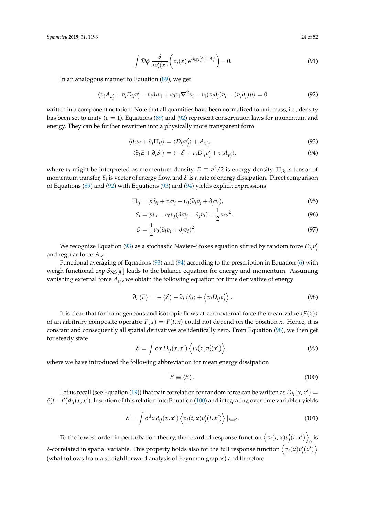$$
\int \mathcal{D}\phi \frac{\delta}{\delta v_i'(x)} \left( v_i(x) e^{\mathcal{S}_{\rm NS}[\phi] + A\phi} \right) = 0.
$$
\n(91)

In an analogous manner to Equation [\(89\)](#page-22-2), we get

<span id="page-23-0"></span>
$$
\langle v_i A_{v'_i} + v_i D_{ij} v'_j - v_i \partial_t v_i + v_0 v_i \nabla^2 v_i - v_i (v_j \partial_j) v_i - (v_j \partial_j) p \rangle = 0
$$
\n(92)

written in a component notation. Note that all quantities have been normalized to unit mass, i.e., density has been set to unity ( $\rho = 1$ ). Equations [\(89\)](#page-22-2) and [\(92\)](#page-23-0) represent conservation laws for momentum and energy. They can be further rewritten into a physically more transparent form

$$
\langle \partial_t v_i + \partial_j \Pi_{ij} \rangle = \langle D_{ij} v'_j \rangle + A_{v'_i}, \tag{93}
$$

$$
\langle \partial_t E + \partial_i S_i \rangle = \langle -\mathcal{E} + v_i D_{ij} v_j' + v_i A_{v_i'} \rangle, \tag{94}
$$

where  $v_i$  might be interpreted as momentum density,  $E \equiv v^2/2$  is energy density,  $\Pi_{ik}$  is tensor of momentum transfer,  $S_i$  is vector of energy flow, and  ${\cal E}$  is a rate of energy dissipation. Direct comparison of Equations [\(89\)](#page-22-2) and [\(92\)](#page-23-0) with Equations [\(93\)](#page-23-1) and [\(94\)](#page-23-2) yields explicit expressions

$$
\Pi_{ij} = p\delta_{ij} + v_i v_j - v_0 (\partial_i v_j + \partial_j v_i), \qquad (95)
$$

$$
S_i = pv_i - v_0 v_j (\partial_i v_j + \partial_j v_i) + \frac{1}{2} v_i v^2,
$$
\n(96)

$$
\mathcal{E} = \frac{1}{2} \nu_0 (\partial_i v_j + \partial_j v_i)^2.
$$
\n(97)

We recognize Equation [\(93\)](#page-23-1) as a stochastic Navier–Stokes equation stirred by random force *Dijv* 0 *j* and regular force  $A_{v_i'}$ .

Functional averaging of Equations [\(93\)](#page-23-1) and [\(94\)](#page-23-2) according to the prescription in Equation [\(6\)](#page-8-2) with weigh functional  $\exp \mathcal{S}_{\text{NS}}[\phi]$  leads to the balance equation for energy and momentum. Assuming vanishing external force  $A_{v'_i}$ , we obtain the following equation for time derivative of energy

<span id="page-23-3"></span>
$$
\partial_t \langle E \rangle = - \langle E \rangle - \partial_i \langle S_i \rangle + \langle v_i D_{ij} v'_j \rangle. \tag{98}
$$

It is clear that for homogeneous and isotropic flows at zero external force the mean value  $\langle F(x) \rangle$ of an arbitrary composite operator  $F(x) = F(t, x)$  could not depend on the position *x*. Hence, it is constant and consequently all spatial derivatives are identically zero. From Equation [\(98\)](#page-23-3), we then get for steady state

$$
\overline{\mathcal{E}} = \int dx D_{ij}(x, x') \langle v_i(x) v_j'(x') \rangle, \qquad (99)
$$

where we have introduced the following abbreviation for mean energy dissipation

<span id="page-23-4"></span>
$$
\overline{\mathcal{E}} \equiv \langle \mathcal{E} \rangle. \tag{100}
$$

Let us recall (see Equation [\(19\)](#page-10-3)) that pair correlation for random force can be written as  $D_{ij}(x,x') =$  $\delta(t-t')d_{ij}(x,x')$ . Insertion of this relation into Equation [\(100\)](#page-23-4) and integrating over time variable *t* yields

<span id="page-23-5"></span>
$$
\overline{\mathcal{E}} = \int d^d x \, d_{ij}(x, x') \left\langle v_i(t, x) v_j'(t, x') \right\rangle|_{t=t'}.
$$
\n(101)

To the lowest order in perturbation theory, the retarded response function  $\left\langle v_i(t,{\bm x}) v_j'(t,{\bm x}') \right\rangle$  $\mathbf{a}$  is *δ*-correlated in spatial variable. This property holds also for the full response function  $\left\langle v_i(x)v'_j(x')\right\rangle$ (what follows from a straightforward analysis of Feynman graphs) and therefore

<span id="page-23-2"></span><span id="page-23-1"></span>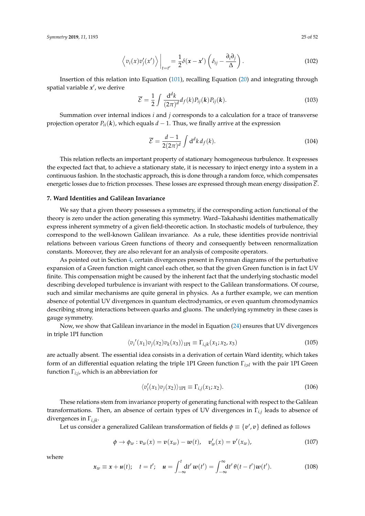*Symmetry* **2019**, *11*, 1193 25 of 52

$$
\left\langle v_i(x)v'_j(x')\right\rangle\bigg|_{t=t'} = \frac{1}{2}\delta(x-x')\left(\delta_{ij}-\frac{\partial_i\partial_j}{\Delta}\right).
$$
 (102)

Insertion of this relation into Equation [\(101\)](#page-23-5), recalling Equation [\(20\)](#page-10-1) and integrating through spatial variable  $x^{\prime}$ , we derive

$$
\overline{\mathcal{E}} = \frac{1}{2} \int \frac{\mathrm{d}^d k}{(2\pi)^d} d_f(k) P_{ij}(\mathbf{k}) P_{ij}(\mathbf{k}). \tag{103}
$$

Summation over internal indices *i* and *j* corresponds to a calculation for a trace of transverse projection operator  $P_{ii}(\mathbf{k})$ , which equals  $d-1$ . Thus, we finally arrive at the expression

$$
\overline{\mathcal{E}} = \frac{d-1}{2(2\pi)^d} \int d^d k \, d_f(k). \tag{104}
$$

This relation reflects an important property of stationary homogeneous turbulence. It expresses the expected fact that, to achieve a stationary state, it is necessary to inject energy into a system in a continuous fashion. In the stochastic approach, this is done through a random force, which compensates energetic losses due to friction processes. These losses are expressed through mean energy dissipation  $\mathcal{E}$ .

## <span id="page-24-0"></span>**7. Ward Identities and Galilean Invariance**

We say that a given theory possesses a symmetry, if the corresponding action functional of the theory is zero under the action generating this symmetry. Ward–Takahashi identities mathematically express inherent symmetry of a given field-theoretic action. In stochastic models of turbulence, they correspond to the well-known Galilean invariance. As a rule, these identities provide nontrivial relations between various Green functions of theory and consequently between renormalization constants. Moreover, they are also relevant for an analysis of composite operators.

As pointed out in Section [4,](#page-16-0) certain divergences present in Feynman diagrams of the perturbative expansion of a Green function might cancel each other, so that the given Green function is in fact UV finite. This compensation might be caused by the inherent fact that the underlying stochastic model describing developed turbulence is invariant with respect to the Galilean transformations. Of course, such and similar mechanisms are quite general in physics. As a further example, we can mention absence of potential UV divergences in quantum electrodynamics, or even quantum chromodynamics describing strong interactions between quarks and gluons. The underlying symmetry in these cases is gauge symmetry.

Now, we show that Galilean invariance in the model in Equation [\(24\)](#page-10-4) ensures that UV divergences in triple 1PI function

$$
\langle v_i'(x_1)v_j(x_2)v_k(x_3)\rangle_{1PI} \equiv \Gamma_{i,jk}(x_1;x_2,x_3)
$$
\n(105)

are actually absent. The essential idea consists in a derivation of certain Ward identity, which takes form of an differential equation relating the triple 1PI Green function Γ*i*;*sl* with the pair 1PI Green function Γ*i*;*<sup>j</sup>* , which is an abbreviation for

$$
\langle v_i'(x_1)v_j(x_2)\rangle_{\text{1PI}} \equiv \Gamma_{i,j}(x_1; x_2). \tag{106}
$$

These relations stem from invariance property of generating functional with respect to the Galilean transformations. Then, an absence of certain types of UV divergences in Γ*i*,*<sup>j</sup>* leads to absence of divergences in Γ*i*,*jk*.

Let us consider a generalized Galilean transformation of fields  $\phi \equiv \{v',v\}$  defined as follows

<span id="page-24-1"></span>
$$
\phi \to \phi_w : v_w(x) = v(x_w) - w(t), \quad v'_w(x) = v'(x_w), \tag{107}
$$

where

<span id="page-24-2"></span>
$$
\mathbf{x}_w \equiv \mathbf{x} + \mathbf{u}(t); \quad t = t'; \quad \mathbf{u} = \int_{-\infty}^t dt' \, \mathbf{w}(t') = \int_{-\infty}^{\infty} dt' \, \theta(t - t') \mathbf{w}(t'). \tag{108}
$$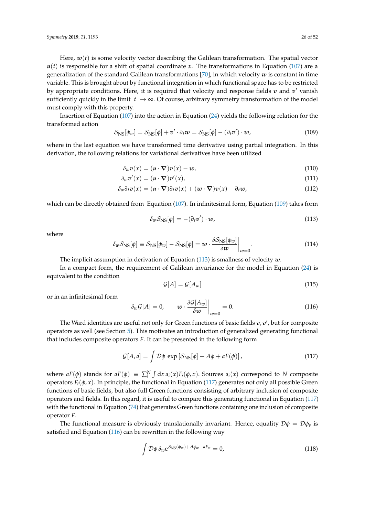Here,  $w(t)$  is some velocity vector describing the Galilean transformation. The spatial vector  $u(t)$  is responsible for a shift of spatial coordinate *x*. The transformations in Equation [\(107\)](#page-24-1) are a generalization of the standard Galilean transformations [\[70\]](#page-49-17), in which velocity *w* is constant in time variable. This is brought about by functional integration in which functional space has to be restricted by appropriate conditions. Here, it is required that velocity and response fields  $v$  and  $v'$  vanish sufficiently quickly in the limit  $|t| \to \infty$ . Of course, arbitrary symmetry transformation of the model must comply with this property.

Insertion of Equation [\(107\)](#page-24-1) into the action in Equation [\(24\)](#page-10-4) yields the following relation for the transformed action

<span id="page-25-0"></span>
$$
S_{\rm NS}[\phi_w] = S_{\rm NS}[\phi] + v' \cdot \partial_t w = S_{\rm NS}[\phi] - (\partial_t v') \cdot w, \qquad (109)
$$

where in the last equation we have transformed time derivative using partial integration. In this derivation, the following relations for variational derivatives have been utilized

$$
\delta_w v(x) = (u \cdot \nabla) v(x) - w,
$$
\n(110)

$$
\delta_w v'(x) = (u \cdot \nabla)v'(x), \tag{111}
$$

$$
\delta_w \partial_t v(x) = (u \cdot \nabla) \partial_t v(x) + (w \cdot \nabla) v(x) - \partial_t w,
$$
\n(112)

which can be directly obtained from Equation [\(107\)](#page-24-1). In infinitesimal form, Equation [\(109\)](#page-25-0) takes form

<span id="page-25-4"></span><span id="page-25-1"></span>
$$
\delta_w S_{\rm NS}[\phi] = -(\partial_t v') \cdot w,\tag{113}
$$

where

$$
\delta_w S_{\rm NS}[\phi] \equiv S_{\rm NS}[\phi_w] - S_{\rm NS}[\phi] = w \cdot \frac{\delta S_{\rm NS}[\phi_w]}{\delta w}\bigg|_{w=0}.
$$
\n(114)

The implicit assumption in derivation of Equation [\(113\)](#page-25-1) is smallness of velocity *w*.

In a compact form, the requirement of Galilean invariance for the model in Equation [\(24\)](#page-10-4) is equivalent to the condition

$$
\mathcal{G}[A] = \mathcal{G}[A_w] \tag{115}
$$

or in an infinitesimal form

<span id="page-25-3"></span>
$$
\delta_w \mathcal{G}[A] = 0, \qquad \mathbf{w} \cdot \frac{\delta \mathcal{G}[A_w]}{\delta \mathbf{w}} \bigg|_{\mathbf{w} = 0} = 0. \tag{116}
$$

The Ward identities are useful not only for Green functions of basic fields  $v$ ,  $v^\prime$ , but for composite operators as well (see Section [5\)](#page-18-0). This motivates an introduction of generalized generating functional that includes composite operators *F*. It can be presented in the following form

<span id="page-25-2"></span>
$$
\mathcal{G}[A,a] = \int \mathcal{D}\phi \, \exp\left[\mathcal{S}_{\rm NS}[\phi] + A\phi + aF(\phi)\right],\tag{117}
$$

where  $aF(\phi)$  stands for  $aF(\phi) \equiv \sum_i^N \int dx a_i(x) F_i(\phi, x)$ . Sources  $a_i(x)$  correspond to *N* composite operators  $F_i(\phi, x)$ . In principle, the functional in Equation [\(117\)](#page-25-2) generates not only all possible Green functions of basic fields, but also full Green functions consisting of arbitrary inclusion of composite operators and fields. In this regard, it is useful to compare this generating functional in Equation [\(117\)](#page-25-2) with the functional in Equation [\(74\)](#page-20-2) that generates Green functions containing one inclusion of composite operator *F*.

The functional measure is obviously translationally invariant. Hence, equality  $\mathcal{D}\phi = \mathcal{D}\phi_v$  is satisfied and Equation [\(116\)](#page-25-3) can be rewritten in the following way

$$
\int \mathcal{D}\phi \, \delta_w \mathbf{e}^{\mathcal{S}_{\rm NS}(\phi_w) + A\phi_w + aF_w} = 0,
$$
\n(118)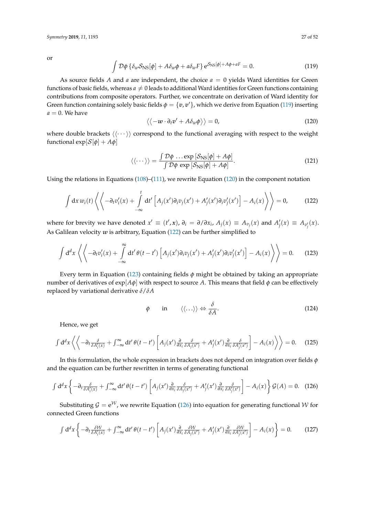or

<span id="page-26-0"></span>
$$
\int \mathcal{D}\phi \left\{ \delta_w \mathcal{S}_{\rm NS}[\phi] + A \delta_w \phi + a \delta_w F \right\} e^{\mathcal{S}_{\rm NS}[\phi] + A\phi + aF} = 0. \tag{119}
$$

As source fields *A* and *a* are independent, the choice *a* = 0 yields Ward identities for Green functions of basic fields, whereas  $a \neq 0$  leads to additional Ward identities for Green functions containing contributions from composite operators. Further, we concentrate on derivation of Ward identity for Green function containing solely basic fields  $\phi = \{v, v'\}$ , which we derive from Equation [\(119\)](#page-26-0) inserting  $a = 0$ . We have

<span id="page-26-1"></span>
$$
\langle \langle -\boldsymbol{w} \cdot \partial_t \boldsymbol{v}' + A \delta_{\boldsymbol{w}} \phi \rangle \rangle = 0, \qquad (120)
$$

where double brackets  $\langle \langle \cdots \rangle \rangle$  correspond to the functional averaging with respect to the weight functional  $exp[\mathcal{S}[\phi] + A\phi]$ 

$$
\langle\langle\cdots\rangle\rangle = \frac{\int \mathcal{D}\phi \dots \exp\left[\mathcal{S}_{\rm NS}[\phi] + A\phi\right]}{\int \mathcal{D}\phi \exp\left[\mathcal{S}_{\rm NS}[\phi] + A\phi\right]}.
$$
\n(121)

Using the relations in Equations [\(108\)](#page-24-2)–[\(111\)](#page-25-4), we rewrite Equation [\(120\)](#page-26-1) in the component notation

<span id="page-26-2"></span>
$$
\int dx w_i(t) \left\langle \left\langle -\partial_t v_i'(x) + \int_{-\infty}^t dt' \left[ A_j(x') \partial_i v_j(x') + A_j'(x') \partial_i v_j'(x') \right] - A_i(x) \right\rangle \right\rangle = 0, \quad (122)
$$

where for brevity we have denoted  $x' \equiv (t',x)$ ,  $\partial_i = \partial/\partial x_i$ ,  $A_j(x) \equiv A_{v_j}(x)$  and  $A'_j(x) \equiv A_{v'_j}(x)$ . As Galilean velocity *w* is arbitrary, Equation [\(122\)](#page-26-2) can be further simplified to

<span id="page-26-3"></span>
$$
\int d^d x \left\langle \left\langle -\partial_t v_i'(x) + \int\limits_{-\infty}^{\infty} dt' \theta(t - t') \left[ A_j(x') \partial_i v_j(x') + A_j'(x') \partial_i v_j'(x') \right] - A_i(x) \right\rangle \right\rangle = 0. \quad (123)
$$

Every term in Equation [\(123\)](#page-26-3) containing fields  $\phi$  might be obtained by taking an appropriate number of derivatives of exp $[A\phi]$  with respect to source *A*. This means that field  $\phi$  can be effectively replaced by variational derivative *δ*/*δA*

$$
\phi \qquad \text{in} \qquad \langle \langle \ldots \rangle \rangle \Leftrightarrow \frac{\delta}{\delta A}.\tag{124}
$$

Hence, we get

$$
\int d^d x \left\langle \left\langle -\partial_t \frac{\delta}{\delta A_i'(x)} + \int_{-\infty}^{\infty} dt' \theta(t - t') \left[ A_j(x') \frac{\partial}{\partial x_i} \frac{\delta}{\delta A_j(x')} + A_j'(x') \frac{\partial}{\partial x_i} \frac{\delta}{\delta A_j'(x')} \right] - A_i(x) \right\rangle \right\rangle = 0. \quad (125)
$$

In this formulation, the whole expression in brackets does not depend on integration over fields *φ* and the equation can be further rewritten in terms of generating functional

<span id="page-26-4"></span>
$$
\int d^d x \left\{ -\partial_t \frac{\delta}{\delta A_i'(x)} + \int_{-\infty}^{\infty} dt' \, \theta(t-t') \left[ A_j(x') \frac{\partial}{\partial x_i} \frac{\delta}{\delta A_j(x')} + A_j'(x') \frac{\partial}{\partial x_i} \frac{\delta}{\delta A_j'(x')} \right] - A_i(x) \right\} \mathcal{G}(A) = 0. \tag{126}
$$

Substituting  $G = e^{\mathcal{W}}$ , we rewrite Equation [\(126\)](#page-26-4) into equation for generating functional W for connected Green functions

<span id="page-26-5"></span>
$$
\int d^d x \left\{ -\partial_t \frac{\delta \mathcal{W}}{\delta A_i'(x)} + \int_{-\infty}^{\infty} dt' \, \theta(t-t') \left[ A_j(x') \frac{\partial}{\partial x_i} \frac{\delta \mathcal{W}}{\delta A_j(x')} + A_j'(x') \frac{\partial}{\partial x_i} \frac{\delta \mathcal{W}}{\delta A_j'(x')} \right] - A_i(x) \right\} = 0. \tag{127}
$$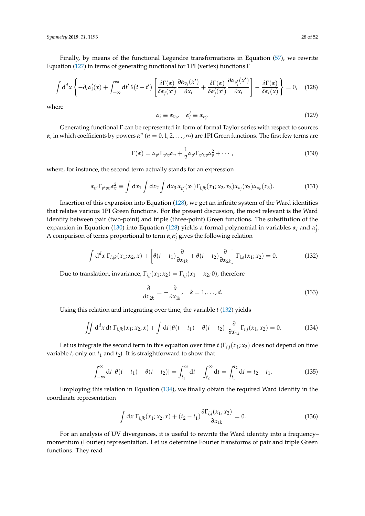Finally, by means of the functional Legendre transformations in Equation [\(57\)](#page-17-0), we rewrite Equation [\(127\)](#page-26-5) in terms of generating functional for 1PI (vertex) functions Γ

<span id="page-27-0"></span>
$$
\int d^d x \left\{ -\partial_t \alpha'_i(x) + \int_{-\infty}^{\infty} dt' \theta(t-t') \left[ \frac{\delta \Gamma(\alpha)}{\delta \alpha_j(x')} \frac{\partial \alpha_{v_j}(x')}{\partial x_i} + \frac{\delta \Gamma(\alpha)}{\delta \alpha'_j(x')} \frac{\partial \alpha_{v'_j}(x')}{\partial x_i} \right] - \frac{\delta \Gamma(\alpha)}{\delta \alpha_i(x)} \right\} = 0, \quad (128)
$$

where

$$
\alpha_i \equiv \alpha_{v_i}, \quad \alpha'_i \equiv \alpha_{v'_i}.\tag{129}
$$

Generating functional Γ can be represented in form of formal Taylor series with respect to sources *α*, in which coefficients by powers  $\alpha^n$  ( $n = 0, 1, 2, \ldots, \infty$ ) are 1PI Green functions. The first few terms are

<span id="page-27-1"></span>
$$
\Gamma(\alpha) = \alpha_{v'} \Gamma_{v'v} \alpha_v + \frac{1}{2} \alpha_{v'} \Gamma_{v'vv} \alpha_v^2 + \cdots,
$$
\n(130)

where, for instance, the second term actually stands for an expression

$$
\alpha_{v'} \Gamma_{v'vv} \alpha_v^2 \equiv \int dx_1 \int dx_2 \int dx_3 \, \alpha_{v'_i}(x_1) \Gamma_{i,jk}(x_1; x_2, x_3) \alpha_{v_j}(x_2) \alpha_{v_k}(x_3). \tag{131}
$$

Insertion of this expansion into Equation [\(128\)](#page-27-0), we get an infinite system of the Ward identities that relates various 1PI Green functions. For the present discussion, the most relevant is the Ward identity between pair (two-point) and triple (three-point) Green functions. The substitution of the expansion in Equation [\(130\)](#page-27-1) into Equation [\(128\)](#page-27-0) yields a formal polynomial in variables  $\alpha_i$  and  $\alpha'_j$ . A comparison of terms proportional to term  $\alpha_i\alpha'_j$  gives the following relation

<span id="page-27-2"></span>
$$
\int d^d x \Gamma_{i,jk}(x_1; x_2, x) + \left[\theta(t - t_1)\frac{\partial}{\partial x_{1k}} + \theta(t - t_2)\frac{\partial}{\partial x_{2k}}\right] \Gamma_{i,s}(x_1; x_2) = 0.
$$
 (132)

Due to translation, invariance,  $\Gamma_{i,j}(x_1; x_2) = \Gamma_{i,j}(x_1 - x_2; 0)$ , therefore

$$
\frac{\partial}{\partial x_{2k}} = -\frac{\partial}{\partial x_{1k}}, \quad k = 1, \dots, d. \tag{133}
$$

Using this relation and integrating over time, the variable *t* [\(132\)](#page-27-2) yields

<span id="page-27-3"></span>
$$
\iint d^d x dt \Gamma_{i,jk}(x_1; x_2, x) + \int dt \left[\theta(t - t_1) - \theta(t - t_2)\right] \frac{\partial}{\partial x_{1k}} \Gamma_{i,j}(x_1; x_2) = 0.
$$
 (134)

Let us integrate the second term in this equation over time *t* ( $\Gamma_{i,j}(x_1; x_2)$  does not depend on time variable  $t$ , only on  $t_1$  and  $t_2$ ). It is straightforward to show that

$$
\int_{-\infty}^{\infty} dt \left[ \theta(t - t_1) - \theta(t - t_2) \right] = \int_{t_1}^{\infty} dt - \int_{t_2}^{\infty} dt = \int_{t_1}^{t_2} dt = t_2 - t_1.
$$
 (135)

Employing this relation in Equation [\(134\)](#page-27-3), we finally obtain the required Ward identity in the coordinate representation

<span id="page-27-4"></span>
$$
\int dx \Gamma_{i,jk}(x_1; x_2, x) + (t_2 - t_1) \frac{\partial \Gamma_{i,j}(x_1; x_2)}{\partial x_{1k}} = 0.
$$
 (136)

For an analysis of UV divergences, it is useful to rewrite the Ward identity into a frequency– momentum (Fourier) representation. Let us determine Fourier transforms of pair and triple Green functions. They read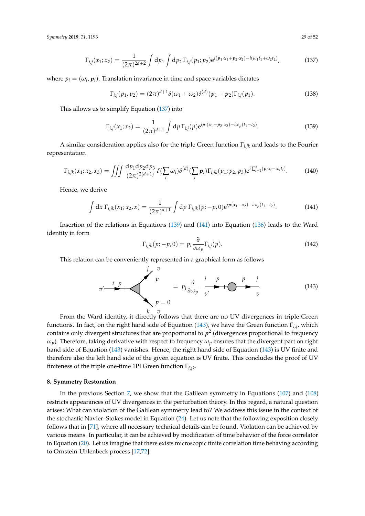*Symmetry* **2019**, *11*, 1193 29 of 52

<span id="page-28-1"></span>
$$
\Gamma_{i,j}(x_1; x_2) = \frac{1}{(2\pi)^{2d+2}} \int dp_1 \int dp_2 \, \Gamma_{i,j}(p_1; p_2) e^{i(p_1 \cdot x_1 + p_2 \cdot x_2) - i(\omega_1 t_1 + \omega_2 t_2)},\tag{137}
$$

where  $p_i = (\omega_i, \boldsymbol{p}_i)$ . Translation invariance in time and space variables dictates

$$
\Gamma_{i,j}(p_1, p_2) = (2\pi)^{d+1} \delta(\omega_1 + \omega_2) \delta^{(d)}(p_1 + p_2) \Gamma_{i,j}(p_1).
$$
 (138)

This allows us to simplify Equation [\(137\)](#page-28-1) into

<span id="page-28-2"></span>
$$
\Gamma_{i,j}(x_1; x_2) = \frac{1}{(2\pi)^{d+1}} \int dp \, \Gamma_{i,j}(p) e^{ip \cdot (x_1 - p_2 \cdot x_2) - i\omega_p(t_1 - t_2)}.
$$
\n(139)

A similar consideration applies also for the triple Green function Γ*i*,*jk* and leads to the Fourier representation

$$
\Gamma_{i,jk}(x_1; x_2, x_3) = \iiint \frac{dp_1 dp_2 dp_3}{(2\pi)^{2(d+1)}} \delta(\sum_i \omega_i) \delta^{(d)}(\sum_i p_i) \Gamma_{i,jk}(p_1; p_2, p_3) e^{i \sum_{i=1}^3 (p_i x_i - \omega_i t_i)}.
$$
(140)

Hence, we derive

<span id="page-28-3"></span>
$$
\int dx \Gamma_{i,jk}(x_1; x_2, x) = \frac{1}{(2\pi)^{d+1}} \int dp \Gamma_{i,jk}(p; -p, 0) e^{ip(x_1 - x_2) - i\omega_p(t_1 - t_2)}.
$$
 (141)

Insertion of the relations in Equations [\(139\)](#page-28-2) and [\(141\)](#page-28-3) into Equation [\(136\)](#page-27-4) leads to the Ward identity in form

$$
\Gamma_{i,jk}(p; -p, 0) = p_l \frac{\partial}{\partial \omega_p} \Gamma_{i,j}(p).
$$
\n(142)

This relation can be conveniently represented in a graphical form as follows

*j*

<span id="page-28-4"></span>
$$
v' \xrightarrow{i p} \begin{pmatrix} p & v \\ p & & \\ p & & \\ p & & \\ p & & \\ p & & \\ p & & \\ p & & \\ p & & \\ p & & \\ p & & \\ p & & \\ p & & \\ p & & \\ p & & \\ p & & \\ p & & \\ p & & \\ p & & \\ p & & \\ p & & \\ p & & \\ p & & \\ p & & \\ p & & \\ p & & \\ p & & \\ p & & \\ p & & \\ p & & \\ p & & \\ p & & \\ p & & \\ p & & \\ p & & \\ p & & \\ p & & \\ p & & \\ p & & \\ p & & \\ p & & \\ p & & \\ p & & \\ p & & \\ p & & \\ p & & \\ p & & \\ p & & \\ p & & \\ p & & \\ p & & \\ p & & \\ p & & \\ p & & \\ p & & \\ p & & \\ p & & \\ p & & \\ p & & \\ p & & \\ p & & \\ p & & \\ p & & \\ p & & \\ p & & \\ p & & \\ p & & \\ p & & \\ p & & \\ p & & \\ p & & \\ p & & \\ p & & \\ p & & \\ p & & \\ p & & \\ p & & \\ p & & \\ p & & \\ p & & \\ p & & \\ p & & \\ p & & \\ p & & \\ p & & \\ p & & \\ p & & \\ p & & \\ p & & \\ p & & \\ p & & \\ p & & \\ p & & \\ p &
$$

From the Ward identity, it directly follows that there are no UV divergences in triple Green functions. In fact, on the right hand side of Equation [\(143\)](#page-28-4), we have the Green function Γ*i*,*<sup>j</sup>* , which contains only divergent structures that are proportional to  $p^2$  (divergences proportional to frequency  $\omega_p$ ). Therefore, taking derivative with respect to frequency  $\omega_p$  ensures that the divergent part on right hand side of Equation [\(143\)](#page-28-4) vanishes. Hence, the right hand side of Equation [\(143\)](#page-28-4) is UV finite and therefore also the left hand side of the given equation is UV finite. This concludes the proof of UV finiteness of the triple one-time 1PI Green function Γ*i*,*jk*.

#### <span id="page-28-0"></span>**8. Symmetry Restoration**

In the previous Section [7,](#page-24-0) we show that the Galilean symmetry in Equations [\(107\)](#page-24-1) and [\(108\)](#page-24-2) restricts appearances of UV divergences in the perturbation theory. In this regard, a natural question arises: What can violation of the Galilean symmetry lead to? We address this issue in the context of the stochastic Navier–Stokes model in Equation [\(24\)](#page-10-4). Let us note that the following exposition closely follows that in [\[71\]](#page-49-18), where all necessary technical details can be found. Violation can be achieved by various means. In particular, it can be achieved by modification of time behavior of the force correlator in Equation [\(20\)](#page-10-1). Let us imagine that there exists microscopic finite correlation time behaving according to Ornstein-Uhlenbeck process [\[17](#page-47-12)[,72\]](#page-49-19).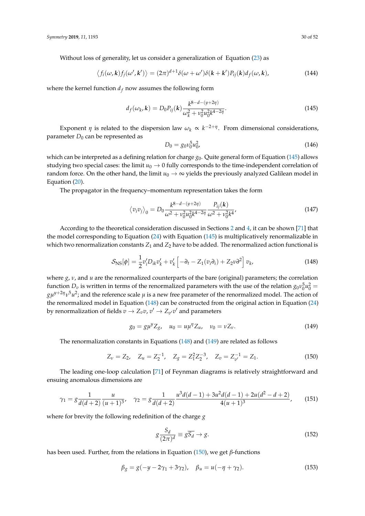Without loss of generality, let us consider a generalization of Equation [\(23\)](#page-10-5) as

$$
\langle f_i(\omega, \mathbf{k}) f_j(\omega', \mathbf{k}') \rangle = (2\pi)^{d+1} \delta(\omega + \omega') \delta(\mathbf{k} + \mathbf{k}') P_{ij}(\mathbf{k}) d_f(\omega, \mathbf{k}), \tag{144}
$$

where the kernel function  $d_f$  now assumes the following form

<span id="page-29-0"></span>
$$
d_f(\omega_k, \mathbf{k}) = D_0 P_{ij}(\mathbf{k}) \frac{k^{8-d-(y+2\eta)}}{\omega_k^2 + v_0^2 u_0^2 k^{4-2\eta}}.
$$
\n(145)

Exponent  $\eta$  is related to the dispersion law  $\omega_k \propto k^{-2+\eta}$ . From dimensional considerations, parameter  $D_0$  can be represented as

$$
D_0 = g_0 \nu_0^5 u_0^2, \tag{146}
$$

which can be interpreted as a defining relation for charge  $g_0$ . Quite general form of Equation [\(145\)](#page-29-0) allows studying two special cases: the limit  $u_0 \to 0$  fully corresponds to the time-independent correlation of random force. On the other hand, the limit  $u_0 \rightarrow \infty$  yields the previously analyzed Galilean model in Equation [\(20\)](#page-10-1).

The propagator in the frequency–momentum representation takes the form

<span id="page-29-4"></span>
$$
\left\langle v_i v_j \right\rangle_0 = D_0 \frac{k^{8-d-(y+2\eta)}}{\omega^2 + v_0^2 u_0^2 k^{4-2\eta}} \frac{P_{ij}(k)}{\omega^2 + v_0^2 k^4},\tag{147}
$$

According to the theoretical consideration discussed in Sections [2](#page-6-0) and [4,](#page-16-0) it can be shown [\[71\]](#page-49-18) that the model corresponding to Equation [\(24\)](#page-10-4) with Equation [\(145\)](#page-29-0) is multiplicatively renormalizable in which two renormalization constants  $Z_1$  and  $Z_2$  have to be added. The renormalized action functional is

<span id="page-29-1"></span>
$$
S_{\rm NS}[\phi] = \frac{1}{2} v_i' D_{ik} v_k' + v_k' \left[ -\partial_t - Z_1(v_i \partial_i) + Z_2 v \partial^2 \right] v_k,
$$
\n(148)

where *g*, *ν*, and *u* are the renormalized counterparts of the bare (original) parameters; the correlation function  $D_v$  is written in terms of the renormalized parameters with the use of the relation  $g_0v_0^5u_0^2 =$  $g\mu^{y+2\eta}\nu^5u^2$ ; and the reference scale  $\mu$  is a new free parameter of the renormalized model. The action of the renormalized model in Equation [\(148\)](#page-29-1) can be constructed from the original action in Equation [\(24\)](#page-10-4) by renormalization of fields  $v \to Z_v v$ ,  $v' \to Z_{v'} v'$  and parameters

<span id="page-29-2"></span>
$$
g_0 = g\mu^y Z_g, \quad u_0 = u\mu^{\eta} Z_u, \quad v_0 = v Z_v.
$$
 (149)

The renormalization constants in Equations [\(148\)](#page-29-1) and [\(149\)](#page-29-2) are related as follows

<span id="page-29-3"></span>
$$
Z_v = Z_2
$$
,  $Z_u = Z_2^{-1}$ ,  $Z_g = Z_1^2 Z_2^{-3}$ ,  $Z_v = Z_{v'}^{-1} = Z_1$ . (150)

The leading one-loop calculation [\[71\]](#page-49-18) of Feynman diagrams is relatively straightforward and ensuing anomalous dimensions are

$$
\gamma_1 = g \frac{1}{d(d+2)} \frac{u}{(u+1)^3}, \quad \gamma_2 = g \frac{1}{d(d+2)} \frac{u^3 d(d-1) + 3u^2 d(d-1) + 2u(d^2 - d + 2)}{4(u+1)^3}, \quad (151)
$$

where for brevity the following redefinition of the charge *g*

$$
g\frac{S_d}{(2\pi)^d} \equiv g\overline{S_d} \to g. \tag{152}
$$

has been used. Further, from the relations in Equation [\(150\)](#page-29-3), we get *β*-functions

$$
\beta_g = g(-y - 2\gamma_1 + 3\gamma_2), \quad \beta_u = u(-\eta + \gamma_2). \tag{153}
$$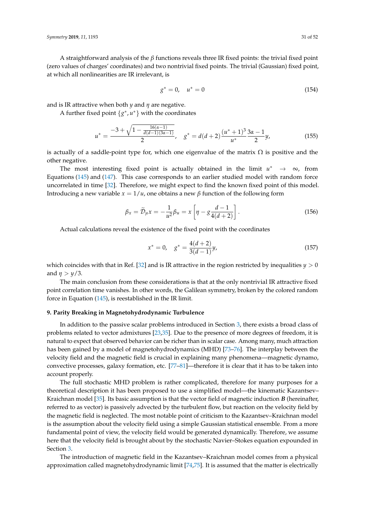A straightforward analysis of the *β* functions reveals three IR fixed points: the trivial fixed point (zero values of charges' coordinates) and two nontrivial fixed points. The trivial (Gaussian) fixed point, at which all nonlinearities are IR irrelevant, is

$$
g^* = 0, \quad u^* = 0 \tag{154}
$$

and is IR attractive when both *y* and *η* are negative.

A further fixed point {*g* ∗ , *u* <sup>∗</sup>} with the coordinates

$$
u^* = \frac{-3 + \sqrt{1 - \frac{16(\alpha - 1)}{d(d - 1)(3\alpha - 1)}}}{2}, \quad g^* = d(d + 2)\frac{(u^* + 1)^3}{u^*}\frac{3\alpha - 1}{2}y,\tag{155}
$$

is actually of a saddle-point type for, which one eigenvalue of the matrix  $\Omega$  is positive and the other negative.

The most interesting fixed point is actually obtained in the limit  $u^* \rightarrow \infty$ , from Equations [\(145\)](#page-29-0) and [\(147\)](#page-29-4). This case corresponds to an earlier studied model with random force uncorrelated in time [\[32\]](#page-48-12). Therefore, we might expect to find the known fixed point of this model. Introducing a new variable  $x = 1/u$ , one obtains a new  $\beta$  function of the following form

$$
\beta_x = \widetilde{\mathcal{D}}_\mu x = -\frac{1}{u^2} \beta_u = x \left[ \eta - g \frac{d-1}{4(d+2)} \right]. \tag{156}
$$

Actual calculations reveal the existence of the fixed point with the coordinates

$$
x^* = 0, \quad g^* = \frac{4(d+2)}{3(d-1)}y,\tag{157}
$$

which coincides with that in Ref. [\[32\]](#page-48-12) and is IR attractive in the region restricted by inequalities  $y > 0$ and  $\eta > \frac{y}{3}$ .

The main conclusion from these considerations is that at the only nontrivial IR attractive fixed point correlation time vanishes. In other words, the Galilean symmetry, broken by the colored random force in Equation [\(145\)](#page-29-0), is reestablished in the IR limit.

## <span id="page-30-0"></span>**9. Parity Breaking in Magnetohydrodynamic Turbulence**

In addition to the passive scalar problems introduced in Section [3,](#page-9-0) there exists a broad class of problems related to vector admixtures [\[23,](#page-48-3)[35\]](#page-48-15). Due to the presence of more degrees of freedom, it is natural to expect that observed behavior can be richer than in scalar case. Among many, much attraction has been gained by a model of magnetohydrodynamics (MHD) [\[73–](#page-49-20)[76\]](#page-50-0). The interplay between the velocity field and the magnetic field is crucial in explaining many phenomena—magnetic dynamo, convective processes, galaxy formation, etc. [\[77](#page-50-1)[–81\]](#page-50-2)—therefore it is clear that it has to be taken into account properly.

The full stochastic MHD problem is rather complicated, therefore for many purposes for a theoretical description it has been proposed to use a simplified model—the kinematic Kazantsev– Kraichnan model [\[35\]](#page-48-15). Its basic assumption is that the vector field of magnetic induction *B* (hereinafter, referred to as vector) is passively advected by the turbulent flow, but reaction on the velocity field by the magnetic field is neglected. The most notable point of criticism to the Kazantsev–Kraichnan model is the assumption about the velocity field using a simple Gaussian statistical ensemble. From a more fundamental point of view, the velocity field would be generated dynamically. Therefore, we assume here that the velocity field is brought about by the stochastic Navier–Stokes equation expounded in Section [3.](#page-9-0)

The introduction of magnetic field in the Kazantsev–Kraichnan model comes from a physical approximation called magnetohydrodynamic limit [\[74](#page-49-21)[,75\]](#page-50-3). It is assumed that the matter is electrically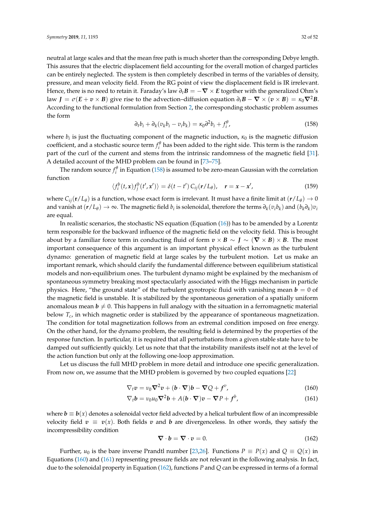neutral at large scales and that the mean free path is much shorter than the corresponding Debye length. This assures that the electric displacement field accounting for the overall motion of charged particles can be entirely neglected. The system is then completely described in terms of the variables of density, pressure, and mean velocity field. From the RG point of view the displacement field is IR irrelevant. Hence, there is no need to retain it. Faraday's law  $\partial_t B = -\nabla \times E$  together with the generalized Ohm's law  $J = \sigma(E + v \times B)$  give rise to the advection–diffusion equation  $\partial_t B - \nabla \times (v \times B) = \kappa_0 \nabla^2 B$ . According to the functional formulation from Section [2,](#page-6-0) the corresponding stochastic problem assumes the form

<span id="page-31-0"></span>
$$
\partial_t b_i + \partial_k (v_k b_i - v_i b_k) = \kappa_0 \partial^2 b_i + f_i^{\theta}, \qquad (158)
$$

where  $b_i$  is just the fluctuating component of the magnetic induction,  $\kappa_0$  is the magnetic diffusion coefficient, and a stochastic source term  $f_i^{\theta}$  has been added to the right side. This term is the random part of the curl of the current and stems from the intrinsic randomness of the magnetic field [\[31\]](#page-48-11). A detailed account of the MHD problem can be found in [\[73–](#page-49-20)[75\]](#page-50-3).

The random source  $f_i^{\theta}$  in Equation [\(158\)](#page-31-0) is assumed to be zero-mean Gaussian with the correlation function

$$
\langle f_i^b(t,x)f_j^b(t',x')\rangle = \delta(t-t')C_{ij}(r/L_\theta), \quad r = x-x', \tag{159}
$$

where  $C_i$ <sup>*i*</sup>( $\mathbf{r}/L_\theta$ ) is a function, whose exact form is irrelevant. It must have a finite limit at ( $\mathbf{r}/L_\theta$ )  $\rightarrow 0$ and vanish at  $(r/L_\theta) \to \infty$ . The magnetic field  $b_i$  is solenoidal, therefore the terms  $\partial_k(v_ib_k)$  and  $(b_k\partial_k)v_i$ are equal.

In realistic scenarios, the stochastic NS equation (Equation [\(16\)](#page-9-2)) has to be amended by a Lorentz term responsible for the backward influence of the magnetic field on the velocity field. This is brought about by a familiar force term in conducting fluid of form  $v \times B \sim J \sim (\nabla \times B) \times B$ . The most important consequence of this argument is an important physical effect known as the turbulent dynamo: generation of magnetic field at large scales by the turbulent motion. Let us make an important remark, which should clarify the fundamental difference between equilibrium statistical models and non-equilibrium ones. The turbulent dynamo might be explained by the mechanism of spontaneous symmetry breaking most spectacularly associated with the Higgs mechanism in particle physics. Here, "the ground state" of the turbulent gyrotropic fluid with vanishing mean  $b = 0$  of the magnetic field is unstable. It is stabilized by the spontaneous generation of a spatially uniform anomalous mean  $b \neq 0$ . This happens in full analogy with the situation in a ferromagnetic material below *Tc*, in which magnetic order is stabilized by the appearance of spontaneous magnetization. The condition for total magnetization follows from an extremal condition imposed on free energy. On the other hand, for the dynamo problem, the resulting field is determined by the properties of the response function. In particular, it is required that all perturbations from a given stable state have to be damped out sufficiently quickly. Let us note that that the instability manifests itself not at the level of the action function but only at the following one-loop approximation.

Let us discuss the full MHD problem in more detail and introduce one specific generalization. From now on, we assume that the MHD problem is governed by two coupled equations [\[22\]](#page-48-2)

$$
\nabla_t v = v_0 \nabla^2 v + (b \cdot \nabla) b - \nabla Q + f^v,
$$
\n(160)

$$
\nabla_t \mathbf{b} = \nu_0 u_0 \nabla^2 \mathbf{b} + A(\mathbf{b} \cdot \nabla) \mathbf{v} - \nabla P + f^b, \tag{161}
$$

where  $b \equiv b(x)$  denotes a solenoidal vector field advected by a helical turbulent flow of an incompressible velocity field  $v \equiv v(x)$ . Both fields *v* and *b* are divergenceless. In other words, they satisfy the incompressibility condition

<span id="page-31-3"></span><span id="page-31-2"></span><span id="page-31-1"></span>
$$
\nabla \cdot \boldsymbol{b} = \nabla \cdot \boldsymbol{v} = 0. \tag{162}
$$

Further,  $u_0$  is the bare inverse Prandtl number [\[23,](#page-48-3)[26\]](#page-48-6). Functions  $P \equiv P(x)$  and  $Q \equiv Q(x)$  in Equations [\(160\)](#page-31-1) and [\(161\)](#page-31-2) representing pressure fields are not relevant in the following analysis. In fact, due to the solenoidal property in Equation [\(162\)](#page-31-3), functions *P* and *Q* can be expressed in terms of a formal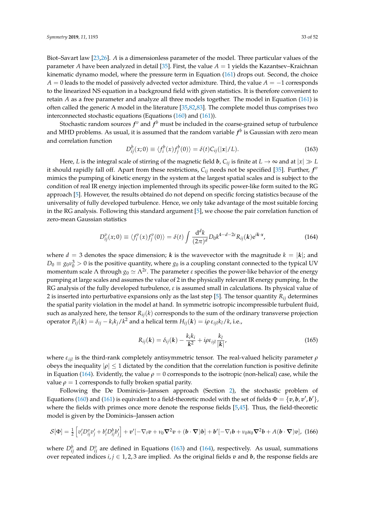Biot–Savart law [\[23](#page-48-3)[,26\]](#page-48-6). *A* is a dimensionless parameter of the model. Three particular values of the parameter *A* have been analyzed in detail [\[35\]](#page-48-15). First, the value  $A = 1$  yields the Kazantsev–Kraichnan kinematic dynamo model, where the pressure term in Equation [\(161\)](#page-31-2) drops out. Second, the choice *A* = 0 leads to the model of passively advected vector admixture. Third, the value *A* = −1 corresponds to the linearized NS equation in a background field with given statistics. It is therefore convenient to retain *A* as a free parameter and analyze all three models together. The model in Equation [\(161\)](#page-31-2) is often called the generic A model in the literature [\[35,](#page-48-15)[82](#page-50-4)[,83\]](#page-50-5). The complete model thus comprises two interconnected stochastic equations (Equations [\(160\)](#page-31-1) and [\(161\)](#page-31-2)).

Stochastic random sources  $f^v$  and  $f^b$  must be included in the coarse-grained setup of turbulence and MHD problems. As usual, it is assumed that the random variable  $f^b$  is Gaussian with zero mean and correlation function

<span id="page-32-1"></span>
$$
D_{ij}^{b}(x;0) \equiv \langle f_i^{b}(x)f_j^{b}(0) \rangle = \delta(t)C_{ij}(|x|/L). \tag{163}
$$

Here, *L* is the integral scale of stirring of the magnetic field *b*,  $C_{ij}$  is finite at  $L \to \infty$  and at  $|x| \gg L$ it should rapidly fall off. Apart from these restrictions,  $C_{ij}$  needs not be specified [\[35\]](#page-48-15). Further,  $f^v$ mimics the pumping of kinetic energy in the system at the largest spatial scales and is subject to the condition of real IR energy injection implemented through its specific power-like form suited to the RG approach [\[5\]](#page-47-4). However, the results obtained do not depend on specific forcing statistics because of the universality of fully developed turbulence. Hence, we only take advantage of the most suitable forcing in the RG analysis. Following this standard argument [\[5\]](#page-47-4), we choose the pair correlation function of zero-mean Gaussian statistics

<span id="page-32-0"></span>
$$
D_{ij}^v(x;0) \equiv \langle f_i^v(x) f_j^v(0) \rangle = \delta(t) \int \frac{\mathrm{d}^d k}{(2\pi)^d} D_0 k^{4-d-2\varepsilon} R_{ij}(k) e^{ik \cdot x}, \tag{164}
$$

where  $d = 3$  denotes the space dimension; *k* is the wavevector with the magnitude  $k = |k|$ ; and  $D_0 \equiv g_0 v_0^3 > 0$  is the positive quantity, where  $g_0$  is a coupling constant connected to the typical UV momentum scale Λ through  $g_0 \simeq \Lambda^{2\varepsilon}$ . The parameter *ε* specifies the power-like behavior of the energy pumping at large scales and assumes the value of 2 in the physically relevant IR energy pumping. In the RG analysis of the fully developed turbulence, *ε* is assumed small in calculations. Its physical value of 2 is inserted into perturbative expansions only as the last step [\[5\]](#page-47-4). The tensor quantity *Rij* determines the spatial parity violation in the model at hand. In symmetric isotropic incompressible turbulent fluid, such as analyzed here, the tensor *Rij*(*k*) corresponds to the sum of the ordinary transverse projection operator  $P_{ij}(\mathbf{k}) = \delta_{ij} - k_i k_j / k^2$  and a helical term  $H_{ij}(\mathbf{k}) = i \rho \, \varepsilon_{ijl} k_l / k$ , i.e.,

$$
R_{ij}(\mathbf{k}) = \delta_{ij}(\mathbf{k}) - \frac{k_i k_i}{\mathbf{k}^2} + i \rho \varepsilon_{ijl} \frac{k_l}{|\mathbf{k}|},
$$
\n(165)

where *εijl* is the third-rank completely antisymmetric tensor. The real-valued helicity parameter *ρ* obeys the inequality  $|\rho| \leq 1$  dictated by the condition that the correlation function is positive definite in Equation [\(164\)](#page-32-0). Evidently, the value  $\rho = 0$  corresponds to the isotropic (non-helical) case, while the value  $\rho = 1$  corresponds to fully broken spatial parity.

Following the De Dominicis–Janssen approach (Section [2\)](#page-6-0), the stochastic problem of Equations [\(160\)](#page-31-1) and [\(161\)](#page-31-2) is equivalent to a field-theoretic model with the set of fields  $\Phi = \{v, b, v', b'\}$ , where the fields with primes once more denote the response fields [\[5,](#page-47-4)[45\]](#page-48-25). Thus, the field-theoretic model is given by the Dominicis–Janssen action

<span id="page-32-2"></span>
$$
\mathcal{S}[\Phi] = \frac{1}{2} \left[ v_i^{\prime} D_{ij}^v v_j^{\prime} + b_i^{\prime} D_{ij}^b b_j^{\prime} \right] + v^{\prime} [-\nabla_t v + v_0 \nabla^2 v + (\boldsymbol{b} \cdot \nabla) \boldsymbol{b}] + \boldsymbol{b}^{\prime} [-\nabla_t \boldsymbol{b} + v_0 u_0 \nabla^2 \boldsymbol{b} + A (\boldsymbol{b} \cdot \nabla) v], \tag{166}
$$

where  $D_{ij}^b$  and  $D_{ij}^v$  are defined in Equations [\(163\)](#page-32-1) and [\(164\)](#page-32-0), respectively. As usual, summations over repeated indices  $i, j \in 1, 2, 3$  are implied. As the original fields  $v$  and  $b$ , the response fields are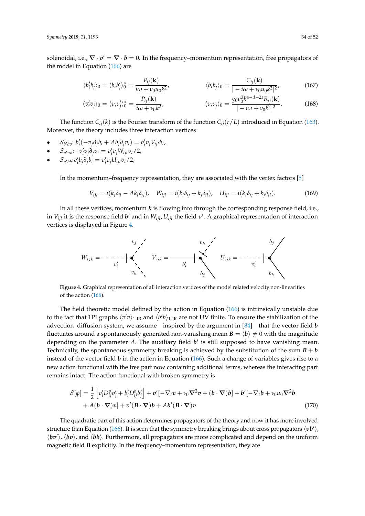solenoidal, i.e.,  $\nabla \cdot v' = \nabla \cdot b = 0$ . In the frequency–momentum representation, free propagators of the model in Equation [\(166\)](#page-32-2) are

$$
\langle b_i'b_j \rangle_0 = \langle b_i b_j' \rangle_0^* = \frac{P_{ij}(\mathbf{k})}{i\omega + \nu_0 u_0 k^2}, \qquad \langle b_i b_j \rangle_0 = \frac{C_{ij}(\mathbf{k})}{|-i\omega + \nu_0 u_0 k^2|^2}, \qquad (167)
$$

$$
\langle v_i' v_j \rangle_0 = \langle v_i v_j' \rangle_0^* = \frac{P_{ij}(\mathbf{k})}{i\omega + v_0 k^2}, \qquad \langle v_i v_j \rangle_0 = \frac{g_0 v_0^3 k^{4-d-2\epsilon} R_{ij}(\mathbf{k})}{|-i\omega + v_0 k^2|^2}.
$$
 (168)

The function  $C_{ij}(k)$  is the Fourier transform of the function  $C_{ij}(r/L)$  introduced in Equation [\(163\)](#page-32-1). Moreover, the theory includes three interaction vertices

•  $S_{b'bv}$ :  $b'_{i}(-v_{j}\partial_{j}b_{i} + Ab_{j}\partial_{j}v_{i}) = b'_{i}v_{j}V_{ijl}b_{l}$ 

• 
$$
S_{v'vv} : -v'_i v_j \partial_j v_i = v'_i v_j W_{ijl} v_l/2,
$$

•  $S_{v'bb'}$ ; $v'_i$  $b_j$  $\partial_j$  $b_i = v'_i v_j U_{ijl} v_l / 2$ ,

In the momentum–frequency representation, they are associated with the vertex factors [\[5\]](#page-47-4)

$$
V_{ijl} = i(k_j \delta_{il} - Ak_l \delta_{ij}), \quad W_{ijl} = i(k_l \delta_{ij} + k_j \delta_{il}), \quad U_{ijl} = i(k_l \delta_{ij} + k_j \delta_{il}).
$$
\n(169)

<span id="page-33-0"></span>In all these vertices, momentum *k* is flowing into through the corresponding response field, i.e., in  $V_{ijl}$  it is the response field  $b'$  and in  $W_{ijl}$ ,  $U_{ijl}$  the field  $v'$ . A graphical representation of interaction vertices is displayed in Figure [4.](#page-33-0)



**Figure 4.** Graphical representation of all interaction vertices of the model related velocity non-linearities of the action [\(166\)](#page-32-2).

The field theoretic model defined by the action in Equation [\(166\)](#page-32-2) is intrinsically unstable due to the fact that 1PI graphs  $\langle v'v \rangle_{\rm 1-IR}$  and  $\langle b'b \rangle_{\rm 1-IR}$  are not UV finite. To ensure the stabilization of the advection–diffusion system, we assume—inspired by the argument in [\[84\]](#page-50-6)—that the vector field *b* fluctuates around a spontaneously generated non-vanishing mean  $B = \langle b \rangle \neq 0$  with the magnitude depending on the parameter A. The auxiliary field b' is still supposed to have vanishing mean. Technically, the spontaneous symmetry breaking is achieved by the substitution of the sum  $B + b$ instead of the vector field *b* in the action in Equation [\(166\)](#page-32-2). Such a change of variables gives rise to a new action functional with the free part now containing additional terms, whereas the interacting part remains intact. The action functional with broken symmetry is

$$
S[\phi] = \frac{1}{2} \left[ v'_i D^v_{ij} v'_j + b'_i D^b_{ij} b'_j \right] + v'[-\nabla_t v + v_0 \nabla^2 v + (\boldsymbol{b} \cdot \nabla) \boldsymbol{b}] + \boldsymbol{b}'[-\nabla_t \boldsymbol{b} + v_0 u_0 \nabla^2 \boldsymbol{b} + A(\boldsymbol{b} \cdot \nabla) v] + v'(\boldsymbol{B} \cdot \nabla) \boldsymbol{b} + A \boldsymbol{b}'(\boldsymbol{B} \cdot \nabla) v.
$$
 (170)

The quadratic part of this action determines propagators of the theory and now it has more involved structure than Equation [\(166\)](#page-32-2). It is seen that the symmetry breaking brings about cross propagators  $\langle v b' \rangle$ ,  $\langle bv'\rangle$ ,  $\langle bv\rangle$ , and  $\langle bb\rangle$ . Furthermore, all propagators are more complicated and depend on the uniform magnetic field *B* explicitly. In the frequency–momentum representation, they are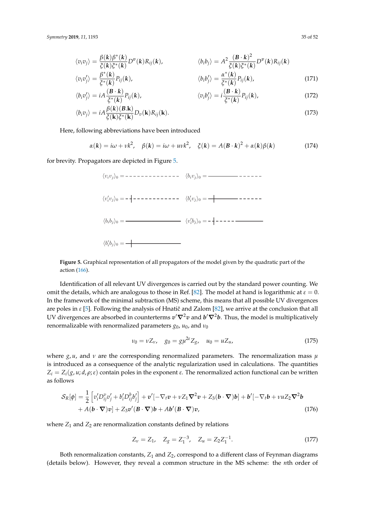$$
\langle v_i v_j \rangle = \frac{\beta(k)\beta^*(k)}{\xi(k)\xi^*(k)} D^v(k) R_{ij}(k), \qquad \langle b_i b_j \rangle = A^2 \frac{(\mathbf{B} \cdot \mathbf{k})^2}{\xi(k)\xi^*(k)} D^v(k) R_{ij}(k)
$$

$$
\langle v_i v_j' \rangle = \frac{\beta^*(k)}{\xi^*(k)} P_{ij}(k), \qquad \langle b_i b_j' \rangle = \frac{\alpha^*(k)}{\xi^*(k)} P_{ij}(k), \qquad (171)
$$

$$
\langle b_i v_j' \rangle = i A \frac{(\mathbf{B} \cdot \mathbf{k})}{\xi^*(\mathbf{k})} P_{ij}(\mathbf{k}), \qquad \langle v_i b_j' \rangle = i \frac{(\mathbf{B} \cdot \mathbf{k})}{\xi^*(\mathbf{k})} P_{ij}(\mathbf{k}), \qquad (172)
$$

$$
\langle b_i v_j \rangle = i A \frac{\beta(\mathbf{k})(\mathbf{B}.\mathbf{k})}{\zeta(\mathbf{k}) \zeta^*(\mathbf{k})} D_v(\mathbf{k}) R_{ij}(\mathbf{k}).
$$
\n(173)

Here, following abbreviations have been introduced

$$
\alpha(\mathbf{k}) = i\omega + \nu k^2, \quad \beta(\mathbf{k}) = i\omega + \nu k^2, \quad \xi(\mathbf{k}) = A(\mathbf{B} \cdot \mathbf{k})^2 + \alpha(\mathbf{k})\beta(\mathbf{k}) \tag{174}
$$

<span id="page-34-0"></span>for brevity. Propagators are depicted in Figure [5.](#page-34-0)



**Figure 5.** Graphical representation of all propagators of the model given by the quadratic part of the action [\(166\)](#page-32-2).

Identification of all relevant UV divergences is carried out by the standard power counting. We omit the details, which are analogous to those in Ref. [\[82\]](#page-50-4). The model at hand is logarithmic at  $\varepsilon = 0$ . In the framework of the minimal subtraction (MS) scheme, this means that all possible UV divergences are poles in ε [\[5\]](#page-47-4). Following the analysis of Hnatič and Zalom [\[82\]](#page-50-4), we arrive at the conclusion that all UV divergences are absorbed in counterterms  $v'\nabla^2v$  and  $b'\nabla^2b$ . Thus, the model is multiplicatively renormalizable with renormalized parameters  $g_0$ ,  $u_0$ , and  $v_0$ 

$$
\nu_0 = \nu Z_\nu, \quad g_0 = g\mu^{2\varepsilon} Z_g, \quad u_0 = u Z_u,
$$
\n(175)

where *g*, *u*, and *v* are the corresponding renormalized parameters. The renormalization mass  $\mu$ is introduced as a consequence of the analytic regularization used in calculations. The quantities *Z*<sub>*i*</sub> = *Z*<sub>*i*</sub>(*g*, *u*; *d*, *ρ*; *ε*) contain poles in the exponent *ε*. The renormalized action functional can be written as follows

$$
S_R[\phi] = \frac{1}{2} \left[ v'_i D_{ij}^v v'_j + b'_i D_{ij}^b b'_j \right] + v'[-\nabla_t v + v Z_1 \nabla^2 v + Z_3 (b \cdot \nabla) b] + b'[-\nabla_t b + v u Z_2 \nabla^2 b + A(b \cdot \nabla) v] + Z_3 v' (B \cdot \nabla) b + Ab' (B \cdot \nabla) v,
$$
\n(176)

where  $Z_1$  and  $Z_2$  are renormalization constants defined by relations

<span id="page-34-1"></span>
$$
Z_{\nu} = Z_1, \quad Z_g = Z_1^{-3}, \quad Z_{\nu} = Z_2 Z_1^{-1}.
$$
\n(177)

Both renormalization constants, *Z*<sup>1</sup> and *Z*2, correspond to a different class of Feynman diagrams (details below). However, they reveal a common structure in the MS scheme: the *n*th order of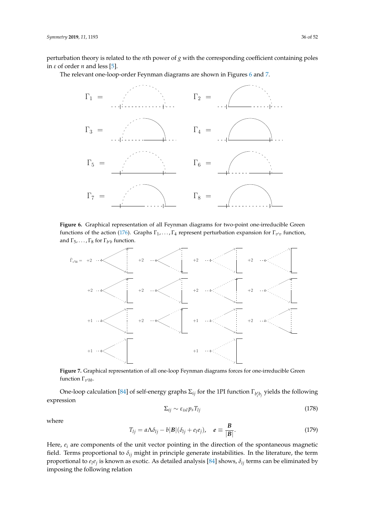perturbation theory is related to the *n*th power of *g* with the corresponding coefficient containing poles in *ε* of order *n* and less [\[5\]](#page-47-4).

<span id="page-35-0"></span>The relevant one-loop-order Feynman diagrams are shown in Figures [6](#page-35-0) and [7.](#page-35-1)



**Figure 6.** Graphical representation of all Feynman diagrams for two-point one-irreducible Green functions of the action [\(176\)](#page-34-1). Graphs  $\Gamma_1,\ldots,\Gamma_4$  represent perturbation expansion for  $\Gamma_{v'v}$  function, and  $\Gamma_5, \ldots, \Gamma_8$  for  $\Gamma_{b'b}$  function.

<span id="page-35-1"></span>

**Figure 7.** Graphical representation of all one-loop Feynman diagrams forces for one-irreducible Green function  $\Gamma_{v'bb}$ .

One-loop calculation [\[84\]](#page-50-6) of self-energy graphs  $\Sigma_{ij}$  for the 1PI function  $\Gamma_{b_i'b_j}$  yields the following expression

$$
\Sigma_{ij} \sim \varepsilon_{isl} p_s T_{lj} \tag{178}
$$

where

<span id="page-35-2"></span>
$$
T_{lj} = a\Lambda \delta_{lj} - b|\mathbf{B}|(\delta_{lj} + e_l e_j), \quad e \equiv \frac{\mathbf{B}}{|\mathbf{B}|}.
$$
 (179)

Here,  $e_i$  are components of the unit vector pointing in the direction of the spontaneous magnetic field. Terms proportional to *δij* might in principle generate instabilities. In the literature, the term proportional to *e<sup>l</sup> ej* is known as exotic. As detailed analysis [\[84\]](#page-50-6) shows, *δij* terms can be eliminated by imposing the following relation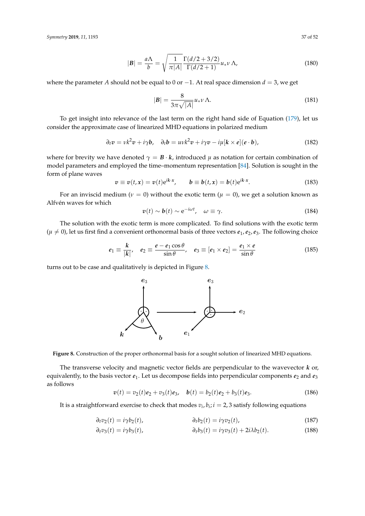*Symmetry* **2019**, *11*, 1193 37 of 52

<span id="page-36-1"></span>
$$
|\mathbf{B}| = \frac{a\Lambda}{b} = \sqrt{\frac{1}{\pi|A|}} \frac{\Gamma(d/2 + 3/2)}{\Gamma(d/2 + 1)} u_* \nu \Lambda,
$$
\n(180)

where the parameter *A* should not be equal to 0 or  $-1$ . At real space dimension  $d = 3$ , we get

$$
|\mathbf{B}| = \frac{8}{3\pi\sqrt{|A|}} u_* \nu \Lambda.
$$
 (181)

To get insight into relevance of the last term on the right hand side of Equation [\(179\)](#page-35-2), let us consider the approximate case of linearized MHD equations in polarized medium

$$
\partial_t v = v k^2 v + i \gamma b, \quad \partial_t b = u v k^2 v + i \gamma v - i \mu [k \times e](e \cdot b), \tag{182}
$$

where for brevity we have denoted  $\gamma = \mathbf{B} \cdot \mathbf{k}$ , introduced  $\mu$  as notation for certain combination of model parameters and employed the time–momentum representation [\[84\]](#page-50-6). Solution is sought in the form of plane waves

$$
v \equiv v(t, x) = v(t)e^{ik \cdot x}, \qquad b \equiv b(t, x) = b(t)e^{ik \cdot x}.
$$
 (183)

For an inviscid medium ( $\nu = 0$ ) without the exotic term ( $\mu = 0$ ), we get a solution known as Alfvén waves for which

$$
v(t) \sim b(t) \sim e^{-i\omega t}, \quad \omega \equiv \gamma. \tag{184}
$$

The solution with the exotic term is more complicated. To find solutions with the exotic term  $(\mu \neq 0)$ , let us first find a convenient orthonormal basis of three vectors  $e_1, e_2, e_3$ . The following choice

$$
e_1 \equiv \frac{k}{|k|}, \quad e_2 \equiv \frac{e - e_1 \cos \theta}{\sin \theta}, \quad e_3 \equiv [e_1 \times e_2] = \frac{e_1 \times e}{\sin \theta} \tag{185}
$$

<span id="page-36-0"></span>turns out to be case and qualitatively is depicted in Figure [8.](#page-36-0)



**Figure 8.** Construction of the proper orthonormal basis for a sought solution of linearized MHD equations.

The transverse velocity and magnetic vector fields are perpendicular to the wavevector *k* or, equivalently, to the basis vector  $e_1$ . Let us decompose fields into perpendicular components  $e_2$  and  $e_3$ as follows

$$
v(t) = v_2(t)e_2 + v_3(t)e_3, \quad b(t) = b_2(t)e_2 + b_3(t)e_3.
$$
 (186)

It is a straightforward exercise to check that modes  $v_i$ ,  $b_i$ ;  $i = 2,3$  satisfy following equations

$$
\partial_t v_2(t) = i\gamma b_2(t), \qquad \qquad \partial_t b_2(t) = i\gamma v_2(t), \qquad (187)
$$

$$
\partial_t v_3(t) = i\gamma b_3(t), \qquad \qquad \partial_t b_3(t) = i\gamma v_3(t) + 2i\lambda b_2(t). \tag{188}
$$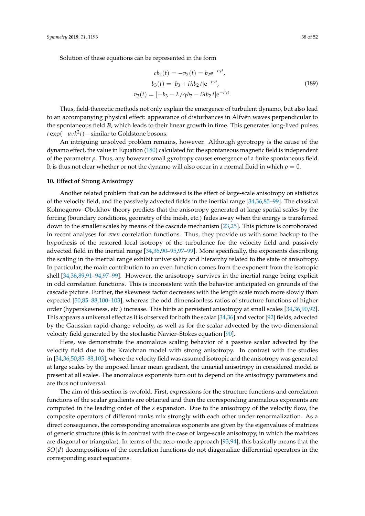Solution of these equations can be represented in the form

$$
cb_2(t) = -v_2(t) = b_2 e^{-i\gamma t},
$$
  
\n
$$
b_3(t) = [b_3 + i\lambda b_2 t] e^{-i\gamma t},
$$
  
\n
$$
v_3(t) = [-b_3 - \lambda/\gamma b_2 - i\lambda b_2 t] e^{-i\gamma t}.
$$
\n(189)

Thus, field-theoretic methods not only explain the emergence of turbulent dynamo, but also lead to an accompanying physical effect: appearance of disturbances in Alfvén waves perpendicular to the spontaneous field *B*, which leads to their linear growth in time. This generates long-lived pulses *t* exp(−*uνk* 2 *t*)—similar to Goldstone bosons.

An intriguing unsolved problem remains, however. Although gyrotropy is the cause of the dynamo effect, the value in Equation [\(180\)](#page-36-1) calculated for the spontaneous magnetic field is independent of the parameter *ρ*. Thus, any however small gyrotropy causes emergence of a finite spontaneous field. It is thus not clear whether or not the dynamo will also occur in a normal fluid in which  $\rho = 0$ .

#### <span id="page-37-0"></span>**10. Effect of Strong Anisotropy**

Another related problem that can be addressed is the effect of large-scale anisotropy on statistics of the velocity field, and the passively advected fields in the inertial range [\[34,](#page-48-14)[36,](#page-48-16)[85](#page-50-7)[–99\]](#page-50-8). The classical Kolmogorov–Obukhov theory predicts that the anisotropy generated at large spatial scales by the forcing (boundary conditions, geometry of the mesh, etc.) fades away when the energy is transferred down to the smaller scales by means of the cascade mechanism [\[23](#page-48-3)[,25\]](#page-48-5). This picture is corroborated in recent analyses for *even* correlation functions. Thus, they provide us with some backup to the hypothesis of the restored local isotropy of the turbulence for the velocity field and passively advected field in the inertial range [\[34](#page-48-14)[,36](#page-48-16)[,90–](#page-50-9)[95](#page-50-10)[,97](#page-50-11)[–99\]](#page-50-8). More specifically, the exponents describing the scaling in the inertial range exhibit universality and hierarchy related to the state of anisotropy. In particular, the main contribution to an even function comes from the exponent from the isotropic shell [\[34](#page-48-14)[,36](#page-48-16)[,89](#page-50-12)[,91](#page-50-13)[–94,](#page-50-14)[97–](#page-50-11)[99\]](#page-50-8). However, the anisotropy survives in the inertial range being explicit in odd correlation functions. This is inconsistent with the behavior anticipated on grounds of the cascade picture. Further, the skewness factor decreases with the length scale much more slowly than expected [\[50,](#page-49-2)[85–](#page-50-7)[88](#page-50-15)[,100](#page-50-16)[–103\]](#page-51-0), whereas the odd dimensionless ratios of structure functions of higher order (hyperskewness, etc.) increase. This hints at persistent anisotropy at small scales [\[34,](#page-48-14)[36,](#page-48-16)[90,](#page-50-9)[92\]](#page-50-17). This appears a universal effect as it is observed for both the scalar [\[34,](#page-48-14)[36\]](#page-48-16) and vector [\[92\]](#page-50-17) fields, advected by the Gaussian rapid-change velocity, as well as for the scalar advected by the two-dimensional velocity field generated by the stochastic Navier–Stokes equation [\[90\]](#page-50-9).

Here, we demonstrate the anomalous scaling behavior of a passive scalar advected by the velocity field due to the Kraichnan model with strong anisotropy. In contrast with the studies in [\[34,](#page-48-14)[36,](#page-48-16)[50](#page-49-2)[,85–](#page-50-7)[88](#page-50-15)[,103\]](#page-51-0), where the velocity field was assumed isotropic and the anisotropy was generated at large scales by the imposed linear mean gradient, the uniaxial anisotropy in considered model is present at all scales. The anomalous exponents turn out to depend on the anisotropy parameters and are thus not universal.

The aim of this section is twofold. First, expressions for the structure functions and correlation functions of the scalar gradients are obtained and then the corresponding anomalous exponents are computed in the leading order of the *ε* expansion. Due to the anisotropy of the velocity flow, the composite operators of different ranks mix strongly with each other under renormalization. As a direct consequence, the corresponding anomalous exponents are given by the eigenvalues of matrices of generic structure (this is in contrast with the case of large-scale anisotropy, in which the matrices are diagonal or triangular). In terms of the zero-mode approach [\[93](#page-50-18)[,94\]](#page-50-14), this basically means that the *SO*(*d*) decompositions of the correlation functions do not diagonalize differential operators in the corresponding exact equations.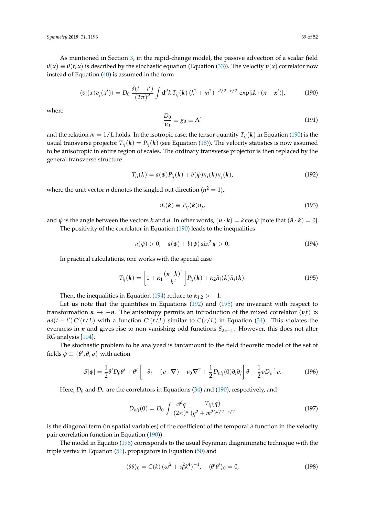As mentioned in Section [3,](#page-9-0) in the rapid-change model, the passive advection of a scalar field  $\theta(x) \equiv \theta(t, x)$  is described by the stochastic equation (Equation [\(33\)](#page-12-0)). The velocity  $v(x)$  correlator now instead of Equation  $(40)$  is assumed in the form

<span id="page-38-0"></span>
$$
\langle v_i(x)v_j(x')\rangle = D_0 \frac{\delta(t-t')}{(2\pi)^d} \int d^d k \, T_{ij}(k) \left(k^2 + m^2\right)^{-d/2-\epsilon/2} \exp[i k \cdot (x-x')],\tag{190}
$$

where

<span id="page-38-6"></span>
$$
\frac{D_0}{\nu_0} \equiv g_0 \equiv \Lambda^{\varepsilon} \tag{191}
$$

and the relation  $m = 1/L$  holds. In the isotropic case, the tensor quantity  $T_{ij}(k)$  in Equation [\(190\)](#page-38-0) is the usual transverse projector  $T_{ij}(k) = P_{ij}(k)$  (see Equation [\(18\)](#page-9-4)). The velocity statistics is now assumed to be anisotropic in entire region of scales. The ordinary transverse projector is then replaced by the general transverse structure

<span id="page-38-2"></span>
$$
T_{ij}(\mathbf{k}) = a(\psi)P_{ij}(\mathbf{k}) + b(\psi)\tilde{n}_i(\mathbf{k})\tilde{n}_j(\mathbf{k}),
$$
\n(192)

where the unit vector *n* denotes the singled out direction ( $n^2 = 1$ ),

$$
\tilde{n}_i(\mathbf{k}) \equiv P_{ij}(\mathbf{k}) n_j,\tag{193}
$$

and  $\psi$  is the angle between the vectors *k* and *n*. In other words,  $(n \cdot k) = k \cos \psi$  [note that  $(\tilde{n} \cdot k) = 0$ ]. The positivity of the correlator in Equation [\(190\)](#page-38-0) leads to the inequalities

<span id="page-38-1"></span>
$$
a(\psi) > 0, \quad a(\psi) + b(\psi)\sin^2\psi > 0.
$$
 (194)

In practical calculations, one works with the special case

<span id="page-38-3"></span>
$$
T_{ij}(\mathbf{k}) = \left[1 + \alpha_1 \frac{(\mathbf{n} \cdot \mathbf{k})^2}{k^2}\right] P_{ij}(\mathbf{k}) + \alpha_2 \tilde{n}_i(\mathbf{k}) \tilde{n}_j(\mathbf{k}). \tag{195}
$$

Then, the inequalities in Equation [\(194\)](#page-38-1) reduce to  $\alpha_{1,2} > -1$ .

Let us note that the quantities in Equations [\(192\)](#page-38-2) and [\(195\)](#page-38-3) are invariant with respect to transformation *n*  $\rightarrow -n$ . The anisotropy permits an introduction of the mixed correlator  $\langle vf \rangle \propto$  $n\delta(t-t') C'(r/L)$  with a function  $C'(r/L)$  similar to  $C(r/L)$  in Equation [\(34\)](#page-12-1). This violates the evenness in  $n$  and gives rise to non-vanishing odd functions  $S_{2n+1}$ . However, this does not alter RG analysis [\[104\]](#page-51-1).

The stochastic problem to be analyzed is tantamount to the field theoretic model of the set of fields  $\phi \equiv \{\theta', \theta, v\}$  with action

<span id="page-38-4"></span>
$$
S[\phi] = \frac{1}{2}\theta' D_{\theta}\theta' + \theta' \left[ -\partial_t - (v \cdot \nabla) + v_0 \nabla^2 + \frac{1}{2} D_{vij}(0) \partial_i \partial_j \right] \theta - \frac{1}{2} v D_v^{-1} v. \tag{196}
$$

Here,  $D_{\theta}$  and  $D_{\nu}$  are the correlators in Equations [\(34\)](#page-12-1) and [\(190\)](#page-38-0), respectively, and

$$
D_{vij}(0) = D_0 \int \frac{\mathrm{d}^d q}{(2\pi)^d} \frac{T_{ij}(q)}{(q^2 + m^2)^{d/2 + \varepsilon/2}} \tag{197}
$$

is the diagonal term (in spatial variables) of the coefficient of the temporal *δ* function in the velocity pair correlation function in Equation [\(190\)](#page-38-0)).

The model in Equatio [\(196\)](#page-38-4) corresponds to the usual Feynman diagrammatic technique with the triple vertex in Equation [\(51\)](#page-14-2), propagators in Equation [\(50\)](#page-14-3) and

<span id="page-38-5"></span>
$$
\langle \theta \theta \rangle_0 = C(k) \left( \omega^2 + v_0^2 k^4 \right)^{-1}, \quad \langle \theta' \theta' \rangle_0 = 0, \tag{198}
$$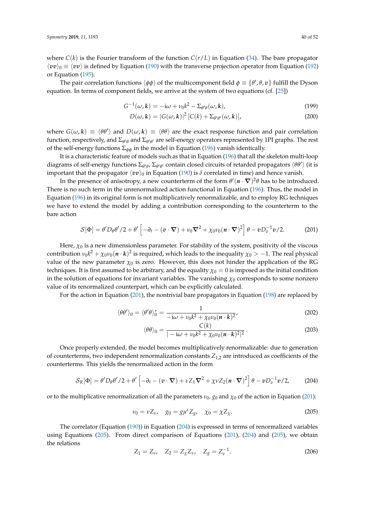where  $C(k)$  is the Fourier transform of the function  $C(r/L)$  in Equation [\(34\)](#page-12-1). The bare propagator  $\langle v\bar{v}\rangle_0 \equiv \langle v\bar{v}\rangle$  is defined by Equation [\(190\)](#page-38-0) with the transverse projection operator from Equation [\(192\)](#page-38-2) or Equation [\(195\)](#page-38-3).

The pair correlation functions  $\langle \phi \phi \rangle$  of the multicomponent field  $\phi \equiv \{\theta', \theta, v\}$  fulfill the Dyson equation. In terms of component fields, we arrive at the system of two equations (cf. [\[25\]](#page-48-5))

$$
G^{-1}(\omega, \mathbf{k}) = -\mathrm{i}\omega + \nu_0 k^2 - \Sigma_{\theta'\theta}(\omega, \mathbf{k}), \qquad (199)
$$

$$
D(\omega, k) = |G(\omega, k)|^2 [C(k) + \Sigma_{\theta'\theta'}(\omega, k)],
$$
\n(200)

where  $G(\omega, k) \equiv \langle \theta \theta' \rangle$  and  $D(\omega, k) \equiv \langle \theta \theta \rangle$  are the exact response function and pair correlation function, respectively, and Σ<sub>θ'θ</sub> and Σ<sub>θ'θ'</sub> are self-energy operators represented by 1PI graphs. The rest of the self-energy functions Σ*φφ* in the model in Equation [\(196\)](#page-38-4) vanish identically.

It is a characteristic feature of models such as that in Equation [\(196\)](#page-38-4) that all the skeleton multi-loop diagrams of self-energy functions  $\Sigma_{\theta'\theta}$ ,  $\Sigma_{\theta'\theta'}$  contain closed circuits of retarded propagators  $\langle\theta\theta'\rangle$  (it is important that the propagator  $\langle v v \rangle_0$  in Equation [\(190\)](#page-38-0) is  $\delta$  correlated in time) and hence vanish.

In the presence of anisotropy, a new counterterm of the form  $\theta'$  ( $n \cdot \nabla$ )<sup>2</sup> $\theta$  has to be introduced. There is no such term in the unrenormalized action functional in Equation [\(196\)](#page-38-4). Thus, the model in Equation [\(196\)](#page-38-4) in its original form is not multiplicatively renormalizable, and to employ RG techniques we have to extend the model by adding a contribution corresponding to the counterterm to the bare action

<span id="page-39-0"></span>
$$
S[\Phi] = \theta' D_{\theta} \theta'/2 + \theta' \left[ -\partial_t - (v \cdot \nabla) + \nu_0 \nabla^2 + \chi_0 \nu_0 (n \cdot \nabla)^2 \right] \theta - v D_{v}^{-1} v/2. \tag{201}
$$

Here,  $\chi_0$  is a new dimensionless parameter. For stability of the system, positivity of the viscous contribution  $v_0k^2 + \chi_0v_0(n \cdot k)^2$  is required, which leads to the inequality  $\chi_0 > -1$ . The real physical value of the new parameter  $\chi_0$  is zero. However, this does not hinder the application of the RG techniques. It is first assumed to be arbitrary, and the equality  $\chi_0 = 0$  is imposed as the initial condition in the solution of equations for invariant variables. The vanishing  $\chi_0$  corresponds to some nonzero value of its renormalized counterpart, which can be explicitly calculated.

For the action in Equation [\(201\)](#page-39-0), the nontrivial bare propagators in Equation [\(198\)](#page-38-5) are replaced by

$$
\langle \theta \theta' \rangle_0 = \langle \theta' \theta \rangle_0^* = \frac{1}{-i\omega + \nu_0 k^2 + \chi_0 \nu_0 (n \cdot k)^2},\tag{202}
$$

$$
\langle \theta \theta \rangle_0 = \frac{C(k)}{| - i\omega + \nu_0 k^2 + \chi_0 \nu_0 (n \cdot k)^2 |^2} \,. \tag{203}
$$

Once properly extended, the model becomes multiplicatively renormalizable: due to generation of counterterms, two independent renormalization constants *Z*1,2 are introduced as coefficients of the counterterms. This yields the renormalized action in the form

<span id="page-39-1"></span>
$$
S_R[\Phi] = \theta' D_\theta \theta'/2 + \theta' \left[ -\partial_t - (v \cdot \nabla) + v Z_1 \nabla^2 + \chi v Z_2 (n \cdot \nabla)^2 \right] \theta - v D_v^{-1} v/2, \tag{204}
$$

or to the multiplicative renormalization of all the parameters  $\nu_0$ ,  $g_0$  and  $\chi_0$  of the action in Equation [\(201\)](#page-39-0):

<span id="page-39-2"></span>
$$
\nu_0 = \nu Z_{\nu}, \quad g_0 = g\mu^{\varepsilon} Z_g, \quad \chi_0 = \chi Z_{\chi}.
$$
 (205)

The correlator (Equation [\(190\)](#page-38-0)) in Equation [\(204\)](#page-39-1) is expressed in terms of renormalized variables using Equations [\(205\)](#page-39-2). From direct comparison of Equations [\(201\)](#page-39-0), [\(204\)](#page-39-1) and [\(205\)](#page-39-2), we obtain the relations

<span id="page-39-3"></span>
$$
Z_1 = Z_\nu, \quad Z_2 = Z_\chi Z_\nu, \quad Z_g = Z_\nu^{-1}.
$$
\n(206)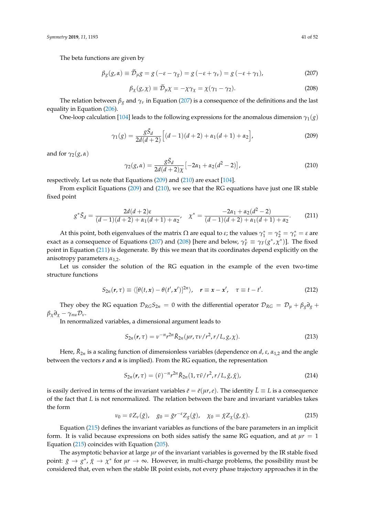The beta functions are given by

<span id="page-40-0"></span>
$$
\beta_g(g,\alpha) \equiv \tilde{\mathcal{D}}_{\mu}g = g\left(-\varepsilon - \gamma_g\right) = g\left(-\varepsilon + \gamma_{\nu}\right) = g\left(-\varepsilon + \gamma_1\right),\tag{207}
$$

<span id="page-40-3"></span>
$$
\beta_{\chi}(g,\chi) \equiv \widetilde{\mathcal{D}}_{\mu}\chi = -\chi\gamma_{\chi} = \chi(\gamma_1 - \gamma_2). \tag{208}
$$

The relation between  $\beta_g$  and  $\gamma_v$  in Equation [\(207\)](#page-40-0) is a consequence of the definitions and the last equality in Equation [\(206\)](#page-39-3).

One-loop calculation [\[104\]](#page-51-1) leads to the following expressions for the anomalous dimension  $\gamma_1(g)$ 

<span id="page-40-1"></span>
$$
\gamma_1(g) = \frac{g\bar{S}_d}{2d(d+2)} \Big[ (d-1)(d+2) + \alpha_1(d+1) + \alpha_2 \Big],\tag{209}
$$

and for  $\gamma_2(g, \alpha)$ 

<span id="page-40-2"></span>
$$
\gamma_2(g,\alpha) = \frac{g\bar{S}_d}{2d(d+2)\chi} \left[ -2\alpha_1 + \alpha_2(d^2 - 2) \right],\tag{210}
$$

respectively. Let us note that Equations [\(209\)](#page-40-1) and [\(210\)](#page-40-2) are exact [\[104\]](#page-51-1).

From explicit Equations [\(209\)](#page-40-1) and [\(210\)](#page-40-2), we see that the RG equations have just one IR stable fixed point

<span id="page-40-4"></span>
$$
g^*\bar{S}_d = \frac{2d(d+2)\varepsilon}{(d-1)(d+2) + \alpha_1(d+1) + \alpha_2}, \quad \chi^* = \frac{-2\alpha_1 + \alpha_2(d^2-2)}{(d-1)(d+2) + \alpha_1(d+1) + \alpha_2}.
$$
 (211)

At this point, both eigenvalues of the matrix  $\Omega$  are equal to *ε*; the values  $\gamma_1^* = \gamma_2^* = \gamma_\nu^* = \varepsilon$  are exact as a consequence of Equations [\(207\)](#page-40-0) and [\(208\)](#page-40-3) [here and below,  $\gamma_F^* \equiv \gamma_F(g^*, \chi^*)$ ]. The fixed point in Equation [\(211\)](#page-40-4) is degenerate. By this we mean that its coordinates depend explicitly on the anisotropy parameters *α*1,2.

Let us consider the solution of the RG equation in the example of the even two-time structure functions

<span id="page-40-7"></span>
$$
S_{2n}(r,\tau) \equiv \langle [\theta(t,x) - \theta(t',x')]^{2n} \rangle, \quad r \equiv x - x', \quad \tau \equiv t - t'.
$$
 (212)

They obey the RG equation  $\mathcal{D}_{RG}S_{2n} = 0$  with the differential operator  $\mathcal{D}_{RG} = \mathcal{D}_{\mu} + \beta_g \partial_g + \beta_g \partial_g$  $β<sub>X</sub>∂<sub>X</sub> - γ<sub>nu</sub>D<sub>v</sub>$ .

In renormalized variables, a dimensional argument leads to

$$
S_{2n}(r,\tau) = \nu^{-n} r^{2n} \tilde{R}_{2n}(\mu r, \tau \nu / r^2, r/L, g, \chi).
$$
 (213)

Here,  $\tilde{R}_{2n}$  is a scaling function of dimensionless variables (dependence on *d*, *ε*, *α*<sub>1,2</sub> and the angle between the vectors *r* and *n* is implied). From the RG equation, the representation

<span id="page-40-6"></span>
$$
S_{2n}(r,\tau) = (\bar{v})^{-n} r^{2n} \tilde{R}_{2n}(1,\tau \bar{v}/r^2,r/L,\bar{g},\bar{\chi}), \qquad (214)
$$

is easily derived in terms of the invariant variables  $\bar{e} = \bar{e}(\mu r, e)$ . The identity  $\bar{L} \equiv L$  is a consequence of the fact that *L* is not renormalized. The relation between the bare and invariant variables takes the form

<span id="page-40-5"></span>
$$
\nu_0 = \bar{\nu} Z_{\nu}(\bar{g}), \quad g_0 = \bar{g} r^{-\epsilon} Z_g(\bar{g}), \quad \chi_0 = \bar{\chi} Z_{\chi}(\bar{g}, \bar{\chi}). \tag{215}
$$

Equation [\(215\)](#page-40-5) defines the invariant variables as functions of the bare parameters in an implicit form. It is valid because expressions on both sides satisfy the same RG equation, and at *µr* = 1 Equation [\(215\)](#page-40-5) coincides with Equation [\(205\)](#page-39-2).

The asymptotic behavior at large *µr* of the invariant variables is governed by the IR stable fixed point:  $\bar{g} \to g^*$ ,  $\bar{\chi} \to \chi^*$  for  $\mu r \to \infty$ . However, in multi-charge problems, the possibility must be considered that, even when the stable IR point exists, not every phase trajectory approaches it in the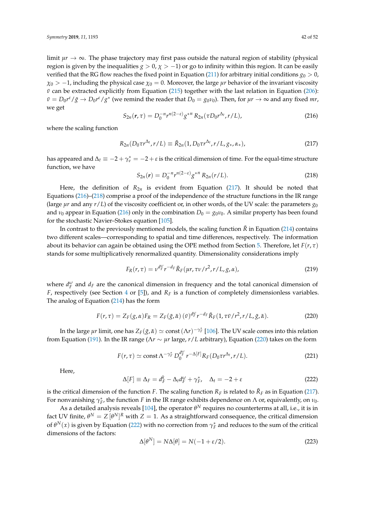limit  $\mu r \to \infty$ . The phase trajectory may first pass outside the natural region of stability (physical region is given by the inequalities  $g > 0$ ,  $\chi > -1$ ) or go to infinity within this region. It can be easily verified that the RG flow reaches the fixed point in Equation [\(211\)](#page-40-4) for arbitrary initial conditions  $g_0 > 0$ ,  $\chi_0$  > −1, including the physical case  $\chi_0$  = 0. Moreover, the large *µr* behavior of the invariant viscosity  $ν$  can be extracted explicitly from Equation [\(215\)](#page-40-5) together with the last relation in Equation [\(206\)](#page-39-3):  $\bar{\nu} = D_0 r^{\varepsilon}/\bar{g} \to D_0 r^{\varepsilon}/g^*$  (we remind the reader that  $D_0 = g_0 \nu_0$ ). Then, for  $\mu r \to \infty$  and any fixed *mr*, we get

<span id="page-41-1"></span>
$$
S_{2n}(r,\tau) = D_0^{-n} r^{n(2-\epsilon)} g^{*n} R_{2n}(\tau D_0 r^{\Delta_t}, r/L), \qquad (216)
$$

where the scaling function

<span id="page-41-0"></span>
$$
R_{2n}(D_0 \tau r^{\Delta_t}, r/L) \equiv \tilde{R}_{2n}(1, D_0 \tau r^{\Delta_t}, r/L, g_*, \alpha_*),
$$
\n(217)

has appeared and  $\Delta_t \equiv -2 + \gamma_v^* = -2 + \varepsilon$  is the critical dimension of time. For the equal-time structure function, we have

<span id="page-41-2"></span>
$$
S_{2n}(r) = D_0^{-n} r^{n(2-\varepsilon)} g^{*n} R_{2n}(r/L).
$$
 (218)

Here, the definition of  $R_{2n}$  is evident from Equation [\(217\)](#page-41-0). It should be noted that Equations [\(216\)](#page-41-1)–[\(218\)](#page-41-2) comprise a proof of the independence of the structure functions in the IR range (large  $\mu r$  and any  $r/L$ ) of the viscosity coefficient or, in other words, of the UV scale: the parameters  $g_0$ and  $\nu_0$  appear in Equation [\(216\)](#page-41-1) only in the combination  $D_0 = g_0 \nu_0$ . A similar property has been found for the stochastic Navier–Stokes equation [\[105\]](#page-51-2).

In contrast to the previously mentioned models, the scaling function  $\tilde{R}$  in Equation [\(214\)](#page-40-6) contains two different scales—corresponding to spatial and time differences, respectively. The information about its behavior can again be obtained using the OPE method from Section [5.](#page-18-0) Therefore, let *F*(*r*, *τ*) stands for some multiplicatively renormalized quantity. Dimensionality considerations imply

$$
F_R(r,\tau) = \nu^{d_F^{\omega}} r^{-d_F} \tilde{R}_F(\mu r, \tau \nu / r^2, r/L, g, \alpha), \qquad (219)
$$

where  $d_F^{\omega}$  and  $d_F$  are the canonical dimension in frequency and the total canonical dimension of *F*, respectively (see Section [4](#page-16-0) or [\[5\]](#page-47-4)), and  $R<sub>F</sub>$  is a function of completely dimensionless variables. The analog of Equation [\(214\)](#page-40-6) has the form

<span id="page-41-3"></span>
$$
F(r,\tau) = Z_F(g,\alpha)F_R = Z_F(\bar{g},\bar{\alpha}) \left(\bar{v}\right)^{d_F^{\omega}} r^{-d_F} \tilde{R}_F(1,\tau \bar{v}/r^2,r/L,\bar{g},\bar{\alpha}).
$$
\n(220)

In the large  $\mu r$  limit, one has  $Z_F(\bar{g},\bar{\alpha})\simeq$  const  $(\Lambda r)^{-\gamma_F^*}$  [\[106\]](#page-51-3). The UV scale comes into this relation from Equation [\(191\)](#page-38-6). In the IR range ( $\Lambda r \sim \mu r$  large,  $r/L$  arbitrary), Equation [\(220\)](#page-41-3) takes on the form

$$
F(r,\tau) \simeq \text{const} \,\Lambda^{-\gamma_F^*} \, D_0^{d_F^{\omega}} \, r^{-\Delta[F]} R_F(D_0 \tau r^{\Delta_t}, r/L). \tag{221}
$$

Here,

<span id="page-41-4"></span>
$$
\Delta[F] \equiv \Delta_F = d_F^k - \Delta_t d_F^\omega + \gamma_F^*, \quad \Delta_t = -2 + \varepsilon \tag{222}
$$

is the critical dimension of the function *F*. The scaling function  $R_F$  is related to  $\tilde{R}_F$  as in Equation [\(217\)](#page-41-0). For nonvanishing *γ* ∗ *F* , the function *F* in the IR range exhibits dependence on Λ or, equivalently, on *ν*0.

As a detailed analysis reveals [\[104\]](#page-51-1), the operator  $\theta^N$  requires no counterterms at all, i.e., it is in fact UV finite,  $\theta^N = Z\, [\theta^N]^R$  with  $Z=1$ . As a straightforward consequence, the critical dimension of  $\theta^N(x)$  is given by Equation [\(222\)](#page-41-4) with no correction from  $\gamma_F^*$  and reduces to the sum of the critical dimensions of the factors:

<span id="page-41-5"></span>
$$
\Delta[\theta^N] = N\Delta[\theta] = N(-1 + \varepsilon/2). \tag{223}
$$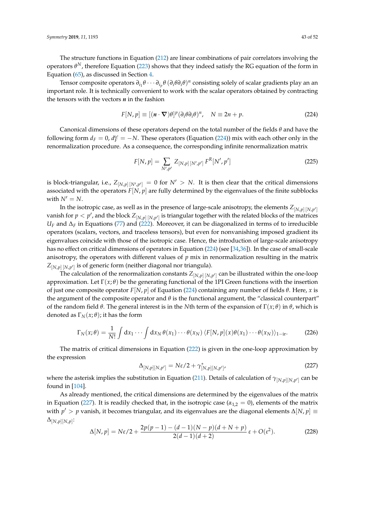The structure functions in Equation [\(212\)](#page-40-7) are linear combinations of pair correlators involving the operators *θ <sup>N</sup>*, therefore Equation [\(223\)](#page-41-5) shows that they indeed satisfy the RG equation of the form in Equation [\(65\)](#page-18-1), as discussed in Section [4.](#page-16-0)

Tensor composite operators  $\partial_{i_1}\theta\cdots\partial_{i_p}\theta\ (\partial_i\theta\partial_i\theta)^n$  consisting solely of scalar gradients play an an important role. It is technically convenient to work with the scalar operators obtained by contracting the tensors with the vectors *n* in the fashion

<span id="page-42-0"></span>
$$
F[N, p] \equiv [(n \cdot \nabla)\theta]^p (\partial_i \theta \partial_i \theta)^n, \quad N \equiv 2n + p. \tag{224}
$$

Canonical dimensions of these operators depend on the total number of the fields *θ* and have the following form  $d_F = 0$ ,  $d_F^{\omega} = -N$ . These operators (Equation [\(224\)](#page-42-0)) mix with each other only in the renormalization procedure. As a consequence, the corresponding infinite renormalization matrix

$$
F[N, p] = \sum_{N', p'} Z_{[N, p]} \left[N', p'\right] F^{R}[N', p'] \tag{225}
$$

is block-triangular, i.e.,  $Z_{[N,p]\, [N',p']} = 0$  for  $N' > N$ . It is then clear that the critical dimensions associated with the operators  $F[N, p]$  are fully determined by the eigenvalues of the finite subblocks with  $N' = N$ .

In the isotropic case, as well as in the presence of large-scale anisotropy, the elements  $Z_{[N,p]\, [N,p']}$ vanish for  $p < p'$ , and the block  $Z_{[N,p]\, [N,p']}$  is triangular together with the related blocks of the matrices *U<sub>F</sub>* and  $\Delta$ *F* in Equations [\(77\)](#page-20-1) and [\(222\)](#page-41-4). Moreover, it can be diagonalized in terms of to irreducible operators (scalars, vectors, and traceless tensors), but even for nonvanishing imposed gradient its eigenvalues coincide with those of the isotropic case. Hence, the introduction of large-scale anisotropy has no effect on critical dimensions of operators in Equation [\(224\)](#page-42-0) (see [\[34](#page-48-14)[,36\]](#page-48-16)). In the case of small-scale anisotropy, the operators with different values of *p* mix in renormalization resulting in the matrix  $Z_{[N,p]\,[N,p']}$  is of generic form (neither diagonal nor triangula).

The calculation of the renormalization constants  $Z_{[N,p]\,[N,p']}$  can be illustrated within the one-loop approximation. Let Γ(*x*; *θ*) be the generating functional of the 1PI Green functions with the insertion of just one composite operator *F*[*N*, *p*] of Equation [\(224\)](#page-42-0) containing any number of fields *θ*. Here, *x* is the argument of the composite operator and  $\theta$  is the functional argument, the "classical counterpart" of the random field *θ*. The general interest is in the *N*th term of the expansion of Γ(*x*; *θ*) in *θ*, which is denoted as  $\Gamma_N(x;\theta)$ ; it has the form

$$
\Gamma_N(x;\theta) = \frac{1}{N!} \int dx_1 \cdots \int dx_N \,\theta(x_1) \cdots \theta(x_N) \,\langle F[N,p](x) \theta(x_1) \cdots \theta(x_N) \rangle_{1-\text{ir}}.\tag{226}
$$

The matrix of critical dimensions in Equation [\(222\)](#page-41-4) is given in the one-loop approximation by the expression

<span id="page-42-1"></span>
$$
\Delta_{[N,p][N,p']} = N\varepsilon/2 + \gamma^*_{[N,p][N,p']'}
$$
\n(227)

where the asterisk implies the substitution in Equation [\(211\)](#page-40-4). Details of calculation of *γ*[*N*,*p*][*N*,*<sup>p</sup>* 0 ] can be found in [\[104\]](#page-51-1).

As already mentioned, the critical dimensions are determined by the eigenvalues of the matrix in Equation [\(227\)](#page-42-1). It is readily checked that, in the isotropic case ( $\alpha_{1,2} = 0$ ), elements of the matrix with  $p' > p$  vanish, it becomes triangular, and its eigenvalues are the diagonal elements  $\Delta[N, p] \equiv$  $\Delta_{[N,p][N,p]}\!\!:\!\!$ 

<span id="page-42-2"></span>
$$
\Delta[N, p] = N\varepsilon/2 + \frac{2p(p-1) - (d-1)(N-p)(d+N+p)}{2(d-1)(d+2)}\varepsilon + O(\varepsilon^2). \tag{228}
$$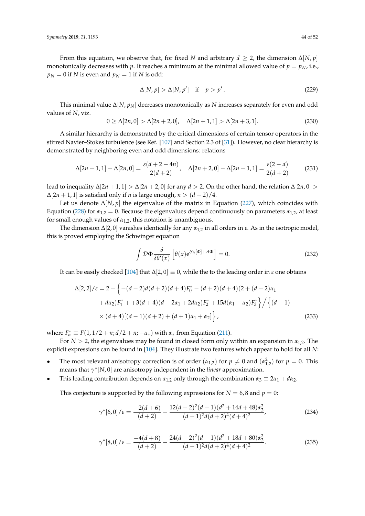From this equation, we observe that, for fixed *N* and arbitrary  $d \geq 2$ , the dimension  $\Delta[N, p]$ monotonically decreases with *p*. It reaches a minimum at the minimal allowed value of  $p = p<sub>N</sub>$ , i.e.,  $p<sub>N</sub> = 0$  if *N* is even and  $p<sub>N</sub> = 1$  if *N* is odd:

<span id="page-43-0"></span>
$$
\Delta[N, p] > \Delta[N, p'] \quad \text{if} \quad p > p' \,. \tag{229}
$$

This minimal value ∆[*N*, *pN*] decreases monotonically as *N* increases separately for even and odd values of *N*, viz.

<span id="page-43-1"></span>
$$
0 \ge \Delta[2n, 0] > \Delta[2n + 2, 0], \quad \Delta[2n + 1, 1] > \Delta[2n + 3, 1]. \tag{230}
$$

A similar hierarchy is demonstrated by the critical dimensions of certain tensor operators in the stirred Navier–Stokes turbulence (see Ref. [\[107\]](#page-51-4) and Section 2.3 of [\[31\]](#page-48-11)). However, no clear hierarchy is demonstrated by neighboring even and odd dimensions: relations

<span id="page-43-2"></span>
$$
\Delta[2n+1,1] - \Delta[2n,0] = \frac{\varepsilon(d+2-4n)}{2(d+2)}, \quad \Delta[2n+2,0] - \Delta[2n+1,1] = \frac{\varepsilon(2-d)}{2(d+2)}\tag{231}
$$

lead to inequality  $\Delta[2n+1,1] > \Delta[2n+2,0]$  for any  $d > 2$ . On the other hand, the relation  $\Delta[2n,0] >$  $\Delta[2n + 1, 1]$  is satisfied only if *n* is large enough,  $n > (d + 2)/4$ .

Let us denote  $\Delta[N, p]$  the eigenvalue of the matrix in Equation [\(227\)](#page-42-1), which coincides with Equation [\(228\)](#page-42-2) for  $\alpha_{1,2} = 0$ . Because the eigenvalues depend continuously on parameters  $\alpha_{1,2}$ , at least for small enough values of  $\alpha_{1,2}$ , this notation is unambiguous.

The dimension  $Δ[2, 0]$  vanishes identically for any  $α_{1,2}$  in all orders in *ε*. As in the isotropic model, this is proved employing the Schwinger equation

<span id="page-43-5"></span>
$$
\int \mathcal{D}\Phi \frac{\delta}{\delta\theta'(x)} \left[ \theta(x) e^{\mathcal{S}_R[\Phi] + A\Phi} \right] = 0.
$$
 (232)

It can be easily checked [\[104\]](#page-51-1) that  $Δ[2, 0] ≡ 0$ , while the to the leading order in  $ε$  one obtains

$$
\Delta[2,2]/\varepsilon = 2 + \left\{ -(d-2)d(d+2)(d+4)F_0^* - (d+2)(d+4)(2+(d-2)\alpha_1 + d\alpha_2)F_1^* + 3(d+4)(d-2\alpha_1 + 2d\alpha_2)F_2^* + 15d(\alpha_1 - \alpha_2)F_3^* \right\} / \left\{ (d-1) \times (d+4)[(d-1)(d+2) + (d+1)\alpha_1 + \alpha_2] \right\},
$$
\n(233)

where  $F_n^* \equiv F(1, 1/2 + n; d/2 + n; -\alpha_*)$  with  $\alpha_*$  from Equation [\(211\)](#page-40-4).

For  $N > 2$ , the eigenvalues may be found in closed form only within an expansion in  $\alpha_{1,2}$ . The explicit expressions can be found in [\[104\]](#page-51-1). They illustrate two features which appear to hold for all *N*:

- The most relevant anisotropy correction is of order  $(\alpha_{1,2})$  for  $p \neq 0$  and  $(\alpha_{1,2}^2)$  for  $p = 0$ . This means that *γ* ∗ [*N*, 0] are anisotropy independent in the *linear* approximation.
- This leading contribution depends on  $\alpha_{1,2}$  only through the combination  $\alpha_3 \equiv 2\alpha_1 + d\alpha_2$ .

This conjecture is supported by the following expressions for  $N = 6, 8$  and  $p = 0$ :

<span id="page-43-3"></span>
$$
\gamma^*[6,0]/\varepsilon = \frac{-2(d+6)}{(d+2)} - \frac{12(d-2)^2(d+1)(d^2+14d+48)\alpha_3^2}{(d-1)^2d(d+2)^4(d+4)^2},\tag{234}
$$

<span id="page-43-4"></span>
$$
\gamma^*[8,0]/\varepsilon = \frac{-4(d+8)}{(d+2)} - \frac{24(d-2)^2(d+1)(d^2+18d+80)\alpha_3^2}{(d-1)^2d(d+2)^4(d+4)^2}.
$$
\n(235)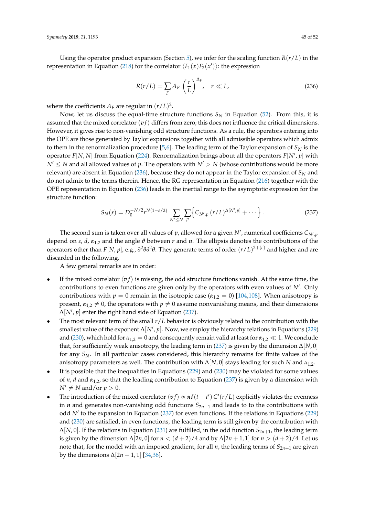Using the operator product expansion (Section [5\)](#page-18-0), we infer for the scaling function  $R(r/L)$  in the representation in Equation [\(218\)](#page-41-2) for the correlator  $\langle F_1(x)F_2(x')\rangle$ : the expression

<span id="page-44-0"></span>
$$
R(r/L) = \sum_{F} A_{F} \left(\frac{r}{L}\right)^{\Delta_{F}}, \quad r \ll L,
$$
\n(236)

where the coefficients  $A_F$  are regular in  $(r/L)^2$ .

Now, let us discuss the equal-time structure functions  $S_N$  in Equation [\(52\)](#page-15-1). From this, it is assumed that the mixed correlator  $\langle v f \rangle$  differs from zero; this does not influence the critical dimensions. However, it gives rise to non-vanishing odd structure functions. As a rule, the operators entering into the OPE are those generated by Taylor expansions together with all admissible operators which admix to them in the renormalization procedure [\[5,](#page-47-4)[6\]](#page-47-5). The leading term of the Taylor expansion of *S<sup>N</sup>* is the operator  $F[N,N]$  from Equation [\(224\)](#page-42-0). Renormalization brings about all the operators  $F[N',p]$  with  $N' \leq N$  and all allowed values of p. The operators with  $N' > N$  (whose contributions would be more relevant) are absent in Equation [\(236\)](#page-44-0), because they do not appear in the Taylor expansion of  $S_N$  and do not admix to the terms therein. Hence, the RG representation in Equation [\(216\)](#page-41-1) together with the OPE representation in Equation [\(236\)](#page-44-0) leads in the inertial range to the asymptotic expression for the structure function:

<span id="page-44-1"></span>
$$
S_N(r) = D_0^{-N/2} r^{N(1-\epsilon/2)} \sum_{N' \le N} \sum_{p} \left\{ C_{N',p} (r/L)^{\Delta[N',p]} + \cdots \right\}.
$$
 (237)

The second sum is taken over all values of  $p$ , allowed for a given  $N'$ , numerical coefficients  $C_{N',p}$ depend on *ε*, *d*, *α*1,2 and the angle *ϑ* between *r* and *n*. The ellipsis denotes the contributions of the operators other than *F*[*N*, *p*], e.g., *∂* 2 *θ∂*<sup>2</sup> *θ*. They generate terms of order (*r*/*L*) <sup>2</sup>+(*ε*) and higher and are discarded in the following.

A few general remarks are in order:

- If the mixed correlator  $\langle v f \rangle$  is missing, the odd structure functions vanish. At the same time, the contributions to even functions are given only by the operators with even values of  $N'$ . Only contributions with  $p = 0$  remain in the isotropic case ( $\alpha_{1,2} = 0$ ) [\[104,](#page-51-1)[108\]](#page-51-5). When anisotropy is present,  $\alpha_{1,2} \neq 0$ , the operators with  $p \neq 0$  assume nonvanishing means, and their dimensions ∆[*N*0 , *p*] enter the right hand side of Equation [\(237\)](#page-44-1).
- The most relevant term of the small  $r/L$  behavior is obviously related to the contribution with the smallest value of the exponent  $\Delta[N',p]$ . Now, we employ the hierarchy relations in Equations [\(229\)](#page-43-0) and [\(230\)](#page-43-1), which hold for  $\alpha_{1,2} = 0$  and consequently remain valid at least for  $\alpha_{1,2} \ll 1$ . We conclude that, for sufficiently weak anisotropy, the leading term in [\(237\)](#page-44-1) is given by the dimension ∆[*N*, 0] for any *SN*. In all particular cases considered, this hierarchy remains for finite values of the anisotropy parameters as well. The contribution with ∆[*N*, 0] stays leading for such *N* and *α*1,2.
- It is possible that the inequalities in Equations [\(229\)](#page-43-0) and [\(230\)](#page-43-1) may be violated for some values of *n*, *d* and  $\alpha_{12}$ , so that the leading contribution to Equation [\(237\)](#page-44-1) is given by a dimension with  $N' \neq N$  and/or  $p > 0$ .
- The introduction of the mixed correlator  $\langle vf \rangle \propto n\delta(t-t') C'(r/L)$  explicitly violates the evenness in *n* and generates non-vanishing odd functions  $S_{2n+1}$  and leads to to the contributions with odd *N'* to the expansion in Equation [\(237\)](#page-44-1) for even functions. If the relations in Equations [\(229\)](#page-43-0) and [\(230\)](#page-43-1) are satisfied, in even functions, the leading term is still given by the contribution with ∆[*N*, 0]. If the relations in Equation [\(231\)](#page-43-2) are fulfilled, in the odd function  $S_{2n+1}$ , the leading term is given by the dimension  $\Delta[2n, 0]$  for  $n < (d+2)/4$  and by  $\Delta[2n+1, 1]$  for  $n > (d+2)/4$ . Let us note that, for the model with an imposed gradient, for all *n*, the leading terms of  $S_{2n+1}$  are given by the dimensions  $\Delta$ [2*n* + 1, 1] [\[34](#page-48-14)[,36\]](#page-48-16).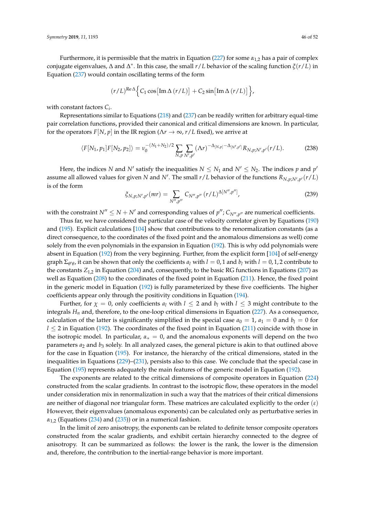Furthermore, it is permissible that the matrix in Equation [\(227\)](#page-42-1) for some *α*1,2 has a pair of complex conjugate eigenvalues, ∆ and ∆ ∗ . In this case, the small *r*/*L* behavior of the scaling function *ξ*(*r*/*L*) in Equation [\(237\)](#page-44-1) would contain oscillating terms of the form

$$
(r/L)^{\operatorname{Re}\Delta}\Big\{C_1\cos\big[\operatorname{Im}\Delta\left(r/L\right)\big]+C_2\sin\big[\operatorname{Im}\Delta\left(r/L\right)\big]\Big\},\,
$$

with constant factors *C<sup>i</sup>* .

Representations similar to Equations [\(218\)](#page-41-2) and [\(237\)](#page-44-1) can be readily written for arbitrary equal-time pair correlation functions, provided their canonical and critical dimensions are known. In particular, for the operators *F*[*N*, *p*] in the IR region ( $\Lambda r \to \infty$ , *r*/*L* fixed), we arrive at

$$
\langle F[N_1, p_1] F[N_2, p_2] \rangle = v_0^{-\left(N_1 + N_2\right)/2} \sum_{N, p} \sum_{N', p'} (\Lambda r)^{-\Delta_{[N, p]} - \Delta_{[N', p']}} R_{N, p; N', p'}(r/L). \tag{238}
$$

Here, the indices *N* and *N'* satisfy the inequalities  $N \leq N_1$  and  $N' \leq N_2$ . The indices  $p$  and  $p'$ assume all allowed values for given *N* and *N'*. The small  $r/L$  behavior of the functions  $R_{N,p;N',p'}(r/L)$ is of the form

$$
\xi_{N,p;N',p'}(mr) = \sum_{N'',p''} C_{N'',p''}(r/L)^{\Delta[N'',p'']},\tag{239}
$$

with the constraint  $N'' \le N + N'$  and corresponding values of  $p''$ ;  $C_{N'',p''}$  are numerical coefficients.

Thus far, we have considered the particular case of the velocity correlator given by Equations [\(190\)](#page-38-0) and [\(195\)](#page-38-3). Explicit calculations [\[104\]](#page-51-1) show that contributions to the renormalization constants (as a direct consequence, to the coordinates of the fixed point and the anomalous dimensions as well) come solely from the even polynomials in the expansion in Equation [\(192\)](#page-38-2). This is why odd polynomials were absent in Equation [\(192\)](#page-38-2) from the very beginning. Further, from the explicit form [\[104\]](#page-51-1) of self-energy  $\sum_{\theta'\theta}$ , it can be shown that only the coefficients  $a_l$  with  $l = 0, 1$  and  $b_l$  with  $l = 0, 1, 2$  contribute to the constants  $Z_{1,2}$  in Equation [\(204\)](#page-39-1) and, consequently, to the basic RG functions in Equations [\(207\)](#page-40-0) as well as Equation [\(208\)](#page-40-3) to the coordinates of the fixed point in Equation [\(211\)](#page-40-4). Hence, the fixed point in the generic model in Equation [\(192\)](#page-38-2) is fully parameterized by these five coefficients. The higher coefficients appear only through the positivity conditions in Equation [\(194\)](#page-38-1).

Further, for  $\chi = 0$ , only coefficients  $a_l$  with  $l \leq 2$  and  $b_l$  with  $l \leq 3$  might contribute to the integrals  $H<sub>n</sub>$  and, therefore, to the one-loop critical dimensions in Equation [\(227\)](#page-42-1). As a consequence, calculation of the latter is significantly simplified in the special case  $a_0 = 1$ ,  $a_1 = 0$  and  $b_l = 0$  for  $l \leq 2$  in Equation [\(192\)](#page-38-2). The coordinates of the fixed point in Equation [\(211\)](#page-40-4) coincide with those in the isotropic model. In particular,  $\alpha_* = 0$ , and the anomalous exponents will depend on the two parameters *a*<sup>2</sup> and *b*<sup>3</sup> solely. In all analyzed cases, the general picture is akin to that outlined above for the case in Equation [\(195\)](#page-38-3). For instance, the hierarchy of the critical dimensions, stated in the inequalities in Equations [\(229\)](#page-43-0)–[\(231\)](#page-43-2), persists also to this case. We conclude that the special case in Equation [\(195\)](#page-38-3) represents adequately the main features of the generic model in Equation [\(192\)](#page-38-2).

The exponents are related to the critical dimensions of composite operators in Equation [\(224\)](#page-42-0) constructed from the scalar gradients. In contrast to the isotropic flow, these operators in the model under consideration mix in renormalization in such a way that the matrices of their critical dimensions are neither of diagonal nor triangular form. These matrices are calculated explicitly to the order (*ε*) However, their eigenvalues (anomalous exponents) can be calculated only as perturbative series in  $\alpha_{1,2}$  (Equations [\(234\)](#page-43-3) and [\(235\)](#page-43-4)) or in a numerical fashion.

In the limit of zero anisotropy, the exponents can be related to definite tensor composite operators constructed from the scalar gradients, and exhibit certain hierarchy connected to the degree of anisotropy. It can be summarized as follows: the lower is the rank, the lower is the dimension and, therefore, the contribution to the inertial-range behavior is more important.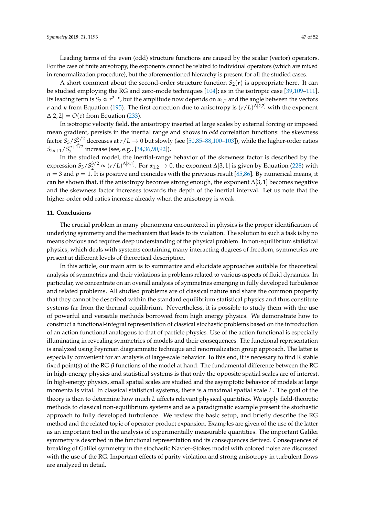Leading terms of the even (odd) structure functions are caused by the scalar (vector) operators. For the case of finite anisotropy, the exponents cannot be related to individual operators (which are mixed in renormalization procedure), but the aforementioned hierarchy is present for all the studied cases.

A short comment about the second-order structure function  $S_2(r)$  is appropriate here. It can be studied employing the RG and zero-mode techniques [\[104\]](#page-51-1); as in the isotropic case [\[39,](#page-48-19)[109–](#page-51-6)[111\]](#page-51-7). Its leading term is  $S_2 \propto r^{2-\epsilon}$ , but the amplitude now depends on  $\alpha_{1,2}$  and the angle between the vectors *r* and *n* from Equation [\(195\)](#page-38-3). The first correction due to anisotropy is (*r*/*L*) <sup>∆</sup>[2,2] with the exponent  $\Delta$ [2, 2] =  $O(\varepsilon)$  from Equation [\(233\)](#page-43-5).

In isotropic velocity field, the anisotropy inserted at large scales by external forcing or imposed mean gradient, persists in the inertial range and shows in *odd* correlation functions: the skewness factor  $S_3/S_3^{3/2}$  decreases at  $r/L \to 0$  but slowly (see [\[50](#page-49-2)[,85–](#page-50-7)[88,](#page-50-15)[100](#page-50-16)[–103\]](#page-51-0)), while the higher-order ratios  $S_{2n+1}/S_2^{n+1/2}$  increase (see, e.g., [\[34](#page-48-14)[,36](#page-48-16)[,90](#page-50-9)[,92\]](#page-50-17)).

In the studied model, the inertial-range behavior of the skewness factor is described by the expression  $S_3/S_2^{3/2} \propto (r/L)^{\Delta[3,1]}$ . For  $\alpha_{1,2} \to 0$ , the exponent  $\Delta[3,1]$  is given by Equation [\(228\)](#page-42-2) with  $n = 3$  and  $p = 1$ . It is positive and coincides with the previous result [\[85,](#page-50-7)[86\]](#page-50-19). By numerical means, it can be shown that, if the anisotropy becomes strong enough, the exponent  $\Delta[3,1]$  becomes negative and the skewness factor increases towards the depth of the inertial interval. Let us note that the higher-order odd ratios increase already when the anisotropy is weak.

### <span id="page-46-0"></span>**11. Conclusions**

The crucial problem in many phenomena encountered in physics is the proper identification of underlying symmetry and the mechanism that leads to its violation. The solution to such a task is by no means obvious and requires deep understanding of the physical problem. In non-equilibrium statistical physics, which deals with systems containing many interacting degrees of freedom, symmetries are present at different levels of theoretical description.

In this article, our main aim is to summarize and elucidate approaches suitable for theoretical analysis of symmetries and their violations in problems related to various aspects of fluid dynamics. In particular, we concentrate on an overall analysis of symmetries emerging in fully developed turbulence and related problems. All studied problems are of classical nature and share the common property that they cannot be described within the standard equilibrium statistical physics and thus constitute systems far from the thermal equilibrium. Nevertheless, it is possible to study them with the use of powerful and versatile methods borrowed from high energy physics. We demonstrate how to construct a functional-integral representation of classical stochastic problems based on the introduction of an action functional analogous to that of particle physics. Use of the action functional is especially illuminating in revealing symmetries of models and their consequences. The functional representation is analyzed using Feynman diagrammatic technique and renormalization group approach. The latter is especially convenient for an analysis of large-scale behavior. To this end, it is necessary to find R stable fixed point(s) of the RG *β* functions of the model at hand. The fundamental difference between the RG in high-energy physics and statistical systems is that only the opposite spatial scales are of interest. In high-energy physics, small spatial scales are studied and the asymptotic behavior of models at large momenta is vital. In classical statistical systems, there is a maximal spatial scale *L*. The goal of the theory is then to determine how much *L* affects relevant physical quantities. We apply field-theoretic methods to classical non-equilibrium systems and as a paradigmatic example present the stochastic approach to fully developed turbulence. We review the basic setup, and briefly describe the RG method and the related topic of operator product expansion. Examples are given of the use of the latter as an important tool in the analysis of experimentally measurable quantities. The important Galilei symmetry is described in the functional representation and its consequences derived. Consequences of breaking of Galilei symmetry in the stochastic Navier–Stokes model with colored noise are discussed with the use of the RG. Important effects of parity violation and strong anisotropy in turbulent flows are analyzed in detail.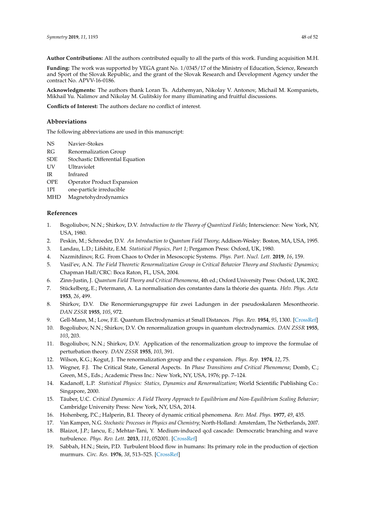**Author Contributions:** All the authors contributed equally to all the parts of this work. Funding acquisition M.H.

**Funding:** The work was supported by VEGA grant No. 1/0345/17 of the Ministry of Education, Science, Research and Sport of the Slovak Republic, and the grant of the Slovak Research and Development Agency under the contract No. APVV-16-0186.

**Acknowledgments:** The authors thank Loran Ts. Adzhemyan, Nikolay V. Antonov, Michail M. Kompaniets, Mikhail Yu. Nalimov and Nikolay M. Gulitskiy for many illuminating and fruitful discussions.

**Conflicts of Interest:** The authors declare no conflict of interest.

### **Abbreviations**

The following abbreviations are used in this manuscript:

- NS Navier–Stokes
- RG Renormalization Group
- SDE Stochastic Differential Equation
- UV Ultraviolet
- IR Infrared
- OPE Operator Product Expansion
- 1PI one-particle irreducible
- MHD Magnetohydrodynamics

## **References**

- <span id="page-47-0"></span>1. Bogoliubov, N.N.; Shirkov, D.V. *Introduction to the Theory of Quantized Fields*; Interscience: New York, NY, USA, 1980.
- <span id="page-47-2"></span><span id="page-47-1"></span>2. Peskin, M.; Schroeder, D.V. *An Introduction to Quantum Field Theory*; Addison-Wesley: Boston, MA, USA, 1995.
- <span id="page-47-3"></span>3. Landau, L.D.; Lifshitz, E.M. *Statistical Physics, Part 1*; Pergamon Press: Oxford, UK, 1980.
- 4. Nazmitdinov, R.G. From Chaos to Order in Mesoscopic Systems. *Phys. Part. Nucl. Lett.* **2019**, *16*, 159.
- <span id="page-47-4"></span>5. Vasil'ev, A.N. *The Field Theoretic Renormalization Group in Critical Behavior Theory and Stochastic Dynamics*; Chapman Hall/CRC: Boca Raton, FL, USA, 2004.
- <span id="page-47-5"></span>6. Zinn-Justin, J. *Quantum Field Theory and Critical Phenomena*, 4th ed.; Oxford University Press: Oxford, UK, 2002.
- <span id="page-47-6"></span>7. Stückelberg, E.; Petermann, A. La normalisation des constantes dans la théorie des quanta. *Helv. Phys. Acta* **1953**, *26*, 499.
- 8. Shirkov, D.V. Die Renormierungsgruppe für zwei Ladungen in der pseudoskalaren Mesontheorie. *DAN ZSSR* **1955**, *105*, 972.
- 9. Gell-Mann, M.; Low, F.E. Quantum Electrodynamics at Small Distances. *Phys. Rev.* **1954**, *95*, 1300. [\[CrossRef\]](http://dx.doi.org/10.1103/PhysRev.95.1300)
- 10. Bogoliubov, N.N.; Shirkov, D.V. On renormalization groups in quantum electrodynamics. *DAN ZSSR* **1955**, *103*, 203.
- <span id="page-47-7"></span>11. Bogoliubov, N.N.; Shirkov, D.V. Application of the renormalization group to improve the formulae of perturbation theory. *DAN ZSSR* **1955**, *103*, 391.
- <span id="page-47-8"></span>12. Wilson, K.G.; Kogut, J. The renormalization group and the *ε* expansion. *Phys. Rep.* **1974**, *12*, 75.
- 13. Wegner, F.J. The Critical State, General Aspects. In *Phase Transitions and Critical Phenomena*; Domb, C.; Green, M.S., Eds.; Academic Press Inc.: New York, NY, USA, 1976; pp. 7–124.
- <span id="page-47-9"></span>14. Kadanoff, L.P. *Statistical Physics: Statics, Dynamics and Renormalization*; World Scientific Publishing Co.: Singapore, 2000.
- <span id="page-47-10"></span>15. Täuber, U.C. *Critical Dynamics: A Field Theory Approach to Equilibrium and Non-Equilibrium Scaling Behavior*; Cambridge University Press: New York, NY, USA, 2014.
- <span id="page-47-11"></span>16. Hohenberg, P.C.; Halperin, B.I. Theory of dynamic critical phenomena. *Rev. Mod. Phys.* **1977**, *49*, 435.
- <span id="page-47-12"></span>17. Van Kampen, N.G. *Stochastic Processes in Physics and Chemistry*; North-Holland: Amsterdam, The Netherlands, 2007.
- <span id="page-47-13"></span>18. Blaizot, J.P.; Iancu, E.; Mehtar-Tani, Y. Medium-induced qcd cascade: Democratic branching and wave turbulence. *Phys. Rev. Lett.* **2013**, *111*, 052001. [\[CrossRef\]](http://dx.doi.org/10.1103/PhysRevLett.111.052001)
- <span id="page-47-14"></span>19. Sabbah, H.N.; Stein, P.D. Turbulent blood flow in humans: Its primary role in the production of ejection murmurs. *Circ. Res.* **1976**, *38*, 513–525. [\[CrossRef\]](http://dx.doi.org/10.1161/01.RES.38.6.513)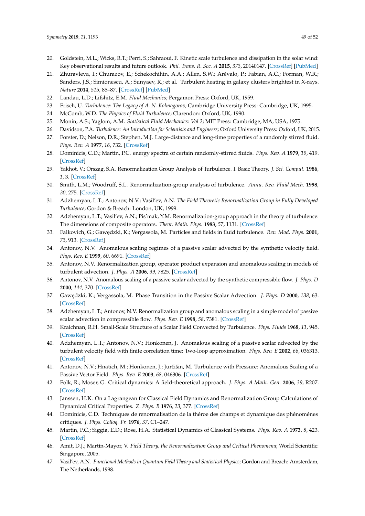- <span id="page-48-0"></span>20. Goldstein, M.L.; Wicks, R.T.; Perri, S.; Sahraoui, F. Kinetic scale turbulence and dissipation in the solar wind: Key observational results and future outlook. *Phil. Trans. R. Soc. A* **2015**, *373*, 20140147. [\[CrossRef\]](http://dx.doi.org/10.1098/rsta.2014.0147) [\[PubMed\]](http://www.ncbi.nlm.nih.gov/pubmed/25848084)
- <span id="page-48-1"></span>21. Zhuravleva, I.; Churazov, E.; Schekochihin, A.A.; Allen, S.W.; Arévalo, P.; Fabian, A.C.; Forman, W.R.; Sanders, J.S.; Simionescu, A.; Sunyaev, R.; et al. Turbulent heating in galaxy clusters brightest in X-rays. *Nature* **2014**, *515*, 85–87. [\[CrossRef\]](http://dx.doi.org/10.1038/nature13830) [\[PubMed\]](http://www.ncbi.nlm.nih.gov/pubmed/25363764)
- <span id="page-48-2"></span>22. Landau, L.D.; Lifshitz, E.M. *Fluid Mechanics*; Pergamon Press: Oxford, UK, 1959.
- <span id="page-48-3"></span>23. Frisch, U. *Turbulence: The Legacy of A. N. Kolmogorov*; Cambridge University Press: Cambridge, UK, 1995.
- <span id="page-48-5"></span><span id="page-48-4"></span>24. McComb, W.D. *The Physics of Fluid Turbulence*; Clarendon: Oxford, UK, 1990.
- 25. Monin, A.S.; Yaglom, A.M. *Statistical Fluid Mechanics: Vol 2*; MIT Press: Cambridge, MA, USA, 1975.
- <span id="page-48-6"></span>26. Davidson, P.A. *Turbulence: An Introduction for Scientists and Engineers*; Oxford University Press: Oxford, UK, 2015.
- <span id="page-48-7"></span>27. Forster, D.; Nelson, D.R.; Stephen, M.J. Large-distance and long-time properties of a randomly stirred fluid. *Phys. Rev. A* **1977**, *16*, 732. [\[CrossRef\]](http://dx.doi.org/10.1103/PhysRevA.16.732)
- <span id="page-48-8"></span>28. Dominicis, C.D.; Martin, P.C. energy spectra of certain randomly-stirred fluids. *Phys. Rev. A* **1979**, *19*, 419. [\[CrossRef\]](http://dx.doi.org/10.1103/PhysRevA.19.419)
- <span id="page-48-9"></span>29. Yakhot, V.; Orszag, S.A. Renormalization Group Analysis of Turbulence. I. Basic Theory. *J. Sci. Comput.* **1986**, *1*, 3. [\[CrossRef\]](http://dx.doi.org/10.1007/BF01061452)
- <span id="page-48-10"></span>30. Smith, L.M.; Woodruff, S.L. Renormalization-group analysis of turbulence. *Annu. Rev. Fluid Mech.* **1998**, *30*, 275. [\[CrossRef\]](http://dx.doi.org/10.1146/annurev.fluid.30.1.275)
- <span id="page-48-11"></span>31. Adzhemyan, L.T.; Antonov, N.V.; Vasil'ev, A.N. *The Field Theoretic Renormalization Group in Fully Developed Turbulence*; Gordon & Breach: London, UK, 1999.
- <span id="page-48-12"></span>32. Adzhemyan, L.T.; Vasil'ev, A.N.; Pis'mak, Y.M. Renormalization-group approach in the theory of turbulence: The dimensions of composite operators. *Theor. Math. Phys.* **1983**, *57*, 1131. [\[CrossRef\]](http://dx.doi.org/10.1007/BF01018658)
- <span id="page-48-13"></span>33. Falkovich, G.; Gawędzki, K.; Vergassola, M. Particles and fields in fluid turbulence. *Rev. Mod. Phys.* 2001, *73*, 913. [\[CrossRef\]](http://dx.doi.org/10.1103/RevModPhys.73.913)
- <span id="page-48-14"></span>34. Antonov, N.V. Anomalous scaling regimes of a passive scalar advected by the synthetic velocity field. *Phys. Rev. E* **1999**, *60*, 6691. [\[CrossRef\]](http://dx.doi.org/10.1103/PhysRevE.60.6691)
- <span id="page-48-15"></span>35. Antonov, N.V. Renormalization group, operator product expansion and anomalous scaling in models of turbulent advection. *J. Phys. A* **2006**, *39*, 7825. [\[CrossRef\]](http://dx.doi.org/10.1088/0305-4470/39/25/S04)
- <span id="page-48-16"></span>36. Antonov, N.V. Anomalous scaling of a passive scalar advected by the synthetic compressible flow. *J. Phys. D* **2000**, *144*, 370. [\[CrossRef\]](http://dx.doi.org/10.1016/S0167-2789(00)00089-0)
- <span id="page-48-17"></span>37. Gawędzki, K.; Vergassola, M. Phase Transition in the Passive Scalar Advection. *J. Phys. D* 2000, 138, 63. [\[CrossRef\]](http://dx.doi.org/10.1016/S0167-2789(99)00171-2)
- <span id="page-48-18"></span>38. Adzhemyan, L.T.; Antonov, N.V. Renormalization group and anomalous scaling in a simple model of passive scalar advection in compressible flow. *Phys. Rev. E* **1998**, *58*, 7381. [\[CrossRef\]](http://dx.doi.org/10.1103/PhysRevE.58.7381)
- <span id="page-48-19"></span>39. Kraichnan, R.H. Small-Scale Structure of a Scalar Field Convected by Turbulence. *Phys. Fluids* **1968**, *11*, 945. [\[CrossRef\]](http://dx.doi.org/10.1063/1.1692063)
- <span id="page-48-20"></span>40. Adzhemyan, L.T.; Antonov, N.V.; Honkonen, J. Anomalous scaling of a passive scalar advected by the turbulent velocity field with finite correlation time: Two-loop approximation. *Phys. Rev. E* **2002**, *66*, 036313. [\[CrossRef\]](http://dx.doi.org/10.1103/PhysRevE.66.036313)
- <span id="page-48-21"></span>41. Antonov, N.V.; Hnatich, M.; Honkonen, J.; Jurˇcišin, M. Turbulence with Pressure: Anomalous Scaling of a Passive Vector Field. *Phys. Rev. E* **2003**, *68*, 046306. [\[CrossRef\]](http://dx.doi.org/10.1103/PhysRevE.68.046306)
- <span id="page-48-22"></span>42. Folk, R.; Moser, G. Critical dynamics: A field-theoretical approach. *J. Phys. A Math. Gen.* **2006**, *39*, R207. [\[CrossRef\]](http://dx.doi.org/10.1088/0305-4470/39/24/R01)
- <span id="page-48-23"></span>43. Janssen, H.K. On a Lagrangean for Classical Field Dynamics and Renormalization Group Calculations of Dynamical Critical Properties. *Z. Phys. B* **1976**, *23*, 377. [\[CrossRef\]](http://dx.doi.org/10.1007/BF01316547)
- <span id="page-48-24"></span>44. Dominicis, C.D. Techniques de renormalisation de la théroe des champs et dynamique des phénoménes critiques. *J. Phys. Colloq. Fr.* **1976**, *37*, C1–247.
- <span id="page-48-25"></span>45. Martin, P.C.; Siggia, E.D.; Rose, H.A. Statistical Dynamics of Classical Systems. *Phys. Rev. A* **1973**, *8*, 423. [\[CrossRef\]](http://dx.doi.org/10.1103/PhysRevA.8.423)
- <span id="page-48-26"></span>46. Amit, D.J.; Martín-Mayor, V. *Field Theory, the Renormalization Group and Critical Phenomena*; World Scientific: Singapore, 2005.
- <span id="page-48-27"></span>47. Vasil'ev, A.N. *Functional Methods in Quantum Field Theory and Statistical Physics*; Gordon and Breach: Amsterdam, The Netherlands, 1998.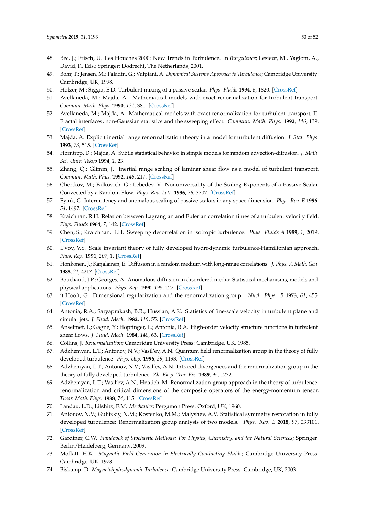- <span id="page-49-0"></span>48. Bec, J.; Frisch, U. Les Houches 2000: New Trends in Turbulence. In *Burgulence*; Lesieur, M., Yaglom, A., David, F., Eds.; Springer: Dodrecht, The Netherlands, 2001.
- <span id="page-49-1"></span>49. Bohr, T.; Jensen, M.; Paladin, G.; Vulpiani, A. *Dynamical Systems Approach to Turbulence*; Cambridge University: Cambridge, UK, 1998.
- <span id="page-49-2"></span>50. Holzer, M.; Siggia, E.D. Turbulent mixing of a passive scalar. *Phys. Fluids* **1994**, *6*, 1820. [\[CrossRef\]](http://dx.doi.org/10.1063/1.868243)
- <span id="page-49-3"></span>51. Avellaneda, M.; Majda, A. Mathematical models with exact renormalization for turbulent transport. *Commun. Math. Phys.* **1990**, *131*, 381. [\[CrossRef\]](http://dx.doi.org/10.1007/BF02161420)
- 52. Avellaneda, M.; Majda, A. Mathematical models with exact renormalization for turbulent transport, II: Fractal interfaces, non-Gaussian statistics and the sweeping effect. *Commun. Math. Phys.* **1992**, *146*, 139. [\[CrossRef\]](http://dx.doi.org/10.1007/BF02099212)
- 53. Majda, A. Explicit inertial range renormalization theory in a model for turbulent diffusion. *J. Stat. Phys.* **1993**, *73*, 515. [\[CrossRef\]](http://dx.doi.org/10.1007/BF01054338)
- 54. Horntrop, D.; Majda, A. Subtle statistical behavior in simple models for random advection-diffusion. *J. Math. Sci. Univ. Tokyo* **1994**, *1*, 23.
- <span id="page-49-4"></span>55. Zhang, Q.; Glimm, J. Inertial range scaling of laminar shear flow as a model of turbulent transport. *Commun. Math. Phys.* **1992**, *146*, 217. [\[CrossRef\]](http://dx.doi.org/10.1007/BF02102625)
- 56. Chertkov, M.; Falkovich, G.; Lebedev, V. Nonuniversality of the Scaling Exponents of a Passive Scalar Convected by a Random Flow. *Phys. Rev. Lett.* **1996**, *76*, 3707. [\[CrossRef\]](http://dx.doi.org/10.1103/PhysRevLett.76.3707)
- <span id="page-49-5"></span>57. Eyink, G. Intermittency and anomalous scaling of passive scalars in any space dimension. *Phys. Rev. E* **1996**, *54*, 1497. [\[CrossRef\]](http://dx.doi.org/10.1103/PhysRevE.54.1497)
- <span id="page-49-6"></span>58. Kraichnan, R.H. Relation between Lagrangian and Eulerian correlation times of a turbulent velocity field. *Phys. Fluids* **1964**, *7*, 142. [\[CrossRef\]](http://dx.doi.org/10.1063/1.1711033)
- 59. Chen, S.; Kraichnan, R.H. Sweeping decorrelation in isotropic turbulence. *Phys. Fluids A* **1989**, *1*, 2019. [\[CrossRef\]](http://dx.doi.org/10.1063/1.857475)
- <span id="page-49-7"></span>60. L'vov, V.S. Scale invariant theory of fully developed hydrodynamic turbulence-Hamiltonian approach. *Phys. Rep.* **1991**, *207*, 1. [\[CrossRef\]](http://dx.doi.org/10.1016/0370-1573(91)90081-V)
- <span id="page-49-8"></span>61. Honkonen, J.; Karjalainen, E. Diffusion in a random medium with long-range correlations. *J. Phys. A Math. Gen.* **1988**, *21*, 4217. [\[CrossRef\]](http://dx.doi.org/10.1088/0305-4470/21/22/023)
- <span id="page-49-9"></span>62. Bouchaud, J.P.; Georges, A. Anomalous diffusion in disordered media: Statistical mechanisms, models and physical applications. *Phys. Rep.* **1990**, *195*, 127. [\[CrossRef\]](http://dx.doi.org/10.1016/0370-1573(90)90099-N)
- <span id="page-49-10"></span>63. 't Hooft, G. Dimensional regularization and the renormalization group. *Nucl. Phys. B* **1973**, *61*, 455. [\[CrossRef\]](http://dx.doi.org/10.1016/0550-3213(73)90376-3)
- <span id="page-49-11"></span>64. Antonia, R.A.; Satyaprakash, B.R.; Hussian, A.K. Statistics of fine-scale velocity in turbulent plane and circular jets. *J. Fluid. Mech.* **1982**, *119*, 55. [\[CrossRef\]](http://dx.doi.org/10.1017/S0022112082001268)
- <span id="page-49-12"></span>65. Anselmet, F.; Gagne, Y.; Hopfinger, E.; Antonia, R.A. High-order velocity structure functions in turbulent shear flows. *J. Fluid. Mech.* **1984**, *140*, 63. [\[CrossRef\]](http://dx.doi.org/10.1017/S0022112084000513)
- <span id="page-49-13"></span>66. Collins, J. *Renormalization*; Cambridge University Press: Cambridge, UK, 1985.
- <span id="page-49-14"></span>67. Adzhemyan, L.T.; Antonov, N.V.; Vasil'ev, A.N. Quantum field renormalization group in the theory of fully developed turbulence. *Phys. Usp.* **1996**, *39*, 1193. [\[CrossRef\]](http://dx.doi.org/10.1070/PU1996v039n12ABEH000183)
- <span id="page-49-15"></span>68. Adzhemyan, L.T.; Antonov, N.V.; Vasil'ev, A.N. Infrared divergences and the renormalization group in the theory of fully developed turbulence. *Zh. Eksp. Teor. Fiz.* **1989**, *95*, 1272.
- <span id="page-49-16"></span>69. Adzhemyan, L.T.; Vasil'ev, A.N.; Hnatich, M. Renormalization-group approach in the theory of turbulence: renormalization and critical dimensions of the composite operators of the energy-momentum tensor. *Theor. Math. Phys.* **1988**, *74*, 115. [\[CrossRef\]](http://dx.doi.org/10.1007/BF01886480)
- <span id="page-49-17"></span>70. Landau, L.D.; Lifshitz, E.M. *Mechanics*; Pergamon Press: Oxford, UK, 1960.
- <span id="page-49-18"></span>71. Antonov, N.V.; Gulitskiy, N.M.; Kostenko, M.M.; Malyshev, A.V. Statistical symmetry restoration in fully developed turbulence: Renormalization group analysis of two models. *Phys. Rev. E* **2018**, *97*, 033101. [\[CrossRef\]](http://dx.doi.org/10.1103/PhysRevE.97.033101)
- <span id="page-49-19"></span>72. Gardiner, C.W. *Handbook of Stochastic Methods: For Physics, Chemistry, and the Natural Sciences*; Springer: Berlin/Heidelberg, Germany, 2009.
- <span id="page-49-20"></span>73. Moffatt, H.K. *Magnetic Field Generation in Electrically Conducting Fluids*; Cambridge University Press: Cambridge, UK, 1978.
- <span id="page-49-21"></span>74. Biskamp, D. *Magnetohydrodynamic Turbulence*; Cambridge University Press: Cambridge, UK, 2003.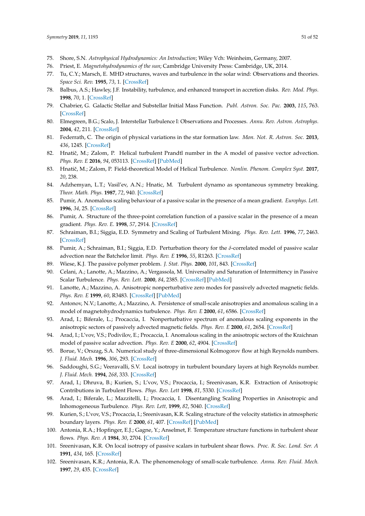- <span id="page-50-3"></span>75. Shore, S.N. *Astrophysical Hydrodynamics: An Introduction*; Wiley Vch: Weinheim, Germany, 2007.
- <span id="page-50-0"></span>76. Priest, E. *Magnetohydrodynamics of the sun*; Cambridge University Press: Cambridge, UK, 2014.
- <span id="page-50-1"></span>77. Tu, C.Y.; Marsch, E. MHD structures, waves and turbulence in the solar wind: Observations and theories. *Space Sci. Rev.* **1995**, *73*, 1. [\[CrossRef\]](http://dx.doi.org/10.1007/BF00748891)
- 78. Balbus, A.S.; Hawley, J.F. Instability, turbulence, and enhanced transport in accretion disks. *Rev. Mod. Phys.* **1998**, *70*, 1. [\[CrossRef\]](http://dx.doi.org/10.1103/RevModPhys.70.1)
- 79. Chabrier, G. Galactic Stellar and Substellar Initial Mass Function. *Publ. Astron. Soc. Pac.* **2003**, *115*, 763. [\[CrossRef\]](http://dx.doi.org/10.1086/376392)
- 80. Elmegreen, B.G.; Scalo, J. Interstellar Turbulence I: Observations and Processes. *Annu. Rev. Astron. Astrophys.* **2004**, *42*, 211. [\[CrossRef\]](http://dx.doi.org/10.1146/annurev.astro.41.011802.094859)
- <span id="page-50-2"></span>81. Federrath, C. The origin of physical variations in the star formation law. *Mon. Not. R. Astron. Soc.* **2013**, *436*, 1245. [\[CrossRef\]](http://dx.doi.org/10.1093/mnras/stt1644)
- <span id="page-50-4"></span>82. Hnatič, M.; Zalom, P. Helical turbulent Prandtl number in the A model of passive vector advection. *Phys. Rev. E* **2016**, *94*, 053113. [\[CrossRef\]](http://dx.doi.org/10.1103/PhysRevE.94.053113) [\[PubMed\]](http://www.ncbi.nlm.nih.gov/pubmed/27967141)
- <span id="page-50-5"></span>83. Hnatič, M.; Zalom, P. Field-theoretical Model of Helical Turbulence. *Nonlin. Phenom. Complex Syst.* 2017, *20*, 238.
- <span id="page-50-6"></span>84. Adzhemyan, L.T.; Vasil'ev, A.N.; Hnatic, M. Turbulent dynamo as spontaneous symmetry breaking. *Theor. Math. Phys.* **1987**, *72*, 940. [\[CrossRef\]](http://dx.doi.org/10.1007/BF01018300)
- <span id="page-50-7"></span>85. Pumir, A. Anomalous scaling behaviour of a passive scalar in the presence of a mean gradient. *Europhys. Lett.* **1996**, *34*, 25. [\[CrossRef\]](http://dx.doi.org/10.1209/epl/i1996-00410-4)
- <span id="page-50-19"></span>86. Pumir, A. Structure of the three-point correlation function of a passive scalar in the presence of a mean gradient. *Phys. Rev. E.* **1998**, *57*, 2914. [\[CrossRef\]](http://dx.doi.org/10.1103/PhysRevE.57.2914)
- 87. Schraiman, B.I.; Siggia, E.D. Symmetry and Scaling of Turbulent Mixing. *Phys. Rev. Lett.* **1996**, *77*, 2463. [\[CrossRef\]](http://dx.doi.org/10.1103/PhysRevLett.77.2463)
- <span id="page-50-15"></span>88. Pumir, A.; Schraiman, B.I.; Siggia, E.D. Perturbation theory for the *δ*-correlated model of passive scalar advection near the Batchelor limit. *Phys. Rev. E* **1996**, *55*, R1263. [\[CrossRef\]](http://dx.doi.org/10.1103/PhysRevE.55.R1263)
- <span id="page-50-12"></span>89. Wiese, K.J. The passive polymer problem. *J. Stat. Phys.* **2000**, *101*, 843. [\[CrossRef\]](http://dx.doi.org/10.1023/A:1026473504422)
- <span id="page-50-9"></span>90. Celani, A.; Lanotte, A.; Mazzino, A.; Vergassola, M. Universality and Saturation of Intermittency in Passive Scalar Turbulence. *Phys. Rev. Lett.* **2000**, *84*, 2385. [\[CrossRef\]](http://dx.doi.org/10.1103/PhysRevLett.84.2385) [\[PubMed\]](http://www.ncbi.nlm.nih.gov/pubmed/11018891)
- <span id="page-50-13"></span>91. Lanotte, A.; Mazzino, A. Anisotropic nonperturbative zero modes for passively advected magnetic fields. *Phys. Rev. E* **1999**, *60*, R3483. [\[CrossRef\]](http://dx.doi.org/10.1103/PhysRevE.60.R3483) [\[PubMed\]](http://www.ncbi.nlm.nih.gov/pubmed/11970263)
- <span id="page-50-17"></span>92. Antonov, N.V.; Lanotte, A.; Mazzino, A. Persistence of small-scale anisotropies and anomalous scaling in a model of magnetohydrodynamics turbulence. *Phys. Rev. E* **2000**, *61*, 6586. [\[CrossRef\]](http://dx.doi.org/10.1103/PhysRevE.61.6586)
- <span id="page-50-18"></span>93. Arad, I.; Biferale, L.; Procaccia, I. Nonperturbative spectrum of anomalous scaling exponents in the anisotropic sectors of passively advected magnetic fields. *Phys. Rev. E* **2000**, *61*, 2654. [\[CrossRef\]](http://dx.doi.org/10.1103/PhysRevE.61.2654)
- <span id="page-50-14"></span>94. Arad, I.; L'vov, V.S.; Podivilov, E.; Procaccia, I. Anomalous scaling in the anisotropic sectors of the Kraichnan model of passive scalar advection. *Phys. Rev. E* **2000**, *62*, 4904. [\[CrossRef\]](http://dx.doi.org/10.1103/PhysRevE.62.4904)
- <span id="page-50-10"></span>95. Borue, V.; Orszag, S.A. Numerical study of three-dimensional Kolmogorov flow at high Reynolds numbers. *J. Fluid. Mech.* **1996**, *306*, 293. [\[CrossRef\]](http://dx.doi.org/10.1017/S0022112096001310)
- 96. Saddoughi, S.G.; Veeravalli, S.V. Local isotropy in turbulent boundary layers at high Reynolds number. *J. Fluid. Mech.* **1994**, *268*, 333. [\[CrossRef\]](http://dx.doi.org/10.1017/S0022112094001370)
- <span id="page-50-11"></span>97. Arad, I.; Dhruva, B.; Kurien, S.; L'vov, V.S.; Procaccia, I.; Sreenivasan, K.R. Extraction of Anisotropic Contributions in Turbulent Flows. *Phys. Rev. Lett* **1998**, *81*, 5330. [\[CrossRef\]](http://dx.doi.org/10.1103/PhysRevLett.81.5330)
- 98. Arad, I.; Biferale, L.; Mazzitelli, I.; Procaccia, I. Disentangling Scaling Properties in Anisotropic and Inhomogeneous Turbulence. *Phys. Rev. Lett,* **1999**, *82*, 5040. [\[CrossRef\]](http://dx.doi.org/10.1103/PhysRevLett.82.5040)
- <span id="page-50-8"></span>99. Kurien, S.; L'vov, V.S.; Procaccia, I.; Sreenivasan, K.R. Scaling structure of the velocity statistics in atmospheric boundary layers. *Phys. Rev. E* **2000**, *61*, 407. [\[CrossRef\]](http://dx.doi.org/10.1103/PhysRevE.61.407) [\[PubMed\]](http://www.ncbi.nlm.nih.gov/pubmed/11046280)
- <span id="page-50-16"></span>100. Antonia, R.A.; Hopfinger, E.J.; Gagne, Y.; Anselmet, F. Temperature structure functions in turbulent shear flows. *Phys. Rev. A* **1984**, *30*, 2704. [\[CrossRef\]](http://dx.doi.org/10.1103/PhysRevA.30.2704)
- 101. Sreenivasan, K.R. On local isotropy of passive scalars in turbulent shear flows. *Proc. R. Soc. Lond. Ser. A* **1991**, *434*, 165. [\[CrossRef\]](http://dx.doi.org/10.1098/rspa.1991.0087)
- 102. Sreenivasan, K.R.; Antonia, R.A. The phenomenology of small-scale turbulence. *Annu. Rev. Fluid. Mech.* **1997**, *29*, 435. [\[CrossRef\]](http://dx.doi.org/10.1146/annurev.fluid.29.1.435)